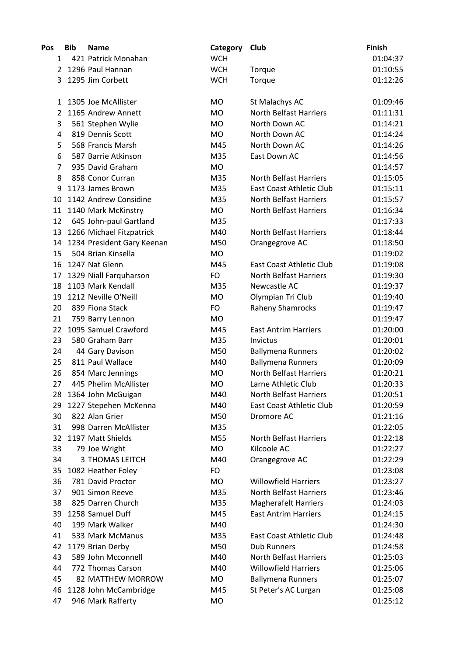| Pos            | <b>Bib</b> | <b>Name</b>                | Category   | Club                            | <b>Finish</b> |
|----------------|------------|----------------------------|------------|---------------------------------|---------------|
| 1              |            | 421 Patrick Monahan        | <b>WCH</b> |                                 | 01:04:37      |
| $\overline{2}$ |            | 1296 Paul Hannan           | <b>WCH</b> | Torque                          | 01:10:55      |
| 3              |            | 1295 Jim Corbett           | <b>WCH</b> | Torque                          | 01:12:26      |
| 1              |            | 1305 Joe McAllister        | <b>MO</b>  | St Malachys AC                  | 01:09:46      |
| $\overline{2}$ |            | 1165 Andrew Annett         | <b>MO</b>  | <b>North Belfast Harriers</b>   | 01:11:31      |
| 3              |            | 561 Stephen Wylie          | <b>MO</b>  | North Down AC                   | 01:14:21      |
| 4              |            | 819 Dennis Scott           | <b>MO</b>  | North Down AC                   | 01:14:24      |
| 5              |            | 568 Francis Marsh          | M45        | North Down AC                   | 01:14:26      |
| 6              |            | 587 Barrie Atkinson        | M35        | East Down AC                    | 01:14:56      |
| $\overline{7}$ |            | 935 David Graham           | <b>MO</b>  |                                 | 01:14:57      |
| 8              |            | 858 Conor Curran           | M35        | <b>North Belfast Harriers</b>   | 01:15:05      |
| 9              |            | 1173 James Brown           | M35        | <b>East Coast Athletic Club</b> | 01:15:11      |
| 10             |            | 1142 Andrew Considine      | M35        | <b>North Belfast Harriers</b>   | 01:15:57      |
| 11             |            | 1140 Mark McKinstry        | MO         | <b>North Belfast Harriers</b>   | 01:16:34      |
| 12             |            | 645 John-paul Gartland     | M35        |                                 | 01:17:33      |
| 13             |            | 1266 Michael Fitzpatrick   | M40        | <b>North Belfast Harriers</b>   | 01:18:44      |
| 14             |            | 1234 President Gary Keenan | M50        | Orangegrove AC                  | 01:18:50      |
| 15             |            | 504 Brian Kinsella         | <b>MO</b>  |                                 | 01:19:02      |
| 16             |            | 1247 Nat Glenn             | M45        | East Coast Athletic Club        | 01:19:08      |
| 17             |            | 1329 Niall Farquharson     | FO         | <b>North Belfast Harriers</b>   | 01:19:30      |
| 18             |            | 1103 Mark Kendall          | M35        | Newcastle AC                    | 01:19:37      |
| 19             |            | 1212 Neville O'Neill       | <b>MO</b>  | Olympian Tri Club               | 01:19:40      |
| 20             |            | 839 Fiona Stack            | FO         | <b>Raheny Shamrocks</b>         | 01:19:47      |
| 21             |            | 759 Barry Lennon           | <b>MO</b>  |                                 | 01:19:47      |
| 22             |            | 1095 Samuel Crawford       | M45        | <b>East Antrim Harriers</b>     | 01:20:00      |
| 23             |            | 580 Graham Barr            | M35        | Invictus                        | 01:20:01      |
| 24             |            | 44 Gary Davison            | M50        | <b>Ballymena Runners</b>        | 01:20:02      |
| 25             |            | 811 Paul Wallace           | M40        | <b>Ballymena Runners</b>        | 01:20:09      |
| 26             |            | 854 Marc Jennings          | MO         | <b>North Belfast Harriers</b>   | 01:20:21      |
| 27             |            | 445 Phelim McAllister      | <b>MO</b>  | Larne Athletic Club             | 01:20:33      |
| 28             |            | 1364 John McGuigan         | M40        | North Belfast Harriers          | 01:20:51      |
| 29             |            | 1227 Stepehen McKenna      | M40        | <b>East Coast Athletic Club</b> | 01:20:59      |
| 30             |            | 822 Alan Grier             | M50        | Dromore AC                      | 01:21:16      |
| 31             |            | 998 Darren McAllister      | M35        |                                 | 01:22:05      |
| 32             |            | 1197 Matt Shields          | M55        | North Belfast Harriers          | 01:22:18      |
| 33             |            | 79 Joe Wright              | MO         | Kilcoole AC                     | 01:22:27      |
| 34             |            | 3 THOMAS LEITCH            | M40        | Orangegrove AC                  | 01:22:29      |
| 35             |            | 1082 Heather Foley         | FO         |                                 | 01:23:08      |
| 36             |            | 781 David Proctor          | MO         | <b>Willowfield Harriers</b>     | 01:23:27      |
| 37             |            | 901 Simon Reeve            | M35        | <b>North Belfast Harriers</b>   | 01:23:46      |
| 38             |            | 825 Darren Church          | M35        | <b>Magherafelt Harriers</b>     | 01:24:03      |
| 39             |            | 1258 Samuel Duff           | M45        | <b>East Antrim Harriers</b>     | 01:24:15      |
| 40             |            | 199 Mark Walker            | M40        |                                 | 01:24:30      |
| 41             |            | 533 Mark McManus           | M35        | East Coast Athletic Club        | 01:24:48      |
| 42             |            | 1179 Brian Derby           | M50        | <b>Dub Runners</b>              | 01:24:58      |
| 43             |            | 589 John Mcconnell         | M40        | <b>North Belfast Harriers</b>   | 01:25:03      |
| 44             |            | 772 Thomas Carson          | M40        | <b>Willowfield Harriers</b>     | 01:25:06      |
| 45             |            | 82 MATTHEW MORROW          | MO         | <b>Ballymena Runners</b>        | 01:25:07      |
| 46             |            | 1128 John McCambridge      | M45        | St Peter's AC Lurgan            | 01:25:08      |
| 47             |            | 946 Mark Rafferty          | MO         |                                 | 01:25:12      |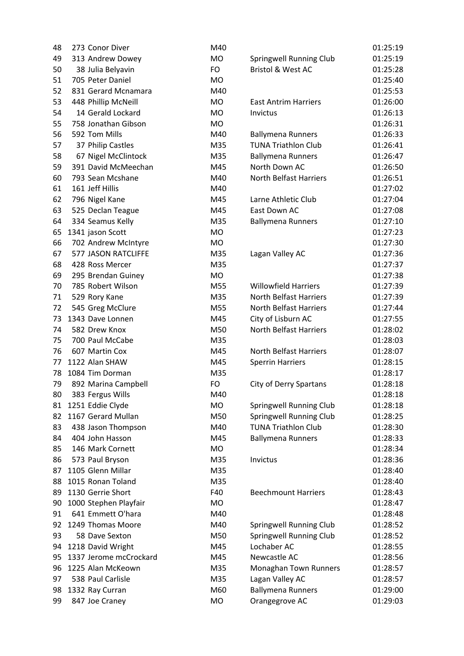| 48 | 273 Conor Diver            | M40       |                               | 01:25:19 |
|----|----------------------------|-----------|-------------------------------|----------|
| 49 | 313 Andrew Dowey           | <b>MO</b> | Springwell Running Club       | 01:25:19 |
| 50 | 38 Julia Belyavin          | FO        | Bristol & West AC             | 01:25:28 |
| 51 | 705 Peter Daniel           | <b>MO</b> |                               | 01:25:40 |
| 52 | 831 Gerard Mcnamara        | M40       |                               | 01:25:53 |
| 53 | 448 Phillip McNeill        | <b>MO</b> | <b>East Antrim Harriers</b>   | 01:26:00 |
| 54 | 14 Gerald Lockard          | <b>MO</b> | Invictus                      | 01:26:13 |
| 55 | 758 Jonathan Gibson        | <b>MO</b> |                               | 01:26:31 |
| 56 | 592 Tom Mills              | M40       | <b>Ballymena Runners</b>      | 01:26:33 |
| 57 | 37 Philip Castles          | M35       | <b>TUNA Triathlon Club</b>    | 01:26:41 |
| 58 | 67 Nigel McClintock        | M35       | <b>Ballymena Runners</b>      | 01:26:47 |
| 59 | 391 David McMeechan        | M45       | North Down AC                 | 01:26:50 |
| 60 | 793 Sean Mcshane           | M40       | <b>North Belfast Harriers</b> | 01:26:51 |
| 61 | 161 Jeff Hillis            | M40       |                               | 01:27:02 |
| 62 | 796 Nigel Kane             | M45       | Larne Athletic Club           | 01:27:04 |
| 63 | 525 Declan Teague          | M45       | East Down AC                  | 01:27:08 |
| 64 | 334 Seamus Kelly           | M35       | <b>Ballymena Runners</b>      | 01:27:10 |
| 65 | 1341 jason Scott           | <b>MO</b> |                               | 01:27:23 |
| 66 | 702 Andrew McIntyre        | <b>MO</b> |                               | 01:27:30 |
| 67 | <b>577 JASON RATCLIFFE</b> | M35       | Lagan Valley AC               | 01:27:36 |
| 68 | 428 Ross Mercer            | M35       |                               | 01:27:37 |
| 69 | 295 Brendan Guiney         | <b>MO</b> |                               | 01:27:38 |
| 70 | 785 Robert Wilson          | M55       | <b>Willowfield Harriers</b>   | 01:27:39 |
| 71 | 529 Rory Kane              | M35       | <b>North Belfast Harriers</b> | 01:27:39 |
| 72 | 545 Greg McClure           | M55       | <b>North Belfast Harriers</b> | 01:27:44 |
| 73 | 1343 Dave Lonnen           | M45       | City of Lisburn AC            | 01:27:55 |
| 74 | 582 Drew Knox              | M50       | <b>North Belfast Harriers</b> | 01:28:02 |
| 75 | 700 Paul McCabe            | M35       |                               | 01:28:03 |
| 76 | 607 Martin Cox             | M45       | <b>North Belfast Harriers</b> | 01:28:07 |
| 77 | 1122 Alan SHAW             | M45       | <b>Sperrin Harriers</b>       | 01:28:15 |
| 78 | 1084 Tim Dorman            | M35       |                               | 01:28:17 |
| 79 | 892 Marina Campbell        | <b>FO</b> | City of Derry Spartans        | 01:28:18 |
| 80 | 383 Fergus Wills           | M40       |                               | 01:28:18 |
| 81 | 1251 Eddie Clyde           | MO        | Springwell Running Club       | 01:28:18 |
| 82 | 1167 Gerard Mullan         | M50       | Springwell Running Club       | 01:28:25 |
| 83 | 438 Jason Thompson         | M40       | <b>TUNA Triathlon Club</b>    | 01:28:30 |
| 84 | 404 John Hasson            | M45       | <b>Ballymena Runners</b>      | 01:28:33 |
| 85 | 146 Mark Cornett           | <b>MO</b> |                               | 01:28:34 |
| 86 | 573 Paul Bryson            | M35       | Invictus                      | 01:28:36 |
| 87 | 1105 Glenn Millar          | M35       |                               | 01:28:40 |
| 88 | 1015 Ronan Toland          | M35       |                               | 01:28:40 |
| 89 | 1130 Gerrie Short          | F40       | <b>Beechmount Harriers</b>    | 01:28:43 |
| 90 | 1000 Stephen Playfair      | <b>MO</b> |                               | 01:28:47 |
| 91 | 641 Emmett O'hara          | M40       |                               | 01:28:48 |
| 92 | 1249 Thomas Moore          | M40       | Springwell Running Club       | 01:28:52 |
| 93 | 58 Dave Sexton             | M50       | Springwell Running Club       | 01:28:52 |
| 94 | 1218 David Wright          | M45       | Lochaber AC                   | 01:28:55 |
| 95 | 1337 Jerome mcCrockard     | M45       | Newcastle AC                  | 01:28:56 |
| 96 | 1225 Alan McKeown          | M35       | Monaghan Town Runners         | 01:28:57 |
| 97 | 538 Paul Carlisle          | M35       | Lagan Valley AC               | 01:28:57 |
| 98 | 1332 Ray Curran            | M60       | <b>Ballymena Runners</b>      | 01:29:00 |
| 99 | 847 Joe Craney             | <b>MO</b> | Orangegrove AC                | 01:29:03 |
|    |                            |           |                               |          |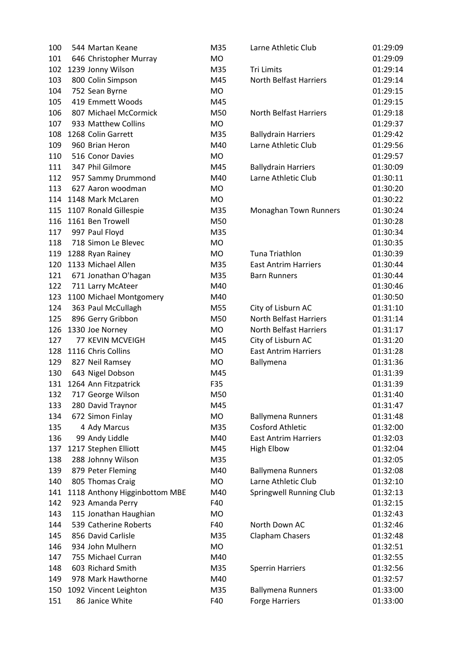| 100 | 544 Martan Keane              | M35       | Larne Athletic Club           | 01:29:09 |
|-----|-------------------------------|-----------|-------------------------------|----------|
| 101 | 646 Christopher Murray        | <b>MO</b> |                               | 01:29:09 |
| 102 | 1239 Jonny Wilson             | M35       | <b>Tri Limits</b>             | 01:29:14 |
| 103 | 800 Colin Simpson             | M45       | <b>North Belfast Harriers</b> | 01:29:14 |
| 104 | 752 Sean Byrne                | <b>MO</b> |                               | 01:29:15 |
| 105 | 419 Emmett Woods              | M45       |                               | 01:29:15 |
| 106 | 807 Michael McCormick         | M50       | <b>North Belfast Harriers</b> | 01:29:18 |
| 107 | 933 Matthew Collins           | <b>MO</b> |                               | 01:29:37 |
| 108 | 1268 Colin Garrett            | M35       | <b>Ballydrain Harriers</b>    | 01:29:42 |
| 109 | 960 Brian Heron               | M40       | Larne Athletic Club           | 01:29:56 |
| 110 | 516 Conor Davies              | <b>MO</b> |                               | 01:29:57 |
| 111 | 347 Phil Gilmore              | M45       | <b>Ballydrain Harriers</b>    | 01:30:09 |
| 112 | 957 Sammy Drummond            | M40       | Larne Athletic Club           | 01:30:11 |
| 113 | 627 Aaron woodman             | <b>MO</b> |                               | 01:30:20 |
| 114 | 1148 Mark McLaren             | <b>MO</b> |                               | 01:30:22 |
| 115 | 1107 Ronald Gillespie         | M35       | Monaghan Town Runners         | 01:30:24 |
| 116 | 1161 Ben Trowell              | M50       |                               | 01:30:28 |
| 117 | 997 Paul Floyd                | M35       |                               | 01:30:34 |
| 118 | 718 Simon Le Blevec           | <b>MO</b> |                               | 01:30:35 |
| 119 | 1288 Ryan Rainey              | <b>MO</b> | Tuna Triathlon                | 01:30:39 |
| 120 | 1133 Michael Allen            | M35       | <b>East Antrim Harriers</b>   | 01:30:44 |
| 121 | 671 Jonathan O'hagan          | M35       | <b>Barn Runners</b>           | 01:30:44 |
| 122 | 711 Larry McAteer             | M40       |                               | 01:30:46 |
| 123 | 1100 Michael Montgomery       | M40       |                               | 01:30:50 |
| 124 | 363 Paul McCullagh            | M55       | City of Lisburn AC            | 01:31:10 |
| 125 | 896 Gerry Gribbon             | M50       | <b>North Belfast Harriers</b> | 01:31:14 |
| 126 | 1330 Joe Norney               | <b>MO</b> | <b>North Belfast Harriers</b> | 01:31:17 |
| 127 | 77 KEVIN MCVEIGH              | M45       | City of Lisburn AC            | 01:31:20 |
| 128 | 1116 Chris Collins            | <b>MO</b> | <b>East Antrim Harriers</b>   | 01:31:28 |
| 129 | 827 Neil Ramsey               | <b>MO</b> | Ballymena                     | 01:31:36 |
| 130 | 643 Nigel Dobson              | M45       |                               | 01:31:39 |
| 131 | 1264 Ann Fitzpatrick          | F35       |                               | 01:31:39 |
| 132 | 717 George Wilson             | M50       |                               | 01:31:40 |
| 133 | 280 David Traynor             | M45       |                               | 01:31:47 |
| 134 | 672 Simon Finlay              | MO        | <b>Ballymena Runners</b>      | 01:31:48 |
| 135 | 4 Ady Marcus                  | M35       | <b>Cosford Athletic</b>       | 01:32:00 |
| 136 | 99 Andy Liddle                | M40       | <b>East Antrim Harriers</b>   | 01:32:03 |
| 137 | 1217 Stephen Elliott          | M45       | <b>High Elbow</b>             | 01:32:04 |
| 138 | 288 Johnny Wilson             | M35       |                               | 01:32:05 |
| 139 | 879 Peter Fleming             | M40       | <b>Ballymena Runners</b>      | 01:32:08 |
| 140 | 805 Thomas Craig              | <b>MO</b> | Larne Athletic Club           | 01:32:10 |
| 141 | 1118 Anthony Higginbottom MBE | M40       | Springwell Running Club       | 01:32:13 |
| 142 | 923 Amanda Perry              | F40       |                               | 01:32:15 |
| 143 | 115 Jonathan Haughian         | MO        |                               | 01:32:43 |
| 144 | 539 Catherine Roberts         | F40       | North Down AC                 | 01:32:46 |
| 145 | 856 David Carlisle            | M35       | <b>Clapham Chasers</b>        | 01:32:48 |
| 146 | 934 John Mulhern              | MO        |                               | 01:32:51 |
| 147 | 755 Michael Curran            | M40       |                               | 01:32:55 |
| 148 | 603 Richard Smith             | M35       | <b>Sperrin Harriers</b>       | 01:32:56 |
| 149 | 978 Mark Hawthorne            | M40       |                               | 01:32:57 |
| 150 | 1092 Vincent Leighton         | M35       | <b>Ballymena Runners</b>      | 01:33:00 |
| 151 | 86 Janice White               | F40       | <b>Forge Harriers</b>         | 01:33:00 |
|     |                               |           |                               |          |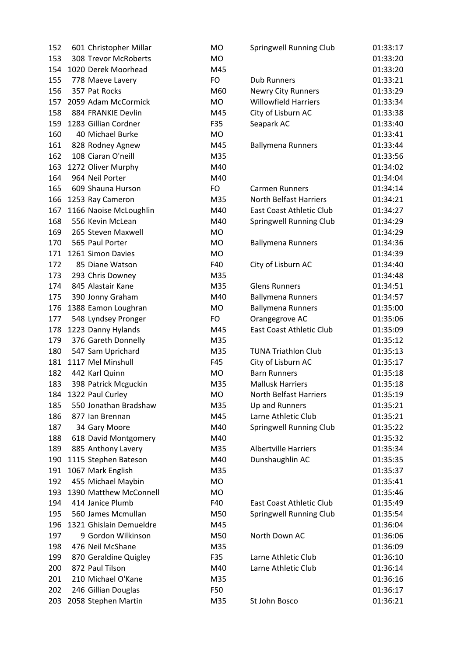| 152 | 601 Christopher Millar  | MO        | Springwell Running Club       | 01:33:17 |
|-----|-------------------------|-----------|-------------------------------|----------|
| 153 | 308 Trevor McRoberts    | <b>MO</b> |                               | 01:33:20 |
| 154 | 1020 Derek Moorhead     | M45       |                               | 01:33:20 |
| 155 | 778 Maeve Lavery        | FO        | <b>Dub Runners</b>            | 01:33:21 |
| 156 | 357 Pat Rocks           | M60       | <b>Newry City Runners</b>     | 01:33:29 |
| 157 | 2059 Adam McCormick     | <b>MO</b> | <b>Willowfield Harriers</b>   | 01:33:34 |
| 158 | 884 FRANKIE Devlin      | M45       | City of Lisburn AC            | 01:33:38 |
| 159 | 1283 Gillian Cordner    | F35       | Seapark AC                    | 01:33:40 |
| 160 | 40 Michael Burke        | <b>MO</b> |                               | 01:33:41 |
| 161 | 828 Rodney Agnew        | M45       | <b>Ballymena Runners</b>      | 01:33:44 |
| 162 | 108 Ciaran O'neill      | M35       |                               | 01:33:56 |
| 163 | 1272 Oliver Murphy      | M40       |                               | 01:34:02 |
| 164 | 964 Neil Porter         | M40       |                               | 01:34:04 |
| 165 | 609 Shauna Hurson       | FO        | <b>Carmen Runners</b>         | 01:34:14 |
| 166 | 1253 Ray Cameron        | M35       | <b>North Belfast Harriers</b> | 01:34:21 |
| 167 | 1166 Naoise McLoughlin  | M40       | East Coast Athletic Club      | 01:34:27 |
| 168 | 556 Kevin McLean        | M40       | Springwell Running Club       | 01:34:29 |
| 169 | 265 Steven Maxwell      | <b>MO</b> |                               | 01:34:29 |
| 170 | 565 Paul Porter         | <b>MO</b> | <b>Ballymena Runners</b>      | 01:34:36 |
| 171 | 1261 Simon Davies       | <b>MO</b> |                               | 01:34:39 |
| 172 | 85 Diane Watson         | F40       | City of Lisburn AC            | 01:34:40 |
| 173 | 293 Chris Downey        | M35       |                               | 01:34:48 |
| 174 | 845 Alastair Kane       | M35       | <b>Glens Runners</b>          | 01:34:51 |
| 175 | 390 Jonny Graham        | M40       | <b>Ballymena Runners</b>      | 01:34:57 |
| 176 | 1388 Eamon Loughran     | MO        | <b>Ballymena Runners</b>      | 01:35:00 |
| 177 | 548 Lyndsey Pronger     | FO.       | Orangegrove AC                | 01:35:06 |
| 178 | 1223 Danny Hylands      | M45       | East Coast Athletic Club      | 01:35:09 |
| 179 | 376 Gareth Donnelly     | M35       |                               | 01:35:12 |
| 180 | 547 Sam Uprichard       | M35       | <b>TUNA Triathlon Club</b>    | 01:35:13 |
| 181 | 1117 Mel Minshull       | F45       | City of Lisburn AC            | 01:35:17 |
| 182 | 442 Karl Quinn          | <b>MO</b> | <b>Barn Runners</b>           | 01:35:18 |
| 183 | 398 Patrick Mcguckin    | M35       | <b>Mallusk Harriers</b>       | 01:35:18 |
| 184 | 1322 Paul Curley        | MO        | <b>North Belfast Harriers</b> | 01:35:19 |
| 185 | 550 Jonathan Bradshaw   | M35       | Up and Runners                | 01:35:21 |
| 186 | 877 Ian Brennan         | M45       | Larne Athletic Club           | 01:35:21 |
| 187 | 34 Gary Moore           | M40       | Springwell Running Club       | 01:35:22 |
| 188 | 618 David Montgomery    | M40       |                               | 01:35:32 |
| 189 | 885 Anthony Lavery      | M35       | <b>Albertville Harriers</b>   | 01:35:34 |
| 190 | 1115 Stephen Bateson    | M40       | Dunshaughlin AC               | 01:35:35 |
| 191 | 1067 Mark English       | M35       |                               | 01:35:37 |
| 192 | 455 Michael Maybin      | <b>MO</b> |                               | 01:35:41 |
| 193 | 1390 Matthew McConnell  | <b>MO</b> |                               | 01:35:46 |
| 194 | 414 Janice Plumb        | F40       | East Coast Athletic Club      | 01:35:49 |
| 195 | 560 James Mcmullan      | M50       | Springwell Running Club       | 01:35:54 |
| 196 | 1321 Ghislain Demueldre | M45       |                               | 01:36:04 |
| 197 | 9 Gordon Wilkinson      | M50       | North Down AC                 | 01:36:06 |
| 198 | 476 Neil McShane        | M35       |                               | 01:36:09 |
| 199 | 870 Geraldine Quigley   | F35       | Larne Athletic Club           | 01:36:10 |
| 200 | 872 Paul Tilson         | M40       | Larne Athletic Club           | 01:36:14 |
| 201 | 210 Michael O'Kane      | M35       |                               | 01:36:16 |
| 202 | 246 Gillian Douglas     | F50       |                               | 01:36:17 |
| 203 | 2058 Stephen Martin     | M35       | St John Bosco                 | 01:36:21 |
|     |                         |           |                               |          |

| <b>Springwell Running Club</b>  | 01:33:17 |
|---------------------------------|----------|
|                                 | 01:33:20 |
|                                 | 01:33:20 |
| <b>Dub Runners</b>              | 01:33:21 |
| <b>Newry City Runners</b>       | 01:33:29 |
| <b>Willowfield Harriers</b>     | 01:33:34 |
| City of Lisburn AC              | 01:33:38 |
| Seapark AC                      | 01:33:40 |
|                                 | 01:33:41 |
| <b>Ballymena Runners</b>        | 01:33:44 |
|                                 | 01:33:56 |
|                                 | 01:34:02 |
|                                 | 01:34:04 |
| <b>Carmen Runners</b>           | 01:34:14 |
| <b>North Belfast Harriers</b>   | 01:34:21 |
| <b>East Coast Athletic Club</b> | 01:34:27 |
| <b>Springwell Running Club</b>  | 01:34:29 |
|                                 | 01:34:29 |
| <b>Ballymena Runners</b>        | 01:34:36 |
|                                 | 01:34:39 |
| City of Lisburn AC              | 01:34:40 |
|                                 | 01:34:48 |
| <b>Glens Runners</b>            | 01:34:51 |
| <b>Ballymena Runners</b>        | 01:34:57 |
| <b>Ballymena Runners</b>        | 01:35:00 |
| Orangegrove AC                  | 01:35:06 |
| <b>East Coast Athletic Club</b> | 01:35:09 |
|                                 | 01:35:12 |
| <b>TUNA Triathlon Club</b>      | 01:35:13 |
| City of Lisburn AC              | 01:35:17 |
| <b>Barn Runners</b>             | 01:35:18 |
| <b>Mallusk Harriers</b>         | 01:35:18 |
| <b>North Belfast Harriers</b>   | 01:35:19 |
| Up and Runners                  | 01:35:21 |
| Larne Athletic Club             | 01:35:21 |
| <b>Springwell Running Club</b>  | 01:35:22 |
|                                 | 01:35:32 |
| <b>Albertville Harriers</b>     | 01:35:34 |
| Dunshaughlin AC                 | 01:35:35 |
|                                 | 01:35:37 |
|                                 | 01:35:41 |
|                                 | 01:35:46 |
| East Coast Athletic Club        | 01:35:49 |
| <b>Springwell Running Club</b>  | 01:35:54 |
|                                 | 01:36:04 |
| North Down AC                   | 01:36:06 |
|                                 | 01:36:09 |
| Larne Athletic Club             | 01:36:10 |
| Larne Athletic Club             | 01:36:14 |
|                                 | 01:36:16 |
|                                 | 01:36:17 |
| St John Bosco                   | 01:36:21 |
|                                 |          |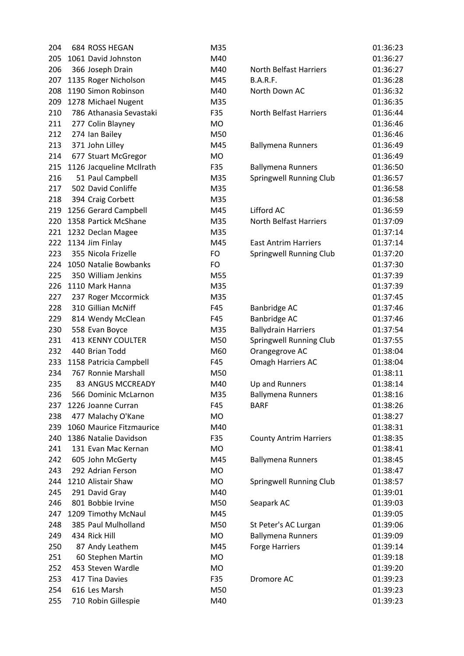| 204 | 684 ROSS HEGAN           | M35       |                               | 01:36:23 |
|-----|--------------------------|-----------|-------------------------------|----------|
| 205 | 1061 David Johnston      | M40       |                               | 01:36:27 |
| 206 | 366 Joseph Drain         | M40       | <b>North Belfast Harriers</b> | 01:36:27 |
| 207 | 1135 Roger Nicholson     | M45       | <b>B.A.R.F.</b>               | 01:36:28 |
| 208 | 1190 Simon Robinson      | M40       | North Down AC                 | 01:36:32 |
| 209 | 1278 Michael Nugent      | M35       |                               | 01:36:35 |
| 210 | 786 Athanasia Sevastaki  | F35       | <b>North Belfast Harriers</b> | 01:36:44 |
| 211 | 277 Colin Blayney        | <b>MO</b> |                               | 01:36:46 |
| 212 | 274 Ian Bailey           | M50       |                               | 01:36:46 |
| 213 | 371 John Lilley          | M45       | <b>Ballymena Runners</b>      | 01:36:49 |
| 214 | 677 Stuart McGregor      | <b>MO</b> |                               | 01:36:49 |
| 215 | 1126 Jacqueline McIlrath | F35       | <b>Ballymena Runners</b>      | 01:36:50 |
| 216 | 51 Paul Campbell         | M35       | Springwell Running Club       | 01:36:57 |
| 217 | 502 David Conliffe       | M35       |                               | 01:36:58 |
| 218 | 394 Craig Corbett        | M35       |                               | 01:36:58 |
| 219 | 1256 Gerard Campbell     | M45       | Lifford AC                    | 01:36:59 |
| 220 | 1358 Partick McShane     | M35       | <b>North Belfast Harriers</b> | 01:37:09 |
| 221 | 1232 Declan Magee        | M35       |                               | 01:37:14 |
| 222 | 1134 Jim Finlay          | M45       | <b>East Antrim Harriers</b>   | 01:37:14 |
| 223 | 355 Nicola Frizelle      | FO        | Springwell Running Club       | 01:37:20 |
| 224 | 1050 Natalie Bowbanks    | FO        |                               | 01:37:30 |
| 225 | 350 William Jenkins      | M55       |                               | 01:37:39 |
| 226 | 1110 Mark Hanna          | M35       |                               | 01:37:39 |
| 227 | 237 Roger Mccormick      | M35       |                               | 01:37:45 |
| 228 | 310 Gillian McNiff       | F45       | Banbridge AC                  | 01:37:46 |
| 229 | 814 Wendy McClean        | F45       | Banbridge AC                  | 01:37:46 |
| 230 | 558 Evan Boyce           | M35       | <b>Ballydrain Harriers</b>    | 01:37:54 |
| 231 | 413 KENNY COULTER        | M50       | Springwell Running Club       | 01:37:55 |
| 232 | 440 Brian Todd           | M60       | Orangegrove AC                | 01:38:04 |
| 233 | 1158 Patricia Campbell   | F45       | Omagh Harriers AC             | 01:38:04 |
| 234 | 767 Ronnie Marshall      | M50       |                               | 01:38:11 |
| 235 | 83 ANGUS MCCREADY        | M40       | Up and Runners                | 01:38:14 |
| 236 | 566 Dominic McLarnon     | M35       | <b>Ballymena Runners</b>      | 01:38:16 |
| 237 | 1226 Joanne Curran       | F45       | <b>BARF</b>                   | 01:38:26 |
| 238 | 477 Malachy O'Kane       | <b>MO</b> |                               | 01:38:27 |
| 239 | 1060 Maurice Fitzmaurice | M40       |                               | 01:38:31 |
| 240 | 1386 Natalie Davidson    | F35       | <b>County Antrim Harriers</b> | 01:38:35 |
| 241 | 131 Evan Mac Kernan      | <b>MO</b> |                               | 01:38:41 |
| 242 | 605 John McGerty         | M45       | <b>Ballymena Runners</b>      | 01:38:45 |
| 243 | 292 Adrian Ferson        | <b>MO</b> |                               | 01:38:47 |
| 244 | 1210 Alistair Shaw       | <b>MO</b> | Springwell Running Club       | 01:38:57 |
| 245 | 291 David Gray           | M40       |                               | 01:39:01 |
| 246 | 801 Bobbie Irvine        | M50       | Seapark AC                    | 01:39:03 |
| 247 | 1209 Timothy McNaul      | M45       |                               | 01:39:05 |
| 248 | 385 Paul Mulholland      | M50       | St Peter's AC Lurgan          | 01:39:06 |
| 249 | 434 Rick Hill            | <b>MO</b> | <b>Ballymena Runners</b>      | 01:39:09 |
| 250 | 87 Andy Leathem          | M45       | <b>Forge Harriers</b>         | 01:39:14 |
| 251 | 60 Stephen Martin        | <b>MO</b> |                               | 01:39:18 |
| 252 | 453 Steven Wardle        | <b>MO</b> |                               | 01:39:20 |
| 253 | 417 Tina Davies          | F35       | Dromore AC                    | 01:39:23 |
| 254 | 616 Les Marsh            | M50       |                               | 01:39:23 |
| 255 | 710 Robin Gillespie      | M40       |                               | 01:39:23 |
|     |                          |           |                               |          |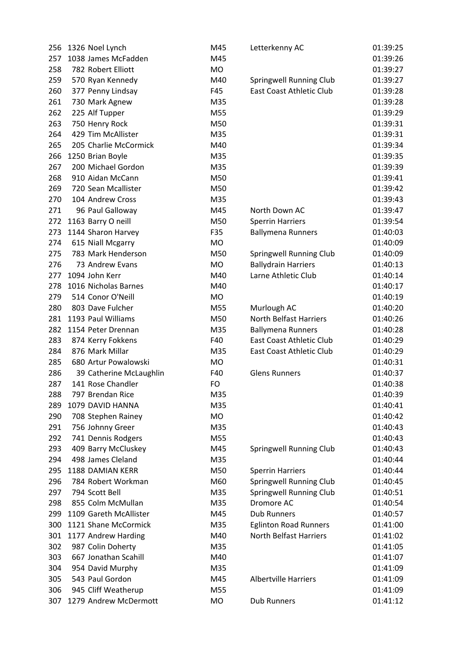| 256 | 1326 Noel Lynch         | M45       | Letterkenny AC                | 01:39:25             |
|-----|-------------------------|-----------|-------------------------------|----------------------|
| 257 | 1038 James McFadden     | M45       |                               | 01:39:26             |
| 258 | 782 Robert Elliott      | <b>MO</b> |                               | 01:39:27             |
| 259 | 570 Ryan Kennedy        | M40       | Springwell Running Club       | 01:39:27             |
| 260 | 377 Penny Lindsay       | F45       | East Coast Athletic Club      | 01:39:28             |
| 261 | 730 Mark Agnew          | M35       |                               | 01:39:28             |
| 262 | 225 Alf Tupper          | M55       |                               | 01:39:29             |
| 263 | 750 Henry Rock          | M50       |                               | 01:39:31             |
| 264 | 429 Tim McAllister      | M35       |                               | 01:39:31             |
| 265 | 205 Charlie McCormick   | M40       |                               | 01:39:34             |
| 266 | 1250 Brian Boyle        | M35       |                               | 01:39:35             |
| 267 | 200 Michael Gordon      | M35       |                               | 01:39:39             |
| 268 | 910 Aidan McCann        | M50       |                               | 01:39:41             |
| 269 | 720 Sean Mcallister     | M50       |                               | 01:39:42             |
| 270 | 104 Andrew Cross        | M35       |                               | 01:39:43             |
| 271 | 96 Paul Galloway        | M45       | North Down AC                 | 01:39:47             |
| 272 | 1163 Barry O neill      | M50       | <b>Sperrin Harriers</b>       | 01:39:54             |
| 273 | 1144 Sharon Harvey      | F35       | <b>Ballymena Runners</b>      | 01:40:03             |
| 274 | 615 Niall Mcgarry       | <b>MO</b> |                               | 01:40:09             |
| 275 | 783 Mark Henderson      | M50       | Springwell Running Club       | 01:40:09             |
| 276 | 73 Andrew Evans         | <b>MO</b> | <b>Ballydrain Harriers</b>    | 01:40:13             |
| 277 | 1094 John Kerr          | M40       | Larne Athletic Club           | 01:40:14             |
| 278 | 1016 Nicholas Barnes    | M40       |                               | 01:40:17             |
| 279 | 514 Conor O'Neill       | <b>MO</b> |                               | 01:40:19             |
| 280 | 803 Dave Fulcher        | M55       | Murlough AC                   | 01:40:20             |
| 281 | 1193 Paul Williams      | M50       | <b>North Belfast Harriers</b> | 01:40:26             |
| 282 | 1154 Peter Drennan      | M35       | <b>Ballymena Runners</b>      | 01:40:28             |
| 283 | 874 Kerry Fokkens       | F40       | East Coast Athletic Club      | 01:40:29             |
| 284 | 876 Mark Millar         | M35       | East Coast Athletic Club      | 01:40:29             |
| 285 | 680 Artur Powalowski    | <b>MO</b> |                               | 01:40:31             |
| 286 | 39 Catherine McLaughlin | F40       | <b>Glens Runners</b>          | 01:40:37             |
| 287 | 141 Rose Chandler       | <b>FO</b> |                               | 01:40:38             |
|     |                         |           |                               |                      |
| 288 | 797 Brendan Rice        | M35       |                               | 01:40:39<br>01:40:41 |
| 289 | 1079 DAVID HANNA        | M35       |                               |                      |
| 290 | 708 Stephen Rainey      | MO        |                               | 01:40:42             |
| 291 | 756 Johnny Greer        | M35       |                               | 01:40:43             |
| 292 | 741 Dennis Rodgers      | M55       |                               | 01:40:43             |
| 293 | 409 Barry McCluskey     | M45       | Springwell Running Club       | 01:40:43             |
| 294 | 498 James Cleland       | M35       |                               | 01:40:44             |
| 295 | 1188 DAMIAN KERR        | M50       | <b>Sperrin Harriers</b>       | 01:40:44             |
| 296 | 784 Robert Workman      | M60       | Springwell Running Club       | 01:40:45             |
| 297 | 794 Scott Bell          | M35       | Springwell Running Club       | 01:40:51             |
| 298 | 855 Colm McMullan       | M35       | Dromore AC                    | 01:40:54             |
| 299 | 1109 Gareth McAllister  | M45       | <b>Dub Runners</b>            | 01:40:57             |
| 300 | 1121 Shane McCormick    | M35       | <b>Eglinton Road Runners</b>  | 01:41:00             |
| 301 | 1177 Andrew Harding     | M40       | <b>North Belfast Harriers</b> | 01:41:02             |
| 302 | 987 Colin Doherty       | M35       |                               | 01:41:05             |
| 303 | 667 Jonathan Scahill    | M40       |                               | 01:41:07             |
| 304 | 954 David Murphy        | M35       |                               | 01:41:09             |
| 305 | 543 Paul Gordon         | M45       | <b>Albertville Harriers</b>   | 01:41:09             |
| 306 | 945 Cliff Weatherup     | M55       |                               | 01:41:09             |
| 307 | 1279 Andrew McDermott   | MO        | <b>Dub Runners</b>            | 01:41:12             |
|     |                         |           |                               |                      |

| Letterkenny AC                  | 01:39:25 |
|---------------------------------|----------|
|                                 | 01:39:26 |
|                                 | 01:39:27 |
| <b>Springwell Running Club</b>  | 01:39:27 |
| <b>East Coast Athletic Club</b> | 01:39:28 |
|                                 | 01:39:28 |
|                                 | 01:39:29 |
|                                 | 01:39:31 |
|                                 | 01:39:31 |
|                                 | 01:39:34 |
|                                 | 01:39:35 |
|                                 | 01:39:39 |
|                                 | 01:39:41 |
|                                 | 01:39:42 |
|                                 | 01:39:43 |
| North Down AC                   | 01:39:47 |
| <b>Sperrin Harriers</b>         | 01:39:54 |
| <b>Ballymena Runners</b>        | 01:40:03 |
|                                 | 01:40:09 |
|                                 | 01:40:09 |
| Springwell Running Club         | 01:40:13 |
| <b>Ballydrain Harriers</b>      |          |
| Larne Athletic Club             | 01:40:14 |
|                                 | 01:40:17 |
|                                 | 01:40:19 |
| Murlough AC                     | 01:40:20 |
| <b>North Belfast Harriers</b>   | 01:40:26 |
| <b>Ballymena Runners</b>        | 01:40:28 |
| <b>East Coast Athletic Club</b> | 01:40:29 |
| <b>East Coast Athletic Club</b> | 01:40:29 |
|                                 | 01:40:31 |
| <b>Glens Runners</b>            | 01:40:37 |
|                                 | 01:40:38 |
|                                 | 01:40:39 |
|                                 | 01:40:41 |
|                                 | 01:40:42 |
|                                 | 01:40:43 |
|                                 | 01:40:43 |
| <b>Springwell Running Club</b>  | 01:40:43 |
|                                 | 01:40:44 |
| <b>Sperrin Harriers</b>         | 01:40:44 |
| <b>Springwell Running Club</b>  | 01:40:45 |
| <b>Springwell Running Club</b>  | 01:40:51 |
| Dromore AC                      | 01:40:54 |
| <b>Dub Runners</b>              | 01:40:57 |
| <b>Eglinton Road Runners</b>    | 01:41:00 |
| <b>North Belfast Harriers</b>   | 01:41:02 |
|                                 | 01:41:05 |
|                                 | 01:41:07 |
|                                 | 01:41:09 |
| <b>Albertville Harriers</b>     | 01:41:09 |
|                                 | 01:41:09 |
| <b>Dub Runners</b>              | 01:41:12 |
|                                 |          |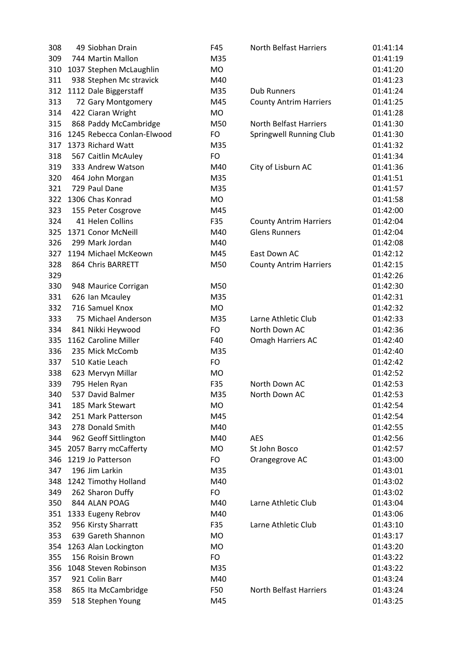| 308 | 49 Siobhan Drain           | F45       | <b>North Belfast Harriers</b>  | 01:41:14 |
|-----|----------------------------|-----------|--------------------------------|----------|
| 309 | 744 Martin Mallon          | M35       |                                | 01:41:19 |
| 310 | 1037 Stephen McLaughlin    | <b>MO</b> |                                | 01:41:20 |
| 311 | 938 Stephen Mc stravick    | M40       |                                | 01:41:23 |
| 312 | 1112 Dale Biggerstaff      | M35       | <b>Dub Runners</b>             | 01:41:24 |
| 313 | 72 Gary Montgomery         | M45       | <b>County Antrim Harriers</b>  | 01:41:25 |
| 314 | 422 Ciaran Wright          | MO        |                                | 01:41:28 |
| 315 | 868 Paddy McCambridge      | M50       | North Belfast Harriers         | 01:41:30 |
| 316 | 1245 Rebecca Conlan-Elwood | <b>FO</b> | <b>Springwell Running Club</b> | 01:41:30 |
| 317 | 1373 Richard Watt          | M35       |                                | 01:41:32 |
| 318 | 567 Caitlin McAuley        | <b>FO</b> |                                | 01:41:34 |
| 319 | 333 Andrew Watson          | M40       | City of Lisburn AC             | 01:41:36 |
| 320 | 464 John Morgan            | M35       |                                | 01:41:51 |
| 321 | 729 Paul Dane              | M35       |                                | 01:41:57 |
| 322 | 1306 Chas Konrad           | <b>MO</b> |                                | 01:41:58 |
| 323 | 155 Peter Cosgrove         | M45       |                                | 01:42:00 |
| 324 | 41 Helen Collins           | F35       | <b>County Antrim Harriers</b>  | 01:42:04 |
| 325 | 1371 Conor McNeill         | M40       | <b>Glens Runners</b>           | 01:42:04 |
| 326 | 299 Mark Jordan            | M40       |                                | 01:42:08 |
| 327 | 1194 Michael McKeown       | M45       | East Down AC                   | 01:42:12 |
| 328 | 864 Chris BARRETT          | M50       | <b>County Antrim Harriers</b>  | 01:42:15 |
| 329 |                            |           |                                | 01:42:26 |
| 330 | 948 Maurice Corrigan       | M50       |                                | 01:42:30 |
| 331 | 626 Ian Mcauley            | M35       |                                | 01:42:31 |
| 332 | 716 Samuel Knox            | <b>MO</b> |                                | 01:42:32 |
| 333 | 75 Michael Anderson        | M35       | Larne Athletic Club            | 01:42:33 |
| 334 | 841 Nikki Heywood          | <b>FO</b> | North Down AC                  | 01:42:36 |
| 335 | 1162 Caroline Miller       | F40       | Omagh Harriers AC              | 01:42:40 |
| 336 | 235 Mick McComb            | M35       |                                | 01:42:40 |
| 337 | 510 Katie Leach            | <b>FO</b> |                                | 01:42:42 |
| 338 | 623 Mervyn Millar          | <b>MO</b> |                                | 01:42:52 |
| 339 | 795 Helen Ryan             | F35       | North Down AC                  | 01:42:53 |
| 340 | 537 David Balmer           | M35       | North Down AC                  | 01:42:53 |
| 341 | 185 Mark Stewart           | <b>MO</b> |                                | 01:42:54 |
| 342 | 251 Mark Patterson         | M45       |                                | 01:42:54 |
| 343 | 278 Donald Smith           | M40       |                                | 01:42:55 |
| 344 | 962 Geoff Sittlington      | M40       | <b>AES</b>                     | 01:42:56 |
| 345 | 2057 Barry mcCafferty      | <b>MO</b> | St John Bosco                  | 01:42:57 |
| 346 | 1219 Jo Patterson          | FO        | Orangegrove AC                 | 01:43:00 |
| 347 | 196 Jim Larkin             | M35       |                                | 01:43:01 |
| 348 | 1242 Timothy Holland       | M40       |                                | 01:43:02 |
| 349 | 262 Sharon Duffy           | <b>FO</b> |                                | 01:43:02 |
| 350 | 844 ALAN POAG              | M40       | Larne Athletic Club            | 01:43:04 |
| 351 | 1333 Eugeny Rebrov         | M40       |                                | 01:43:06 |
| 352 | 956 Kirsty Sharratt        | F35       | Larne Athletic Club            | 01:43:10 |
| 353 | 639 Gareth Shannon         | <b>MO</b> |                                | 01:43:17 |
| 354 | 1263 Alan Lockington       | <b>MO</b> |                                | 01:43:20 |
| 355 | 156 Roisin Brown           | <b>FO</b> |                                | 01:43:22 |
| 356 | 1048 Steven Robinson       | M35       |                                | 01:43:22 |
| 357 | 921 Colin Barr             | M40       |                                | 01:43:24 |
| 358 | 865 Ita McCambridge        | F50       | North Belfast Harriers         | 01:43:24 |
| 359 | 518 Stephen Young          | M45       |                                | 01:43:25 |
|     |                            |           |                                |          |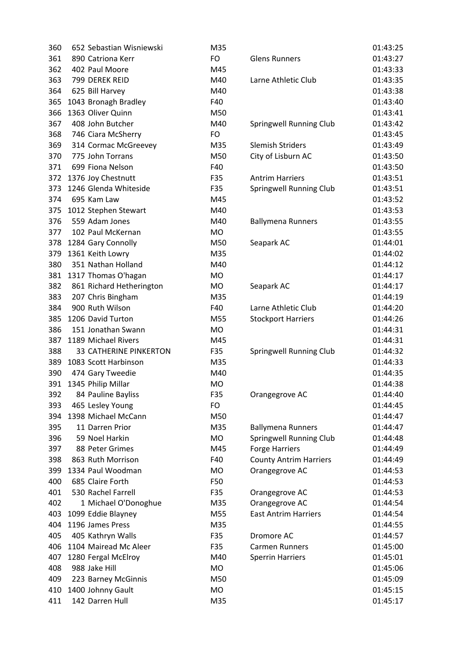| 360 | 652 Sebastian Wisniewski      | M35       |                                | 01:43:25 |
|-----|-------------------------------|-----------|--------------------------------|----------|
| 361 | 890 Catriona Kerr             | FO        | <b>Glens Runners</b>           | 01:43:27 |
| 362 | 402 Paul Moore                | M45       |                                | 01:43:33 |
| 363 | 799 DEREK REID                | M40       | Larne Athletic Club            | 01:43:35 |
| 364 | 625 Bill Harvey               | M40       |                                | 01:43:38 |
| 365 | 1043 Bronagh Bradley          | F40       |                                | 01:43:40 |
| 366 | 1363 Oliver Quinn             | M50       |                                | 01:43:41 |
| 367 | 408 John Butcher              | M40       | Springwell Running Club        | 01:43:42 |
| 368 | 746 Ciara McSherry            | FO        |                                | 01:43:45 |
| 369 | 314 Cormac McGreevey          | M35       | <b>Slemish Striders</b>        | 01:43:49 |
| 370 | 775 John Torrans              | M50       | City of Lisburn AC             | 01:43:50 |
| 371 | 699 Fiona Nelson              | F40       |                                | 01:43:50 |
| 372 | 1376 Joy Chestnutt            | F35       | <b>Antrim Harriers</b>         | 01:43:51 |
| 373 | 1246 Glenda Whiteside         | F35       | <b>Springwell Running Club</b> | 01:43:51 |
| 374 | 695 Kam Law                   | M45       |                                | 01:43:52 |
| 375 | 1012 Stephen Stewart          | M40       |                                | 01:43:53 |
| 376 | 559 Adam Jones                | M40       | <b>Ballymena Runners</b>       | 01:43:55 |
| 377 | 102 Paul McKernan             | <b>MO</b> |                                | 01:43:55 |
| 378 | 1284 Gary Connolly            | M50       | Seapark AC                     | 01:44:01 |
| 379 | 1361 Keith Lowry              | M35       |                                | 01:44:02 |
| 380 | 351 Nathan Holland            | M40       |                                | 01:44:12 |
| 381 | 1317 Thomas O'hagan           | <b>MO</b> |                                | 01:44:17 |
| 382 | 861 Richard Hetherington      | MO        | Seapark AC                     | 01:44:17 |
| 383 | 207 Chris Bingham             | M35       |                                | 01:44:19 |
| 384 | 900 Ruth Wilson               | F40       | Larne Athletic Club            | 01:44:20 |
| 385 | 1206 David Turton             | M55       | <b>Stockport Harriers</b>      | 01:44:26 |
| 386 | 151 Jonathan Swann            | MO        |                                | 01:44:31 |
| 387 | 1189 Michael Rivers           | M45       |                                | 01:44:31 |
| 388 | <b>33 CATHERINE PINKERTON</b> | F35       | Springwell Running Club        | 01:44:32 |
| 389 | 1083 Scott Harbinson          | M35       |                                | 01:44:33 |
| 390 | 474 Gary Tweedie              | M40       |                                | 01:44:35 |
|     | 391 1345 Philip Millar        | <b>MO</b> |                                | 01:44:38 |
| 392 | 84 Pauline Bayliss            | F35       | Orangegrove AC                 | 01:44:40 |
| 393 | 465 Lesley Young              | FO        |                                | 01:44:45 |
| 394 | 1398 Michael McCann           | M50       |                                | 01:44:47 |
| 395 | 11 Darren Prior               | M35       | <b>Ballymena Runners</b>       | 01:44:47 |
| 396 | 59 Noel Harkin                | <b>MO</b> | Springwell Running Club        | 01:44:48 |
| 397 | 88 Peter Grimes               | M45       | <b>Forge Harriers</b>          | 01:44:49 |
| 398 | 863 Ruth Morrison             | F40       | <b>County Antrim Harriers</b>  | 01:44:49 |
| 399 | 1334 Paul Woodman             | <b>MO</b> | Orangegrove AC                 | 01:44:53 |
| 400 | 685 Claire Forth              | F50       |                                | 01:44:53 |
| 401 | 530 Rachel Farrell            | F35       | Orangegrove AC                 | 01:44:53 |
| 402 | 1 Michael O'Donoghue          | M35       | Orangegrove AC                 | 01:44:54 |
| 403 | 1099 Eddie Blayney            | M55       | <b>East Antrim Harriers</b>    | 01:44:54 |
| 404 | 1196 James Press              | M35       |                                | 01:44:55 |
| 405 | 405 Kathryn Walls             | F35       | Dromore AC                     | 01:44:57 |
| 406 | 1104 Mairead Mc Aleer         | F35       | <b>Carmen Runners</b>          | 01:45:00 |
| 407 | 1280 Fergal McElroy           | M40       | <b>Sperrin Harriers</b>        | 01:45:01 |
| 408 | 988 Jake Hill                 | <b>MO</b> |                                | 01:45:06 |
| 409 | 223 Barney McGinnis           | M50       |                                | 01:45:09 |
| 410 | 1400 Johnny Gault             | MO        |                                | 01:45:15 |
| 411 | 142 Darren Hull               | M35       |                                | 01:45:17 |
|     |                               |           |                                |          |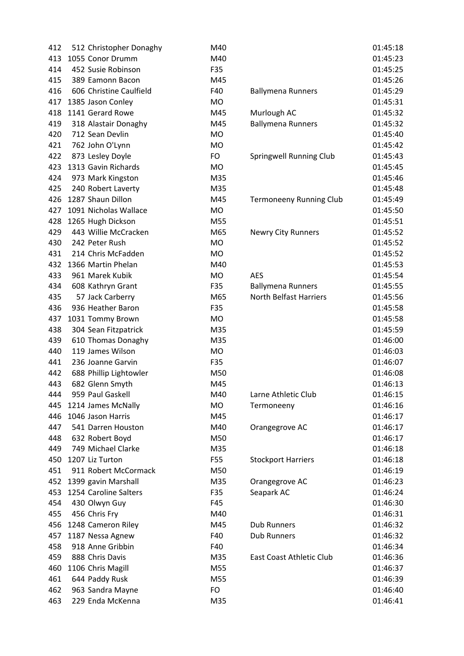| 512 Christopher Donaghy | M40       |                                | 01:45:18                 |
|-------------------------|-----------|--------------------------------|--------------------------|
| 1055 Conor Drumm        | M40       |                                | 01:45:23                 |
| 452 Susie Robinson      | F35       |                                | 01:45:25                 |
| 389 Eamonn Bacon        | M45       |                                | 01:45:26                 |
| 606 Christine Caulfield | F40       | <b>Ballymena Runners</b>       | 01:45:29                 |
| 1385 Jason Conley       | <b>MO</b> |                                | 01:45:31                 |
| 1141 Gerard Rowe        | M45       | Murlough AC                    | 01:45:32                 |
| 318 Alastair Donaghy    | M45       | <b>Ballymena Runners</b>       | 01:45:32                 |
| 712 Sean Devlin         | <b>MO</b> |                                | 01:45:40                 |
| 762 John O'Lynn         | <b>MO</b> |                                | 01:45:42                 |
| 873 Lesley Doyle        | FO        | <b>Springwell Running Club</b> | 01:45:43                 |
| 1313 Gavin Richards     | <b>MO</b> |                                | 01:45:45                 |
| 973 Mark Kingston       | M35       |                                | 01:45:46                 |
| 240 Robert Laverty      | M35       |                                | 01:45:48                 |
| 1287 Shaun Dillon       | M45       | <b>Termoneeny Running Club</b> | 01:45:49                 |
| 1091 Nicholas Wallace   | <b>MO</b> |                                | 01:45:50                 |
| 1265 Hugh Dickson       | M55       |                                | 01:45:51                 |
| 443 Willie McCracken    | M65       | <b>Newry City Runners</b>      | 01:45:52                 |
| 242 Peter Rush          | <b>MO</b> |                                | 01:45:52                 |
| 214 Chris McFadden      | <b>MO</b> |                                | 01:45:52                 |
| 1366 Martin Phelan      | M40       |                                | 01:45:53                 |
| 961 Marek Kubik         | <b>MO</b> | <b>AES</b>                     | 01:45:54                 |
| 608 Kathryn Grant       | F35       |                                | 01:45:55                 |
| 57 Jack Carberry        | M65       | <b>North Belfast Harriers</b>  | 01:45:56                 |
| 936 Heather Baron       | F35       |                                | 01:45:58                 |
| 1031 Tommy Brown        | <b>MO</b> |                                | 01:45:58                 |
| 304 Sean Fitzpatrick    | M35       |                                | 01:45:59                 |
| 610 Thomas Donaghy      | M35       |                                | 01:46:00                 |
| 119 James Wilson        | <b>MO</b> |                                | 01:46:03                 |
| 236 Joanne Garvin       | F35       |                                | 01:46:07                 |
| 688 Phillip Lightowler  | M50       |                                | 01:46:08                 |
| 682 Glenn Smyth         | M45       |                                | 01:46:13                 |
| 959 Paul Gaskell        | M40       | Larne Athletic Club            | 01:46:15                 |
| 1214 James McNally      | MO        | Termoneeny                     | 01:46:16                 |
| 1046 Jason Harris       | M45       |                                | 01:46:17                 |
| 541 Darren Houston      | M40       | Orangegrove AC                 | 01:46:17                 |
| 632 Robert Boyd         | M50       |                                | 01:46:17                 |
| 749 Michael Clarke      | M35       |                                | 01:46:18                 |
| 1207 Liz Turton         | F55       | <b>Stockport Harriers</b>      | 01:46:18                 |
| 911 Robert McCormack    | M50       |                                | 01:46:19                 |
| 1399 gavin Marshall     | M35       | Orangegrove AC                 | 01:46:23                 |
| 1254 Caroline Salters   | F35       | Seapark AC                     | 01:46:24                 |
| 430 Olwyn Guy           | F45       |                                | 01:46:30                 |
| 456 Chris Fry           | M40       |                                | 01:46:31                 |
| 1248 Cameron Riley      | M45       | <b>Dub Runners</b>             | 01:46:32                 |
| 1187 Nessa Agnew        | F40       | <b>Dub Runners</b>             | 01:46:32                 |
| 918 Anne Gribbin        | F40       |                                | 01:46:34                 |
| 888 Chris Davis         | M35       | East Coast Athletic Club       | 01:46:36                 |
| 1106 Chris Magill       | M55       |                                | 01:46:37                 |
| 644 Paddy Rusk          | M55       |                                | 01:46:39                 |
| 963 Sandra Mayne        | FO        |                                | 01:46:40                 |
| 229 Enda McKenna        | M35       |                                | 01:46:41                 |
|                         |           |                                | <b>Ballymena Runners</b> |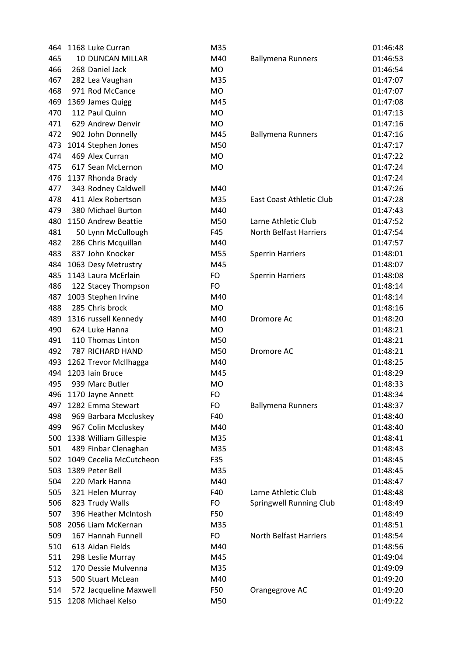| 464 | 1168 Luke Curran        | M35       |                               | 01:46:48 |
|-----|-------------------------|-----------|-------------------------------|----------|
| 465 | 10 DUNCAN MILLAR        | M40       | <b>Ballymena Runners</b>      | 01:46:53 |
| 466 | 268 Daniel Jack         | <b>MO</b> |                               | 01:46:54 |
| 467 | 282 Lea Vaughan         | M35       |                               | 01:47:07 |
| 468 | 971 Rod McCance         | <b>MO</b> |                               | 01:47:07 |
| 469 | 1369 James Quigg        | M45       |                               | 01:47:08 |
| 470 | 112 Paul Quinn          | <b>MO</b> |                               | 01:47:13 |
| 471 | 629 Andrew Denvir       | <b>MO</b> |                               | 01:47:16 |
| 472 | 902 John Donnelly       | M45       | <b>Ballymena Runners</b>      | 01:47:16 |
| 473 | 1014 Stephen Jones      | M50       |                               | 01:47:17 |
| 474 | 469 Alex Curran         | MO        |                               | 01:47:22 |
| 475 | 617 Sean McLernon       | <b>MO</b> |                               | 01:47:24 |
| 476 | 1137 Rhonda Brady       |           |                               | 01:47:24 |
| 477 | 343 Rodney Caldwell     | M40       |                               | 01:47:26 |
| 478 | 411 Alex Robertson      | M35       | East Coast Athletic Club      | 01:47:28 |
| 479 | 380 Michael Burton      | M40       |                               | 01:47:43 |
| 480 | 1150 Andrew Beattie     | M50       | Larne Athletic Club           | 01:47:52 |
| 481 | 50 Lynn McCullough      | F45       | <b>North Belfast Harriers</b> | 01:47:54 |
| 482 | 286 Chris Mcquillan     | M40       |                               | 01:47:57 |
| 483 | 837 John Knocker        | M55       | <b>Sperrin Harriers</b>       | 01:48:01 |
| 484 | 1063 Desy Metrustry     | M45       |                               | 01:48:07 |
| 485 | 1143 Laura McErlain     | <b>FO</b> | <b>Sperrin Harriers</b>       | 01:48:08 |
| 486 | 122 Stacey Thompson     | FO        |                               | 01:48:14 |
| 487 | 1003 Stephen Irvine     | M40       |                               | 01:48:14 |
| 488 | 285 Chris brock         | <b>MO</b> |                               | 01:48:16 |
| 489 | 1316 russell Kennedy    | M40       | Dromore Ac                    | 01:48:20 |
| 490 | 624 Luke Hanna          | <b>MO</b> |                               | 01:48:21 |
| 491 | 110 Thomas Linton       | M50       |                               | 01:48:21 |
| 492 | <b>787 RICHARD HAND</b> | M50       | Dromore AC                    | 01:48:21 |
| 493 | 1262 Trevor McIlhagga   | M40       |                               | 01:48:25 |
| 494 | 1203 Iain Bruce         | M45       |                               | 01:48:29 |
| 495 | 939 Marc Butler         | <b>MO</b> |                               | 01:48:33 |
| 496 | 1170 Jayne Annett       | FO        |                               | 01:48:34 |
| 497 | 1282 Emma Stewart       | FO        | <b>Ballymena Runners</b>      | 01:48:37 |
| 498 | 969 Barbara Mccluskey   | F40       |                               | 01:48:40 |
| 499 | 967 Colin Mccluskey     | M40       |                               | 01:48:40 |
| 500 | 1338 William Gillespie  | M35       |                               | 01:48:41 |
| 501 | 489 Finbar Clenaghan    | M35       |                               | 01:48:43 |
| 502 | 1049 Cecelia McCutcheon | F35       |                               | 01:48:45 |
| 503 | 1389 Peter Bell         | M35       |                               | 01:48:45 |
| 504 | 220 Mark Hanna          | M40       |                               | 01:48:47 |
| 505 | 321 Helen Murray        | F40       | Larne Athletic Club           | 01:48:48 |
| 506 | 823 Trudy Walls         | FO        | Springwell Running Club       | 01:48:49 |
| 507 | 396 Heather McIntosh    | F50       |                               | 01:48:49 |
| 508 | 2056 Liam McKernan      | M35       |                               | 01:48:51 |
| 509 | 167 Hannah Funnell      | <b>FO</b> | <b>North Belfast Harriers</b> | 01:48:54 |
| 510 | 613 Aidan Fields        | M40       |                               | 01:48:56 |
| 511 | 298 Leslie Murray       | M45       |                               | 01:49:04 |
| 512 | 170 Dessie Mulvenna     | M35       |                               | 01:49:09 |
| 513 | 500 Stuart McLean       | M40       |                               | 01:49:20 |
| 514 | 572 Jacqueline Maxwell  | F50       | Orangegrove AC                | 01:49:20 |
| 515 | 1208 Michael Kelso      | M50       |                               | 01:49:22 |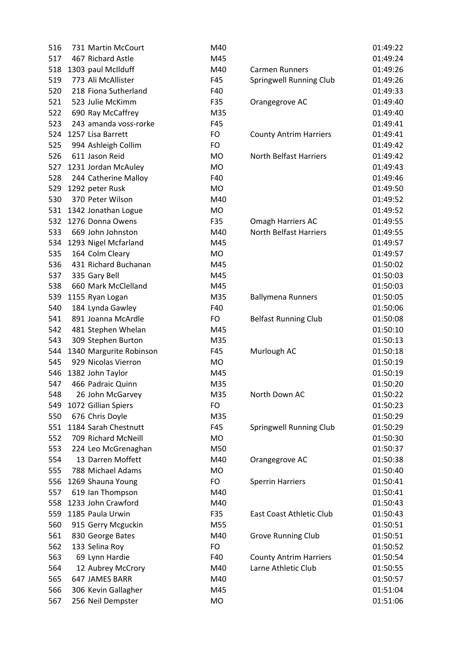| 516 | 731 Martin McCourt      | M40       |                               | 01:49:22 |
|-----|-------------------------|-----------|-------------------------------|----------|
| 517 | 467 Richard Astle       | M45       |                               | 01:49:24 |
| 518 | 1303 paul McIlduff      | M40       | <b>Carmen Runners</b>         | 01:49:26 |
| 519 | 773 Ali McAllister      | F45       | Springwell Running Club       | 01:49:26 |
| 520 | 218 Fiona Sutherland    | F40       |                               | 01:49:33 |
| 521 | 523 Julie McKimm        | F35       | Orangegrove AC                | 01:49:40 |
| 522 | 690 Ray McCaffrey       | M35       |                               | 01:49:40 |
| 523 | 243 amanda voss-rorke   | F45       |                               | 01:49:41 |
| 524 | 1257 Lisa Barrett       | FO        | <b>County Antrim Harriers</b> | 01:49:41 |
| 525 | 994 Ashleigh Collim     | FO        |                               | 01:49:42 |
| 526 | 611 Jason Reid          | <b>MO</b> | <b>North Belfast Harriers</b> | 01:49:42 |
| 527 | 1231 Jordan McAuley     | <b>MO</b> |                               | 01:49:43 |
| 528 | 244 Catherine Malloy    | F40       |                               | 01:49:46 |
| 529 | 1292 peter Rusk         | <b>MO</b> |                               | 01:49:50 |
| 530 | 370 Peter Wilson        | M40       |                               | 01:49:52 |
| 531 | 1342 Jonathan Logue     | <b>MO</b> |                               | 01:49:52 |
| 532 | 1276 Donna Owens        | F35       | Omagh Harriers AC             | 01:49:55 |
| 533 | 669 John Johnston       | M40       | <b>North Belfast Harriers</b> | 01:49:55 |
| 534 | 1293 Nigel Mcfarland    | M45       |                               | 01:49:57 |
| 535 | 164 Colm Cleary         | MO        |                               | 01:49:57 |
| 536 | 431 Richard Buchanan    | M45       |                               | 01:50:02 |
| 537 | 335 Gary Bell           | M45       |                               | 01:50:03 |
| 538 | 660 Mark McClelland     | M45       |                               | 01:50:03 |
| 539 | 1155 Ryan Logan         | M35       | <b>Ballymena Runners</b>      | 01:50:05 |
| 540 | 184 Lynda Gawley        | F40       |                               | 01:50:06 |
| 541 | 891 Joanna McArdle      | FO        | <b>Belfast Running Club</b>   | 01:50:08 |
| 542 | 481 Stephen Whelan      | M45       |                               | 01:50:10 |
| 543 | 309 Stephen Burton      | M35       |                               | 01:50:13 |
| 544 | 1340 Margurite Robinson | F45       | Murlough AC                   | 01:50:18 |
| 545 | 929 Nicolas Vierron     | MO        |                               | 01:50:19 |
| 546 | 1382 John Taylor        | M45       |                               | 01:50:19 |
| 547 | 466 Padraic Quinn       | M35       |                               | 01:50:20 |
| 548 | 26 John McGarvey        | M35       | North Down AC                 | 01:50:22 |
| 549 | 1072 Gillian Spiers     | FO        |                               | 01:50:23 |
| 550 | 676 Chris Doyle         | M35       |                               | 01:50:29 |
| 551 | 1184 Sarah Chestnutt    | F45       | Springwell Running Club       | 01:50:29 |
| 552 | 709 Richard McNeill     | MO        |                               | 01:50:30 |
| 553 | 224 Leo McGrenaghan     | M50       |                               | 01:50:37 |
| 554 | 13 Darren Moffett       | M40       | Orangegrove AC                | 01:50:38 |
| 555 | 788 Michael Adams       | <b>MO</b> |                               | 01:50:40 |
| 556 | 1269 Shauna Young       | FO        | <b>Sperrin Harriers</b>       | 01:50:41 |
| 557 | 619 Ian Thompson        | M40       |                               | 01:50:41 |
| 558 | 1233 John Crawford      | M40       |                               | 01:50:43 |
| 559 | 1185 Paula Urwin        | F35       | East Coast Athletic Club      | 01:50:43 |
| 560 | 915 Gerry Mcguckin      | M55       |                               | 01:50:51 |
| 561 | 830 George Bates        | M40       | <b>Grove Running Club</b>     | 01:50:51 |
| 562 | 133 Selina Roy          | FO        |                               | 01:50:52 |
| 563 | 69 Lynn Hardie          | F40       | <b>County Antrim Harriers</b> | 01:50:54 |
| 564 | 12 Aubrey McCrory       | M40       | Larne Athletic Club           | 01:50:55 |
| 565 | 647 JAMES BARR          | M40       |                               | 01:50:57 |
| 566 | 306 Kevin Gallagher     | M45       |                               | 01:51:04 |
| 567 | 256 Neil Dempster       | <b>MO</b> |                               | 01:51:06 |
|     |                         |           |                               |          |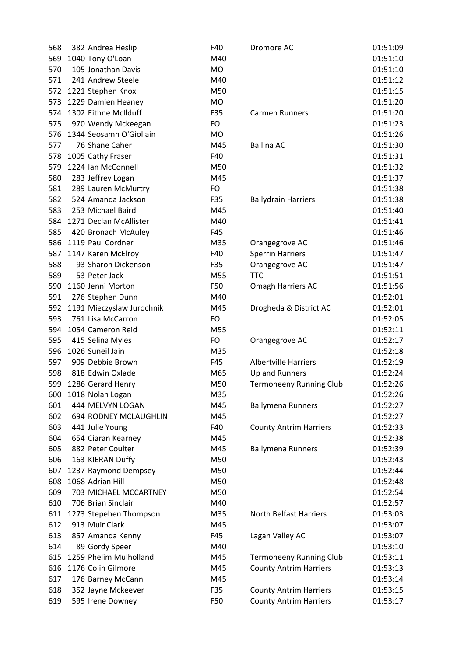| 568 | 382 Andrea Heslip         | F40       | Dromore AC                     | 01:51:09 |
|-----|---------------------------|-----------|--------------------------------|----------|
| 569 | 1040 Tony O'Loan          | M40       |                                | 01:51:10 |
| 570 | 105 Jonathan Davis        | <b>MO</b> |                                | 01:51:10 |
| 571 | 241 Andrew Steele         | M40       |                                | 01:51:12 |
| 572 | 1221 Stephen Knox         | M50       |                                | 01:51:15 |
| 573 | 1229 Damien Heaney        | <b>MO</b> |                                | 01:51:20 |
| 574 | 1302 Eithne McIlduff      | F35       | <b>Carmen Runners</b>          | 01:51:20 |
| 575 | 970 Wendy Mckeegan        | FO        |                                | 01:51:23 |
| 576 | 1344 Seosamh O'Giollain   | <b>MO</b> |                                | 01:51:26 |
| 577 | 76 Shane Caher            | M45       | <b>Ballina AC</b>              | 01:51:30 |
| 578 | 1005 Cathy Fraser         | F40       |                                | 01:51:31 |
| 579 | 1224 Ian McConnell        | M50       |                                | 01:51:32 |
| 580 | 283 Jeffrey Logan         | M45       |                                | 01:51:37 |
| 581 | 289 Lauren McMurtry       | <b>FO</b> |                                | 01:51:38 |
| 582 | 524 Amanda Jackson        | F35       | <b>Ballydrain Harriers</b>     | 01:51:38 |
| 583 | 253 Michael Baird         | M45       |                                | 01:51:40 |
| 584 | 1271 Declan McAllister    | M40       |                                | 01:51:41 |
| 585 | 420 Bronach McAuley       | F45       |                                | 01:51:46 |
| 586 | 1119 Paul Cordner         | M35       | Orangegrove AC                 | 01:51:46 |
| 587 | 1147 Karen McElroy        | F40       | <b>Sperrin Harriers</b>        | 01:51:47 |
| 588 | 93 Sharon Dickenson       | F35       | Orangegrove AC                 | 01:51:47 |
| 589 | 53 Peter Jack             | M55       | <b>TTC</b>                     | 01:51:51 |
| 590 | 1160 Jenni Morton         | F50       | Omagh Harriers AC              | 01:51:56 |
| 591 | 276 Stephen Dunn          | M40       |                                | 01:52:01 |
| 592 | 1191 Mieczyslaw Jurochnik | M45       | Drogheda & District AC         | 01:52:01 |
| 593 | 761 Lisa McCarron         | FO        |                                | 01:52:05 |
| 594 | 1054 Cameron Reid         | M55       |                                | 01:52:11 |
| 595 | 415 Selina Myles          | FO        | Orangegrove AC                 | 01:52:17 |
| 596 | 1026 Suneil Jain          | M35       |                                | 01:52:18 |
| 597 | 909 Debbie Brown          | F45       | <b>Albertville Harriers</b>    | 01:52:19 |
| 598 | 818 Edwin Oxlade          | M65       | Up and Runners                 | 01:52:24 |
| 599 | 1286 Gerard Henry         | M50       | <b>Termoneeny Running Club</b> | 01:52:26 |
| 600 | 1018 Nolan Logan          | M35       |                                | 01:52:26 |
| 601 | 444 MELVYN LOGAN          | M45       | <b>Ballymena Runners</b>       | 01:52:27 |
| 602 | 694 RODNEY MCLAUGHLIN     | M45       |                                | 01:52:27 |
| 603 | 441 Julie Young           | F40       | <b>County Antrim Harriers</b>  | 01:52:33 |
| 604 | 654 Ciaran Kearney        | M45       |                                | 01:52:38 |
| 605 | 882 Peter Coulter         | M45       | <b>Ballymena Runners</b>       | 01:52:39 |
| 606 | 163 KIERAN Duffy          | M50       |                                | 01:52:43 |
| 607 | 1237 Raymond Dempsey      | M50       |                                | 01:52:44 |
| 608 | 1068 Adrian Hill          | M50       |                                | 01:52:48 |
| 609 | 703 MICHAEL MCCARTNEY     | M50       |                                | 01:52:54 |
| 610 | 706 Brian Sinclair        | M40       |                                | 01:52:57 |
| 611 | 1273 Stepehen Thompson    | M35       | North Belfast Harriers         | 01:53:03 |
| 612 | 913 Muir Clark            | M45       |                                | 01:53:07 |
| 613 | 857 Amanda Kenny          | F45       | Lagan Valley AC                | 01:53:07 |
| 614 | 89 Gordy Speer            | M40       |                                | 01:53:10 |
| 615 | 1259 Phelim Mulholland    | M45       | <b>Termoneeny Running Club</b> | 01:53:11 |
| 616 | 1176 Colin Gilmore        | M45       | <b>County Antrim Harriers</b>  | 01:53:13 |
| 617 | 176 Barney McCann         | M45       |                                | 01:53:14 |
| 618 | 352 Jayne Mckeever        | F35       | <b>County Antrim Harriers</b>  | 01:53:15 |
| 619 | 595 Irene Downey          | F50       | <b>County Antrim Harriers</b>  | 01:53:17 |
|     |                           |           |                                |          |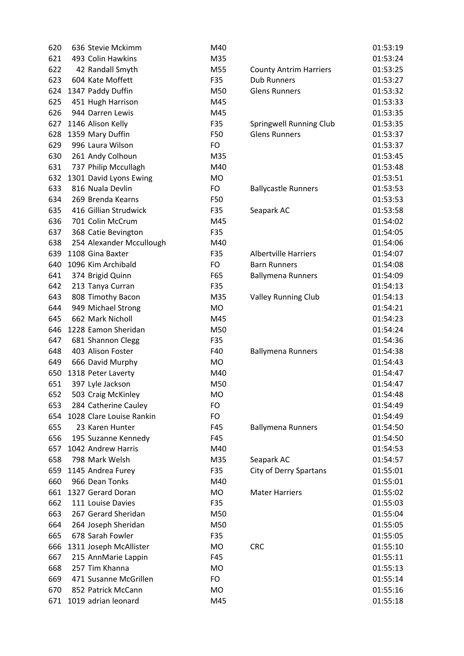| 620 | 636 Stevie Mckimm        | M40       |                               | 01:53:19 |
|-----|--------------------------|-----------|-------------------------------|----------|
| 621 | 493 Colin Hawkins        | M35       |                               | 01:53:24 |
| 622 | 42 Randall Smyth         | M55       | <b>County Antrim Harriers</b> | 01:53:25 |
| 623 | 604 Kate Moffett         | F35       | <b>Dub Runners</b>            | 01:53:27 |
| 624 | 1347 Paddy Duffin        | M50       | <b>Glens Runners</b>          | 01:53:32 |
| 625 | 451 Hugh Harrison        | M45       |                               | 01:53:33 |
| 626 | 944 Darren Lewis         | M45       |                               | 01:53:35 |
| 627 | 1146 Alison Kelly        | F35       | Springwell Running Club       | 01:53:35 |
| 628 | 1359 Mary Duffin         | F50       | <b>Glens Runners</b>          | 01:53:37 |
| 629 | 996 Laura Wilson         | <b>FO</b> |                               | 01:53:37 |
| 630 | 261 Andy Colhoun         | M35       |                               | 01:53:45 |
| 631 | 737 Philip Mccullagh     | M40       |                               | 01:53:48 |
| 632 | 1301 David Lyons Ewing   | <b>MO</b> |                               | 01:53:51 |
| 633 | 816 Nuala Devlin         | <b>FO</b> | <b>Ballycastle Runners</b>    | 01:53:53 |
| 634 | 269 Brenda Kearns        | F50       |                               | 01:53:53 |
| 635 | 416 Gillian Strudwick    | F35       | Seapark AC                    | 01:53:58 |
| 636 | 701 Colin McCrum         | M45       |                               | 01:54:02 |
| 637 | 368 Catie Bevington      | F35       |                               | 01:54:05 |
| 638 | 254 Alexander Mccullough | M40       |                               | 01:54:06 |
| 639 | 1108 Gina Baxter         | F35       | <b>Albertville Harriers</b>   | 01:54:07 |
| 640 | 1096 Kim Archibald       | <b>FO</b> | <b>Barn Runners</b>           | 01:54:08 |
| 641 | 374 Brigid Quinn         | F65       | <b>Ballymena Runners</b>      | 01:54:09 |
| 642 | 213 Tanya Curran         | F35       |                               | 01:54:13 |
| 643 | 808 Timothy Bacon        | M35       | <b>Valley Running Club</b>    | 01:54:13 |
| 644 | 949 Michael Strong       | <b>MO</b> |                               | 01:54:21 |
| 645 | 662 Mark Nicholl         | M45       |                               | 01:54:23 |
| 646 | 1228 Eamon Sheridan      | M50       |                               | 01:54:24 |
| 647 | 681 Shannon Clegg        | F35       |                               | 01:54:36 |
| 648 | 403 Alison Foster        | F40       | <b>Ballymena Runners</b>      | 01:54:38 |
| 649 | 666 David Murphy         | <b>MO</b> |                               | 01:54:43 |
| 650 | 1318 Peter Laverty       | M40       |                               | 01:54:47 |
| 651 | 397 Lyle Jackson         | M50       |                               | 01:54:47 |
| 652 | 503 Craig McKinley       | <b>MO</b> |                               | 01:54:48 |
| 653 | 284 Catherine Cauley     | FO        |                               | 01:54:49 |
| 654 | 1028 Clare Louise Rankin | FO        |                               | 01:54:49 |
| 655 | 23 Karen Hunter          | F45       | <b>Ballymena Runners</b>      | 01:54:50 |
| 656 | 195 Suzanne Kennedy      | F45       |                               | 01:54:50 |
| 657 | 1042 Andrew Harris       | M40       |                               | 01:54:53 |
| 658 | 798 Mark Welsh           | M35       | Seapark AC                    | 01:54:57 |
| 659 | 1145 Andrea Furey        | F35       | City of Derry Spartans        | 01:55:01 |
| 660 | 966 Dean Tonks           | M40       |                               | 01:55:01 |
| 661 | 1327 Gerard Doran        | <b>MO</b> | <b>Mater Harriers</b>         | 01:55:02 |
| 662 | 111 Louise Davies        | F35       |                               | 01:55:03 |
| 663 | 267 Gerard Sheridan      | M50       |                               | 01:55:04 |
| 664 | 264 Joseph Sheridan      | M50       |                               | 01:55:05 |
| 665 | 678 Sarah Fowler         | F35       |                               | 01:55:05 |
| 666 | 1311 Joseph McAllister   | <b>MO</b> | <b>CRC</b>                    | 01:55:10 |
| 667 | 215 AnnMarie Lappin      | F45       |                               | 01:55:11 |
| 668 | 257 Tim Khanna           | <b>MO</b> |                               | 01:55:13 |
| 669 | 471 Susanne McGrillen    | FO        |                               | 01:55:14 |
| 670 | 852 Patrick McCann       | <b>MO</b> |                               | 01:55:16 |
| 671 | 1019 adrian leonard      |           |                               |          |
|     |                          | M45       |                               | 01:55:18 |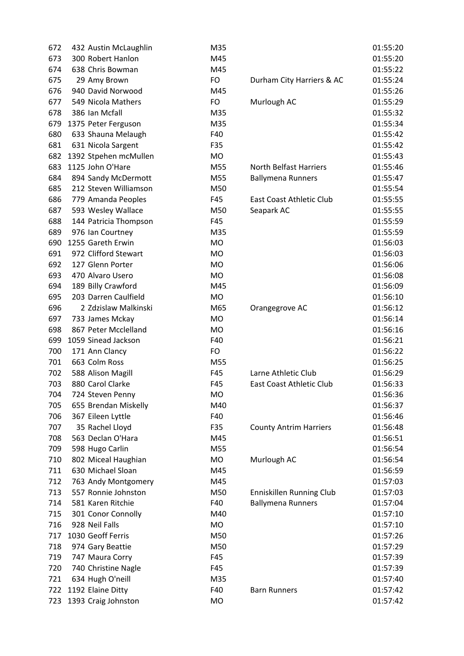| 672 | 432 Austin McLaughlin                  | M35       |                                 | 01:55:20 |
|-----|----------------------------------------|-----------|---------------------------------|----------|
| 673 | 300 Robert Hanlon                      | M45       |                                 | 01:55:20 |
| 674 | 638 Chris Bowman                       | M45       |                                 | 01:55:22 |
| 675 | 29 Amy Brown                           | <b>FO</b> | Durham City Harriers & AC       | 01:55:24 |
| 676 | 940 David Norwood                      | M45       |                                 | 01:55:26 |
| 677 | 549 Nicola Mathers                     | FO        | Murlough AC                     | 01:55:29 |
| 678 | 386 Ian Mcfall                         | M35       |                                 | 01:55:32 |
| 679 | 1375 Peter Ferguson                    | M35       |                                 | 01:55:34 |
| 680 | 633 Shauna Melaugh                     | F40       |                                 | 01:55:42 |
| 681 | 631 Nicola Sargent                     | F35       |                                 | 01:55:42 |
| 682 | 1392 Stpehen mcMullen                  | <b>MO</b> |                                 | 01:55:43 |
| 683 | 1125 John O'Hare                       | M55       | <b>North Belfast Harriers</b>   | 01:55:46 |
| 684 | 894 Sandy McDermott                    | M55       | <b>Ballymena Runners</b>        | 01:55:47 |
| 685 | 212 Steven Williamson                  | M50       |                                 | 01:55:54 |
| 686 | 779 Amanda Peoples                     | F45       | <b>East Coast Athletic Club</b> | 01:55:55 |
| 687 | 593 Wesley Wallace                     | M50       | Seapark AC                      | 01:55:55 |
| 688 | 144 Patricia Thompson                  | F45       |                                 | 01:55:59 |
| 689 | 976 Ian Courtney                       | M35       |                                 | 01:55:59 |
| 690 | 1255 Gareth Erwin                      | <b>MO</b> |                                 | 01:56:03 |
| 691 | 972 Clifford Stewart                   | <b>MO</b> |                                 | 01:56:03 |
| 692 | 127 Glenn Porter                       | <b>MO</b> |                                 | 01:56:06 |
| 693 | 470 Alvaro Usero                       | <b>MO</b> |                                 | 01:56:08 |
| 694 | 189 Billy Crawford                     | M45       |                                 | 01:56:09 |
| 695 | 203 Darren Caulfield                   | <b>MO</b> |                                 | 01:56:10 |
| 696 | 2 Zdzislaw Malkinski                   | M65       | Orangegrove AC                  | 01:56:12 |
| 697 | 733 James Mckay                        | <b>MO</b> |                                 | 01:56:14 |
| 698 | 867 Peter Mcclelland                   | <b>MO</b> |                                 | 01:56:16 |
| 699 | 1059 Sinead Jackson                    | F40       |                                 | 01:56:21 |
| 700 | 171 Ann Clancy                         | <b>FO</b> |                                 | 01:56:22 |
| 701 | 663 Colm Ross                          | M55       |                                 | 01:56:25 |
| 702 | 588 Alison Magill                      | F45       | Larne Athletic Club             | 01:56:29 |
| 703 | 880 Carol Clarke                       | F45       | <b>East Coast Athletic Club</b> | 01:56:33 |
| 704 | 724 Steven Penny                       | <b>MO</b> |                                 | 01:56:36 |
| 705 | 655 Brendan Miskelly                   | M40       |                                 | 01:56:37 |
| 706 | 367 Eileen Lyttle                      | F40       |                                 | 01:56:46 |
| 707 | 35 Rachel Lloyd                        | F35       | <b>County Antrim Harriers</b>   | 01:56:48 |
| 708 | 563 Declan O'Hara                      | M45       |                                 | 01:56:51 |
| 709 | 598 Hugo Carlin                        | M55       |                                 | 01:56:54 |
| 710 | 802 Miceal Haughian                    | MO        | Murlough AC                     | 01:56:54 |
| 711 | 630 Michael Sloan                      | M45       |                                 | 01:56:59 |
| 712 | 763 Andy Montgomery                    | M45       |                                 | 01:57:03 |
| 713 | 557 Ronnie Johnston                    | M50       | <b>Enniskillen Running Club</b> | 01:57:03 |
| 714 | 581 Karen Ritchie                      | F40       | <b>Ballymena Runners</b>        | 01:57:04 |
| 715 | 301 Conor Connolly                     | M40       |                                 | 01:57:10 |
| 716 | 928 Neil Falls                         | MO        |                                 | 01:57:10 |
| 717 | 1030 Geoff Ferris                      | M50       |                                 | 01:57:26 |
| 718 | 974 Gary Beattie                       | M50       |                                 | 01:57:29 |
| 719 |                                        | F45       |                                 | 01:57:39 |
| 720 | 747 Maura Corry<br>740 Christine Nagle | F45       |                                 | 01:57:39 |
| 721 |                                        | M35       |                                 | 01:57:40 |
| 722 | 634 Hugh O'neill<br>1192 Elaine Ditty  | F40       | <b>Barn Runners</b>             | 01:57:42 |
|     |                                        |           |                                 |          |
| 723 | 1393 Craig Johnston                    | MO        |                                 | 01:57:42 |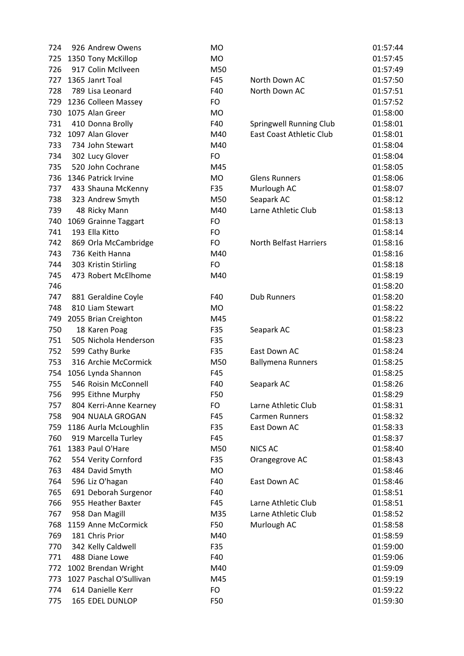| 724 | 926 Andrew Owens        | <b>MO</b> |                                 | 01:57:44 |
|-----|-------------------------|-----------|---------------------------------|----------|
| 725 | 1350 Tony McKillop      | MO        |                                 | 01:57:45 |
| 726 | 917 Colin McIlveen      | M50       |                                 | 01:57:49 |
| 727 | 1365 Janrt Toal         | F45       | North Down AC                   | 01:57:50 |
| 728 | 789 Lisa Leonard        | F40       | North Down AC                   | 01:57:51 |
| 729 | 1236 Colleen Massey     | FO        |                                 | 01:57:52 |
| 730 | 1075 Alan Greer         | <b>MO</b> |                                 | 01:58:00 |
| 731 | 410 Donna Brolly        | F40       | Springwell Running Club         | 01:58:01 |
| 732 | 1097 Alan Glover        | M40       | <b>East Coast Athletic Club</b> | 01:58:01 |
| 733 | 734 John Stewart        | M40       |                                 | 01:58:04 |
| 734 | 302 Lucy Glover         | FO        |                                 | 01:58:04 |
| 735 | 520 John Cochrane       | M45       |                                 | 01:58:05 |
| 736 | 1346 Patrick Irvine     | <b>MO</b> | <b>Glens Runners</b>            | 01:58:06 |
| 737 | 433 Shauna McKenny      | F35       | Murlough AC                     | 01:58:07 |
| 738 | 323 Andrew Smyth        | M50       | Seapark AC                      | 01:58:12 |
| 739 | 48 Ricky Mann           | M40       | Larne Athletic Club             | 01:58:13 |
| 740 | 1069 Grainne Taggart    | FO        |                                 | 01:58:13 |
| 741 | 193 Ella Kitto          | FO        |                                 | 01:58:14 |
| 742 | 869 Orla McCambridge    | FO        | <b>North Belfast Harriers</b>   | 01:58:16 |
| 743 | 736 Keith Hanna         | M40       |                                 | 01:58:16 |
| 744 | 303 Kristin Stirling    | FO        |                                 | 01:58:18 |
| 745 | 473 Robert McElhome     | M40       |                                 | 01:58:19 |
| 746 |                         |           |                                 | 01:58:20 |
| 747 | 881 Geraldine Coyle     | F40       | <b>Dub Runners</b>              | 01:58:20 |
| 748 | 810 Liam Stewart        | <b>MO</b> |                                 | 01:58:22 |
| 749 | 2055 Brian Creighton    | M45       |                                 | 01:58:22 |
| 750 | 18 Karen Poag           | F35       | Seapark AC                      | 01:58:23 |
| 751 | 505 Nichola Henderson   | F35       |                                 | 01:58:23 |
| 752 | 599 Cathy Burke         | F35       | East Down AC                    | 01:58:24 |
| 753 | 316 Archie McCormick    | M50       | <b>Ballymena Runners</b>        | 01:58:25 |
| 754 | 1056 Lynda Shannon      | F45       |                                 | 01:58:25 |
| 755 | 546 Roisin McConnell    | F40       | Seapark AC                      | 01:58:26 |
| 756 | 995 Eithne Murphy       | F50       |                                 | 01:58:29 |
| 757 | 804 Kerri-Anne Kearney  | FO        | Larne Athletic Club             | 01:58:31 |
| 758 | 904 NUALA GROGAN        | F45       | <b>Carmen Runners</b>           | 01:58:32 |
| 759 | 1186 Aurla McLoughlin   | F35       | East Down AC                    | 01:58:33 |
| 760 | 919 Marcella Turley     | F45       |                                 | 01:58:37 |
| 761 | 1383 Paul O'Hare        | M50       | <b>NICS AC</b>                  | 01:58:40 |
| 762 | 554 Verity Cornford     | F35       | Orangegrove AC                  | 01:58:43 |
| 763 | 484 David Smyth         | <b>MO</b> |                                 | 01:58:46 |
| 764 | 596 Liz O'hagan         | F40       | East Down AC                    | 01:58:46 |
| 765 | 691 Deborah Surgenor    | F40       |                                 | 01:58:51 |
| 766 | 955 Heather Baxter      | F45       | Larne Athletic Club             | 01:58:51 |
| 767 | 958 Dan Magill          | M35       | Larne Athletic Club             | 01:58:52 |
| 768 | 1159 Anne McCormick     | F50       | Murlough AC                     | 01:58:58 |
| 769 | 181 Chris Prior         | M40       |                                 | 01:58:59 |
| 770 | 342 Kelly Caldwell      | F35       |                                 | 01:59:00 |
| 771 | 488 Diane Lowe          | F40       |                                 | 01:59:06 |
| 772 | 1002 Brendan Wright     | M40       |                                 | 01:59:09 |
| 773 | 1027 Paschal O'Sullivan | M45       |                                 | 01:59:19 |
| 774 | 614 Danielle Kerr       | <b>FO</b> |                                 | 01:59:22 |
| 775 | 165 EDEL DUNLOP         | F50       |                                 | 01:59:30 |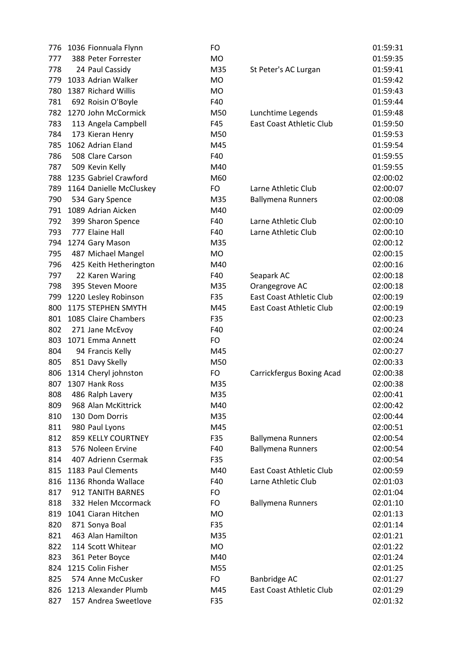| 776 | 1036 Fionnuala Flynn    | FO        |                           | 01:59:31 |
|-----|-------------------------|-----------|---------------------------|----------|
| 777 | 388 Peter Forrester     | <b>MO</b> |                           | 01:59:35 |
| 778 | 24 Paul Cassidy         | M35       | St Peter's AC Lurgan      | 01:59:41 |
| 779 | 1033 Adrian Walker      | <b>MO</b> |                           | 01:59:42 |
| 780 | 1387 Richard Willis     | <b>MO</b> |                           | 01:59:43 |
| 781 | 692 Roisin O'Boyle      | F40       |                           | 01:59:44 |
| 782 | 1270 John McCormick     | M50       | Lunchtime Legends         | 01:59:48 |
| 783 | 113 Angela Campbell     | F45       | East Coast Athletic Club  | 01:59:50 |
| 784 | 173 Kieran Henry        | M50       |                           | 01:59:53 |
| 785 | 1062 Adrian Eland       | M45       |                           | 01:59:54 |
| 786 | 508 Clare Carson        | F40       |                           | 01:59:55 |
| 787 | 509 Kevin Kelly         | M40       |                           | 01:59:55 |
| 788 | 1235 Gabriel Crawford   | M60       |                           | 02:00:02 |
| 789 | 1164 Danielle McCluskey | FO        | Larne Athletic Club       | 02:00:07 |
| 790 | 534 Gary Spence         | M35       | <b>Ballymena Runners</b>  | 02:00:08 |
| 791 | 1089 Adrian Aicken      | M40       |                           | 02:00:09 |
| 792 | 399 Sharon Spence       | F40       | Larne Athletic Club       | 02:00:10 |
| 793 | 777 Elaine Hall         | F40       | Larne Athletic Club       | 02:00:10 |
| 794 | 1274 Gary Mason         | M35       |                           | 02:00:12 |
| 795 | 487 Michael Mangel      | <b>MO</b> |                           | 02:00:15 |
| 796 | 425 Keith Hetherington  | M40       |                           | 02:00:16 |
| 797 | 22 Karen Waring         | F40       | Seapark AC                | 02:00:18 |
| 798 | 395 Steven Moore        | M35       | Orangegrove AC            | 02:00:18 |
| 799 | 1220 Lesley Robinson    | F35       | East Coast Athletic Club  | 02:00:19 |
| 800 | 1175 STEPHEN SMYTH      | M45       | East Coast Athletic Club  | 02:00:19 |
| 801 | 1085 Claire Chambers    | F35       |                           | 02:00:23 |
| 802 | 271 Jane McEvoy         | F40       |                           | 02:00:24 |
| 803 | 1071 Emma Annett        | <b>FO</b> |                           | 02:00:24 |
| 804 | 94 Francis Kelly        | M45       |                           | 02:00:27 |
| 805 | 851 Davy Skelly         | M50       |                           | 02:00:33 |
| 806 | 1314 Cheryl johnston    | <b>FO</b> | Carrickfergus Boxing Acad | 02:00:38 |
| 807 | 1307 Hank Ross          | M35       |                           | 02:00:38 |
| 808 | 486 Ralph Lavery        | M35       |                           | 02:00:41 |
| 809 | 968 Alan McKittrick     | M40       |                           | 02:00:42 |
| 810 | 130 Dom Dorris          | M35       |                           | 02:00:44 |
| 811 | 980 Paul Lyons          | M45       |                           | 02:00:51 |
| 812 | 859 KELLY COURTNEY      | F35       | <b>Ballymena Runners</b>  | 02:00:54 |
| 813 | 576 Noleen Ervine       | F40       | <b>Ballymena Runners</b>  | 02:00:54 |
| 814 | 407 Adrienn Csermak     | F35       |                           | 02:00:54 |
| 815 | 1183 Paul Clements      | M40       | East Coast Athletic Club  | 02:00:59 |
| 816 | 1136 Rhonda Wallace     | F40       | Larne Athletic Club       | 02:01:03 |
| 817 | 912 TANITH BARNES       | FO        |                           | 02:01:04 |
| 818 | 332 Helen Mccormack     | FO        | <b>Ballymena Runners</b>  | 02:01:10 |
| 819 | 1041 Ciaran Hitchen     | <b>MO</b> |                           | 02:01:13 |
| 820 | 871 Sonya Boal          | F35       |                           | 02:01:14 |
| 821 | 463 Alan Hamilton       | M35       |                           | 02:01:21 |
| 822 | 114 Scott Whitear       | <b>MO</b> |                           | 02:01:22 |
| 823 | 361 Peter Boyce         | M40       |                           | 02:01:24 |
| 824 | 1215 Colin Fisher       | M55       |                           | 02:01:25 |
| 825 | 574 Anne McCusker       | FO        | Banbridge AC              | 02:01:27 |
| 826 | 1213 Alexander Plumb    | M45       | East Coast Athletic Club  | 02:01:29 |
| 827 | 157 Andrea Sweetlove    | F35       |                           | 02:01:32 |
|     |                         |           |                           |          |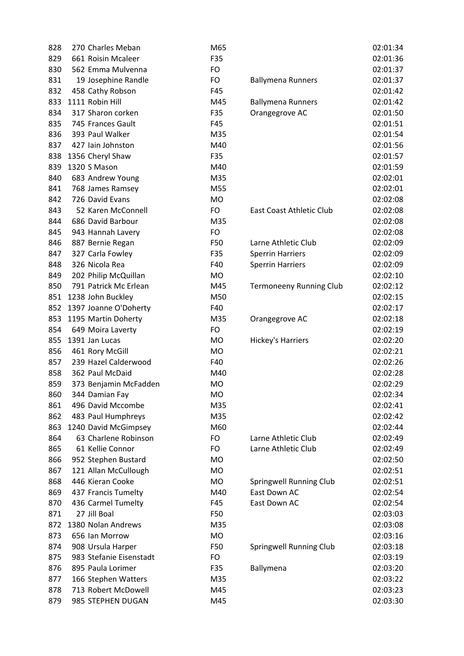| 828 | 270 Charles Meban       | M65       |                                | 02:01:34 |
|-----|-------------------------|-----------|--------------------------------|----------|
| 829 | 661 Roisin Mcaleer      | F35       |                                | 02:01:36 |
| 830 | 562 Emma Mulvenna       | <b>FO</b> |                                | 02:01:37 |
| 831 | 19 Josephine Randle     | FO        | <b>Ballymena Runners</b>       | 02:01:37 |
| 832 | 458 Cathy Robson        | F45       |                                | 02:01:42 |
| 833 | 1111 Robin Hill         | M45       | <b>Ballymena Runners</b>       | 02:01:42 |
| 834 | 317 Sharon corken       | F35       | Orangegrove AC                 | 02:01:50 |
| 835 | 745 Frances Gault       | F45       |                                | 02:01:51 |
| 836 | 393 Paul Walker         | M35       |                                | 02:01:54 |
| 837 | 427 Iain Johnston       | M40       |                                | 02:01:56 |
| 838 | 1356 Cheryl Shaw        | F35       |                                | 02:01:57 |
| 839 | 1320 S Mason            | M40       |                                | 02:01:59 |
| 840 | 683 Andrew Young        | M35       |                                | 02:02:01 |
| 841 | 768 James Ramsey        | M55       |                                | 02:02:01 |
| 842 | 726 David Evans         | <b>MO</b> |                                | 02:02:08 |
| 843 | 52 Karen McConnell      | FO        | East Coast Athletic Club       | 02:02:08 |
| 844 | 686 David Barbour       | M35       |                                | 02:02:08 |
| 845 | 943 Hannah Lavery       | <b>FO</b> |                                | 02:02:08 |
| 846 | 887 Bernie Regan        | F50       | Larne Athletic Club            | 02:02:09 |
| 847 | 327 Carla Fowley        | F35       | <b>Sperrin Harriers</b>        | 02:02:09 |
| 848 | 326 Nicola Rea          | F40       | <b>Sperrin Harriers</b>        | 02:02:09 |
| 849 | 202 Philip McQuillan    | <b>MO</b> |                                | 02:02:10 |
| 850 | 791 Patrick Mc Erlean   | M45       | <b>Termoneeny Running Club</b> | 02:02:12 |
| 851 | 1238 John Buckley       | M50       |                                | 02:02:15 |
| 852 | 1397 Joanne O'Doherty   | F40       |                                | 02:02:17 |
| 853 | 1195 Martin Doherty     | M35       | Orangegrove AC                 | 02:02:18 |
| 854 | 649 Moira Laverty       | FO        |                                | 02:02:19 |
| 855 | 1391 Jan Lucas          | <b>MO</b> | Hickey's Harriers              | 02:02:20 |
| 856 | 461 Rory McGill         | <b>MO</b> |                                | 02:02:21 |
| 857 | 239 Hazel Calderwood    | F40       |                                | 02:02:26 |
| 858 | 362 Paul McDaid         | M40       |                                | 02:02:28 |
| 859 | 373 Benjamin McFadden   | <b>MO</b> |                                | 02:02:29 |
| 860 | 344 Damian Fay          | МO        |                                | 02:02:34 |
| 861 | 496 David Mccombe       | M35       |                                | 02:02:41 |
| 862 | 483 Paul Humphreys      | M35       |                                | 02:02:42 |
| 863 | 1240 David McGimpsey    | M60       |                                | 02:02:44 |
| 864 | 63 Charlene Robinson    | FO        | Larne Athletic Club            | 02:02:49 |
| 865 | 61 Kellie Connor        | FO        | Larne Athletic Club            | 02:02:49 |
| 866 | 952 Stephen Bustard     | <b>MO</b> |                                | 02:02:50 |
| 867 | 121 Allan McCullough    | <b>MO</b> |                                | 02:02:51 |
| 868 | 446 Kieran Cooke        | <b>MO</b> | Springwell Running Club        | 02:02:51 |
| 869 | 437 Francis Tumelty     | M40       | East Down AC                   | 02:02:54 |
| 870 | 436 Carmel Tumelty      | F45       | East Down AC                   | 02:02:54 |
| 871 | 27 Jill Boal            | F50       |                                | 02:03:03 |
| 872 | 1380 Nolan Andrews      | M35       |                                | 02:03:08 |
| 873 | 656 Ian Morrow          | MO        |                                | 02:03:16 |
| 874 | 908 Ursula Harper       | F50       | Springwell Running Club        | 02:03:18 |
| 875 | 983 Stefanie Eisenstadt | FO        |                                | 02:03:19 |
| 876 | 895 Paula Lorimer       | F35       | Ballymena                      | 02:03:20 |
| 877 | 166 Stephen Watters     | M35       |                                | 02:03:22 |
| 878 | 713 Robert McDowell     | M45       |                                | 02:03:23 |
| 879 | 985 STEPHEN DUGAN       | M45       |                                | 02:03:30 |
|     |                         |           |                                |          |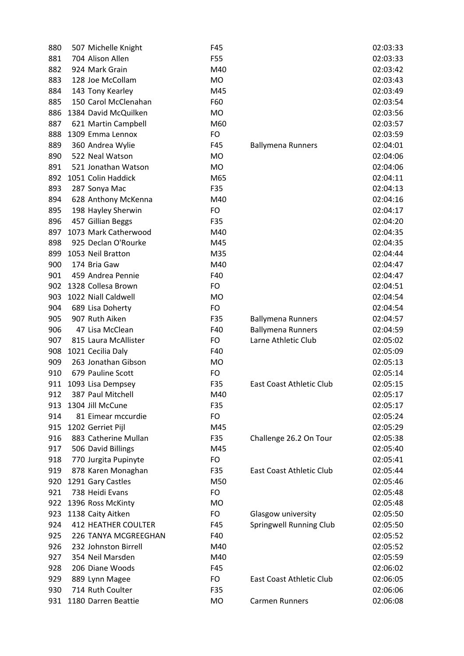| 880 | 507 Michelle Knight        | F45       |                          | 02:03:33 |
|-----|----------------------------|-----------|--------------------------|----------|
| 881 | 704 Alison Allen           | F55       |                          | 02:03:33 |
| 882 | 924 Mark Grain             | M40       |                          | 02:03:42 |
| 883 | 128 Joe McCollam           | MO        |                          | 02:03:43 |
| 884 | 143 Tony Kearley           | M45       |                          | 02:03:49 |
| 885 | 150 Carol McClenahan       | F60       |                          | 02:03:54 |
| 886 | 1384 David McQuilken       | <b>MO</b> |                          | 02:03:56 |
| 887 | 621 Martin Campbell        | M60       |                          | 02:03:57 |
| 888 | 1309 Emma Lennox           | FO        |                          | 02:03:59 |
| 889 | 360 Andrea Wylie           | F45       | <b>Ballymena Runners</b> | 02:04:01 |
| 890 | 522 Neal Watson            | MO        |                          | 02:04:06 |
| 891 | 521 Jonathan Watson        | <b>MO</b> |                          | 02:04:06 |
| 892 | 1051 Colin Haddick         | M65       |                          | 02:04:11 |
| 893 | 287 Sonya Mac              | F35       |                          | 02:04:13 |
| 894 | 628 Anthony McKenna        | M40       |                          | 02:04:16 |
| 895 | 198 Hayley Sherwin         | FO        |                          | 02:04:17 |
| 896 | 457 Gillian Beggs          | F35       |                          | 02:04:20 |
| 897 | 1073 Mark Catherwood       | M40       |                          | 02:04:35 |
| 898 | 925 Declan O'Rourke        | M45       |                          | 02:04:35 |
| 899 | 1053 Neil Bratton          | M35       |                          | 02:04:44 |
| 900 | 174 Bria Gaw               | M40       |                          | 02:04:47 |
| 901 | 459 Andrea Pennie          | F40       |                          | 02:04:47 |
| 902 | 1328 Collesa Brown         | FO        |                          | 02:04:51 |
| 903 | 1022 Niall Caldwell        | <b>MO</b> |                          | 02:04:54 |
| 904 | 689 Lisa Doherty           | FO        |                          | 02:04:54 |
| 905 | 907 Ruth Aiken             | F35       | <b>Ballymena Runners</b> | 02:04:57 |
| 906 | 47 Lisa McClean            | F40       | <b>Ballymena Runners</b> | 02:04:59 |
| 907 | 815 Laura McAllister       | FO        | Larne Athletic Club      | 02:05:02 |
| 908 | 1021 Cecilia Daly          | F40       |                          | 02:05:09 |
| 909 | 263 Jonathan Gibson        | <b>MO</b> |                          | 02:05:13 |
| 910 | 679 Pauline Scott          | FO        |                          | 02:05:14 |
| 911 | 1093 Lisa Dempsey          | F35       | East Coast Athletic Club | 02:05:15 |
| 912 | 387 Paul Mitchell          | M40       |                          | 02:05:17 |
| 913 | 1304 Jill McCune           | F35       |                          | 02:05:17 |
| 914 | 81 Eimear mccurdie         | FO        |                          | 02:05:24 |
| 915 | 1202 Gerriet Pijl          | M45       |                          | 02:05:29 |
| 916 | 883 Catherine Mullan       | F35       | Challenge 26.2 On Tour   | 02:05:38 |
| 917 | 506 David Billings         | M45       |                          | 02:05:40 |
| 918 | 770 Jurgita Pupinyte       | FO        |                          | 02:05:41 |
| 919 | 878 Karen Monaghan         | F35       | East Coast Athletic Club | 02:05:44 |
| 920 | 1291 Gary Castles          | M50       |                          | 02:05:46 |
| 921 | 738 Heidi Evans            | FO        |                          | 02:05:48 |
| 922 | 1396 Ross McKinty          | MO        |                          | 02:05:48 |
| 923 | 1138 Caity Aitken          | FO        | Glasgow university       | 02:05:50 |
| 924 | <b>412 HEATHER COULTER</b> | F45       | Springwell Running Club  | 02:05:50 |
| 925 | 226 TANYA MCGREEGHAN       | F40       |                          | 02:05:52 |
| 926 | 232 Johnston Birrell       | M40       |                          | 02:05:52 |
| 927 | 354 Neil Marsden           | M40       |                          | 02:05:59 |
| 928 | 206 Diane Woods            | F45       |                          | 02:06:02 |
| 929 | 889 Lynn Magee             | FO        | East Coast Athletic Club | 02:06:05 |
| 930 | 714 Ruth Coulter           | F35       |                          | 02:06:06 |
| 931 | 1180 Darren Beattie        | <b>MO</b> | Carmen Runners           | 02:06:08 |
|     |                            |           |                          |          |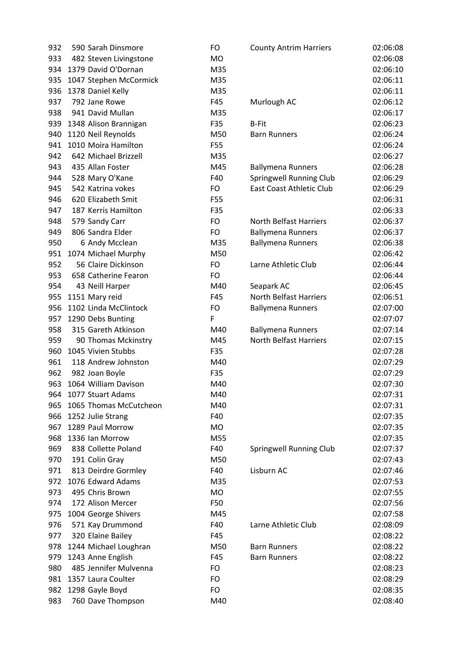| 932 | 590 Sarah Dinsmore     | FO        | <b>County Antrim Harriers</b> | 02:06:08 |
|-----|------------------------|-----------|-------------------------------|----------|
| 933 | 482 Steven Livingstone | <b>MO</b> |                               | 02:06:08 |
| 934 | 1379 David O'Dornan    | M35       |                               | 02:06:10 |
| 935 | 1047 Stephen McCormick | M35       |                               | 02:06:11 |
| 936 | 1378 Daniel Kelly      | M35       |                               | 02:06:11 |
| 937 | 792 Jane Rowe          | F45       | Murlough AC                   | 02:06:12 |
| 938 | 941 David Mullan       | M35       |                               | 02:06:17 |
| 939 | 1348 Alison Brannigan  | F35       | <b>B-Fit</b>                  | 02:06:23 |
| 940 | 1120 Neil Reynolds     | M50       | <b>Barn Runners</b>           | 02:06:24 |
| 941 | 1010 Moira Hamilton    | F55       |                               | 02:06:24 |
| 942 | 642 Michael Brizzell   | M35       |                               | 02:06:27 |
| 943 | 435 Allan Foster       | M45       | <b>Ballymena Runners</b>      | 02:06:28 |
| 944 | 528 Mary O'Kane        | F40       | Springwell Running Club       | 02:06:29 |
| 945 | 542 Katrina vokes      | FO        | East Coast Athletic Club      | 02:06:29 |
| 946 | 620 Elizabeth Smit     | F55       |                               | 02:06:31 |
| 947 | 187 Kerris Hamilton    | F35       |                               | 02:06:33 |
| 948 | 579 Sandy Carr         | FO        | <b>North Belfast Harriers</b> | 02:06:37 |
| 949 | 806 Sandra Elder       | <b>FO</b> | <b>Ballymena Runners</b>      | 02:06:37 |
| 950 | 6 Andy Mcclean         | M35       | <b>Ballymena Runners</b>      | 02:06:38 |
| 951 | 1074 Michael Murphy    | M50       |                               | 02:06:42 |
| 952 | 56 Claire Dickinson    | FO.       | Larne Athletic Club           | 02:06:44 |
| 953 | 658 Catherine Fearon   | <b>FO</b> |                               | 02:06:44 |
| 954 | 43 Neill Harper        | M40       | Seapark AC                    | 02:06:45 |
| 955 | 1151 Mary reid         | F45       | North Belfast Harriers        | 02:06:51 |
| 956 | 1102 Linda McClintock  | FO        | <b>Ballymena Runners</b>      | 02:07:00 |
| 957 | 1290 Debs Bunting      | F         |                               | 02:07:07 |
| 958 | 315 Gareth Atkinson    | M40       | <b>Ballymena Runners</b>      | 02:07:14 |
| 959 | 90 Thomas Mckinstry    | M45       | North Belfast Harriers        | 02:07:15 |
| 960 | 1045 Vivien Stubbs     | F35       |                               | 02:07:28 |
| 961 | 118 Andrew Johnston    | M40       |                               | 02:07:29 |
| 962 | 982 Joan Boyle         | F35       |                               | 02:07:29 |
| 963 | 1064 William Davison   | M40       |                               | 02:07:30 |
| 964 | 1077 Stuart Adams      | M40       |                               | 02:07:31 |
| 965 | 1065 Thomas McCutcheon | M40       |                               | 02:07:31 |
| 966 | 1252 Julie Strang      | F40       |                               | 02:07:35 |
| 967 | 1289 Paul Morrow       | MO        |                               | 02:07:35 |
| 968 | 1336 Ian Morrow        | M55       |                               | 02:07:35 |
| 969 | 838 Collette Poland    | F40       | Springwell Running Club       | 02:07:37 |
| 970 | 191 Colin Gray         | M50       |                               | 02:07:43 |
| 971 | 813 Deirdre Gormley    | F40       | Lisburn AC                    | 02:07:46 |
| 972 | 1076 Edward Adams      | M35       |                               | 02:07:53 |
| 973 | 495 Chris Brown        | <b>MO</b> |                               | 02:07:55 |
| 974 | 172 Alison Mercer      | F50       |                               | 02:07:56 |
| 975 | 1004 George Shivers    | M45       |                               | 02:07:58 |
| 976 | 571 Kay Drummond       | F40       | Larne Athletic Club           | 02:08:09 |
| 977 | 320 Elaine Bailey      | F45       |                               | 02:08:22 |
| 978 | 1244 Michael Loughran  | M50       | <b>Barn Runners</b>           | 02:08:22 |
| 979 | 1243 Anne English      | F45       | <b>Barn Runners</b>           | 02:08:22 |
| 980 | 485 Jennifer Mulvenna  | FO.       |                               | 02:08:23 |
| 981 | 1357 Laura Coulter     | FO        |                               | 02:08:29 |
| 982 | 1298 Gayle Boyd        | <b>FO</b> |                               | 02:08:35 |
| 983 | 760 Dave Thompson      | M40       |                               | 02:08:40 |
|     |                        |           |                               |          |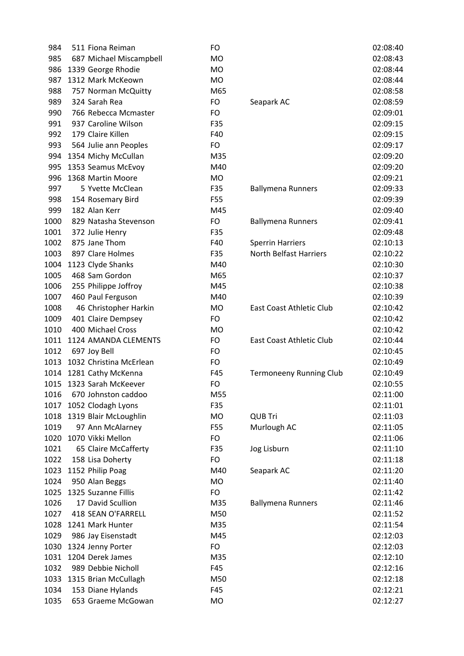| 984  | 511 Fiona Reiman         | FO        |                                | 02:08:40 |
|------|--------------------------|-----------|--------------------------------|----------|
| 985  | 687 Michael Miscampbell  | <b>MO</b> |                                | 02:08:43 |
| 986  | 1339 George Rhodie       | <b>MO</b> |                                | 02:08:44 |
| 987  | 1312 Mark McKeown        | <b>MO</b> |                                | 02:08:44 |
| 988  | 757 Norman McQuitty      | M65       |                                | 02:08:58 |
| 989  | 324 Sarah Rea            | FO        | Seapark AC                     | 02:08:59 |
| 990  | 766 Rebecca Mcmaster     | <b>FO</b> |                                | 02:09:01 |
| 991  | 937 Caroline Wilson      | F35       |                                | 02:09:15 |
| 992  | 179 Claire Killen        | F40       |                                | 02:09:15 |
| 993  | 564 Julie ann Peoples    | <b>FO</b> |                                | 02:09:17 |
| 994  | 1354 Michy McCullan      | M35       |                                | 02:09:20 |
| 995  | 1353 Seamus McEvoy       | M40       |                                | 02:09:20 |
| 996  | 1368 Martin Moore        | MO        |                                | 02:09:21 |
| 997  | 5 Yvette McClean         | F35       | <b>Ballymena Runners</b>       | 02:09:33 |
| 998  | 154 Rosemary Bird        | F55       |                                | 02:09:39 |
| 999  | 182 Alan Kerr            | M45       |                                | 02:09:40 |
| 1000 | 829 Natasha Stevenson    | FO        | <b>Ballymena Runners</b>       | 02:09:41 |
| 1001 | 372 Julie Henry          | F35       |                                | 02:09:48 |
| 1002 | 875 Jane Thom            | F40       | <b>Sperrin Harriers</b>        | 02:10:13 |
| 1003 | 897 Clare Holmes         | F35       | <b>North Belfast Harriers</b>  | 02:10:22 |
| 1004 | 1123 Clyde Shanks        | M40       |                                | 02:10:30 |
| 1005 | 468 Sam Gordon           | M65       |                                | 02:10:37 |
| 1006 | 255 Philippe Joffroy     | M45       |                                | 02:10:38 |
| 1007 | 460 Paul Ferguson        | M40       |                                | 02:10:39 |
| 1008 | 46 Christopher Harkin    | <b>MO</b> | East Coast Athletic Club       | 02:10:42 |
| 1009 | 401 Claire Dempsey       | FO        |                                | 02:10:42 |
| 1010 | 400 Michael Cross        | MO        |                                | 02:10:42 |
| 1011 | 1124 AMANDA CLEMENTS     | FO        | East Coast Athletic Club       | 02:10:44 |
| 1012 | 697 Joy Bell             | <b>FO</b> |                                | 02:10:45 |
| 1013 | 1032 Christina McErlean  | FO.       |                                | 02:10:49 |
| 1014 | 1281 Cathy McKenna       | F45       | <b>Termoneeny Running Club</b> | 02:10:49 |
|      | 1015 1323 Sarah McKeever | FO        |                                | 02:10:55 |
| 1016 | 670 Johnston caddoo      | M55       |                                | 02:11:00 |
| 1017 | 1052 Clodagh Lyons       | F35       |                                | 02:11:01 |
| 1018 | 1319 Blair McLoughlin    | MO        | <b>QUB Tri</b>                 | 02:11:03 |
| 1019 | 97 Ann McAlarney         | F55       | Murlough AC                    | 02:11:05 |
| 1020 | 1070 Vikki Mellon        | FO        |                                | 02:11:06 |
| 1021 | 65 Claire McCafferty     | F35       | Jog Lisburn                    | 02:11:10 |
| 1022 | 158 Lisa Doherty         | FO        |                                | 02:11:18 |
| 1023 | 1152 Philip Poag         | M40       | Seapark AC                     | 02:11:20 |
| 1024 | 950 Alan Beggs           | <b>MO</b> |                                | 02:11:40 |
| 1025 | 1325 Suzanne Fillis      | FO        |                                | 02:11:42 |
| 1026 | 17 David Scullion        | M35       | <b>Ballymena Runners</b>       | 02:11:46 |
| 1027 | 418 SEAN O'FARRELL       | M50       |                                | 02:11:52 |
| 1028 | 1241 Mark Hunter         | M35       |                                | 02:11:54 |
| 1029 | 986 Jay Eisenstadt       | M45       |                                | 02:12:03 |
| 1030 | 1324 Jenny Porter        | FO        |                                | 02:12:03 |
| 1031 | 1204 Derek James         | M35       |                                | 02:12:10 |
| 1032 | 989 Debbie Nicholl       | F45       |                                | 02:12:16 |
| 1033 | 1315 Brian McCullagh     | M50       |                                | 02:12:18 |
| 1034 | 153 Diane Hylands        | F45       |                                | 02:12:21 |
| 1035 | 653 Graeme McGowan       | <b>MO</b> |                                | 02:12:27 |
|      |                          |           |                                |          |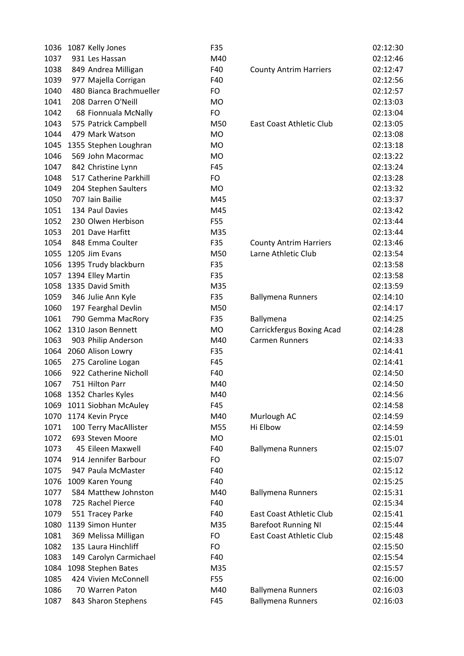| 1036 | 1087 Kelly Jones        | F35       |                               | 02:12:30 |
|------|-------------------------|-----------|-------------------------------|----------|
| 1037 | 931 Les Hassan          | M40       |                               | 02:12:46 |
| 1038 | 849 Andrea Milligan     | F40       | <b>County Antrim Harriers</b> | 02:12:47 |
| 1039 | 977 Majella Corrigan    | F40       |                               | 02:12:56 |
| 1040 | 480 Bianca Brachmueller | FO        |                               | 02:12:57 |
| 1041 | 208 Darren O'Neill      | <b>MO</b> |                               | 02:13:03 |
| 1042 | 68 Fionnuala McNally    | FO        |                               | 02:13:04 |
| 1043 | 575 Patrick Campbell    | M50       | East Coast Athletic Club      | 02:13:05 |
| 1044 | 479 Mark Watson         | <b>MO</b> |                               | 02:13:08 |
| 1045 | 1355 Stephen Loughran   | <b>MO</b> |                               | 02:13:18 |
| 1046 | 569 John Macormac       | <b>MO</b> |                               | 02:13:22 |
| 1047 | 842 Christine Lynn      | F45       |                               | 02:13:24 |
| 1048 | 517 Catherine Parkhill  | FO        |                               | 02:13:28 |
| 1049 | 204 Stephen Saulters    | <b>MO</b> |                               | 02:13:32 |
| 1050 | 707 Iain Bailie         | M45       |                               | 02:13:37 |
| 1051 | 134 Paul Davies         | M45       |                               | 02:13:42 |
| 1052 | 230 Olwen Herbison      | F55       |                               | 02:13:44 |
| 1053 | 201 Dave Harfitt        | M35       |                               | 02:13:44 |
| 1054 | 848 Emma Coulter        | F35       | <b>County Antrim Harriers</b> | 02:13:46 |
| 1055 | 1205 Jim Evans          | M50       | Larne Athletic Club           | 02:13:54 |
| 1056 | 1395 Trudy blackburn    | F35       |                               | 02:13:58 |
|      | 1057 1394 Elley Martin  | F35       |                               | 02:13:58 |
| 1058 | 1335 David Smith        | M35       |                               | 02:13:59 |
| 1059 | 346 Julie Ann Kyle      | F35       | <b>Ballymena Runners</b>      | 02:14:10 |
| 1060 | 197 Fearghal Devlin     | M50       |                               | 02:14:17 |
| 1061 | 790 Gemma MacRory       | F35       | Ballymena                     | 02:14:25 |
| 1062 | 1310 Jason Bennett      | <b>MO</b> | Carrickfergus Boxing Acad     | 02:14:28 |
| 1063 | 903 Philip Anderson     | M40       | <b>Carmen Runners</b>         | 02:14:33 |
| 1064 | 2060 Alison Lowry       | F35       |                               | 02:14:41 |
| 1065 | 275 Caroline Logan      | F45       |                               | 02:14:41 |
| 1066 | 922 Catherine Nicholl   | F40       |                               | 02:14:50 |
| 1067 | 751 Hilton Parr         | M40       |                               | 02:14:50 |
|      | 1068 1352 Charles Kyles | M40       |                               | 02:14:56 |
| 1069 | 1011 Siobhan McAuley    | F45       |                               | 02:14:58 |
| 1070 | 1174 Kevin Pryce        | M40       | Murlough AC                   | 02:14:59 |
| 1071 | 100 Terry MacAllister   | M55       | Hi Elbow                      | 02:14:59 |
| 1072 | 693 Steven Moore        | <b>MO</b> |                               | 02:15:01 |
| 1073 | 45 Eileen Maxwell       | F40       | <b>Ballymena Runners</b>      | 02:15:07 |
| 1074 | 914 Jennifer Barbour    | FO        |                               | 02:15:07 |
| 1075 | 947 Paula McMaster      | F40       |                               | 02:15:12 |
| 1076 | 1009 Karen Young        | F40       |                               | 02:15:25 |
| 1077 | 584 Matthew Johnston    | M40       | <b>Ballymena Runners</b>      | 02:15:31 |
| 1078 | 725 Rachel Pierce       | F40       |                               | 02:15:34 |
| 1079 | 551 Tracey Parke        | F40       | East Coast Athletic Club      | 02:15:41 |
| 1080 | 1139 Simon Hunter       | M35       | <b>Barefoot Running NI</b>    | 02:15:44 |
| 1081 | 369 Melissa Milligan    | <b>FO</b> | East Coast Athletic Club      | 02:15:48 |
| 1082 | 135 Laura Hinchliff     | FO        |                               | 02:15:50 |
| 1083 | 149 Carolyn Carmichael  | F40       |                               | 02:15:54 |
| 1084 | 1098 Stephen Bates      | M35       |                               | 02:15:57 |
| 1085 | 424 Vivien McConnell    | F55       |                               | 02:16:00 |
| 1086 | 70 Warren Paton         | M40       | <b>Ballymena Runners</b>      | 02:16:03 |
| 1087 | 843 Sharon Stephens     | F45       | <b>Ballymena Runners</b>      | 02:16:03 |
|      |                         |           |                               |          |

|                                 | 02:12:30 |
|---------------------------------|----------|
|                                 | 02:12:46 |
| <b>County Antrim Harriers</b>   | 02:12:47 |
|                                 | 02:12:56 |
|                                 | 02:12:57 |
|                                 | 02:13:03 |
|                                 | 02:13:04 |
| <b>East Coast Athletic Club</b> | 02:13:05 |
|                                 | 02:13:08 |
|                                 | 02:13:18 |
|                                 | 02:13:22 |
|                                 | 02:13:24 |
|                                 | 02:13:28 |
|                                 | 02:13:32 |
|                                 | 02:13:37 |
|                                 | 02:13:42 |
|                                 | 02:13:44 |
|                                 | 02:13:44 |
| <b>County Antrim Harriers</b>   | 02:13:46 |
| Larne Athletic Club             | 02:13:54 |
|                                 | 02:13:58 |
|                                 | 02:13:58 |
|                                 | 02:13:59 |
| <b>Ballymena Runners</b>        | 02:14:10 |
|                                 | 02:14:17 |
| Ballymena                       | 02:14:25 |
| Carrickfergus Boxing Acad       | 02:14:28 |
| <b>Carmen Runners</b>           | 02:14:33 |
|                                 | 02:14:41 |
|                                 | 02:14:41 |
|                                 | 02:14:50 |
|                                 | 02:14:50 |
|                                 | 02:14:56 |
|                                 | 02:14:58 |
| Murlough AC                     | 02:14:59 |
| Hi Elbow                        | 02:14:59 |
|                                 | 02:15:01 |
| <b>Ballymena Runners</b>        | 02:15:07 |
|                                 | 02:15:07 |
|                                 | 02:15:12 |
|                                 | 02:15:25 |
| <b>Ballymena Runners</b>        | 02:15:31 |
|                                 | 02:15:34 |
| <b>East Coast Athletic Club</b> | 02:15:41 |
| <b>Barefoot Running NI</b>      | 02:15:44 |
| <b>East Coast Athletic Club</b> | 02:15:48 |
|                                 | 02:15:50 |
|                                 | 02:15:54 |
|                                 | 02:15:57 |
|                                 | 02:16:00 |
| <b>Ballymena Runners</b>        | 02:16:03 |
| <b>Ballymena Runners</b>        | 02:16:03 |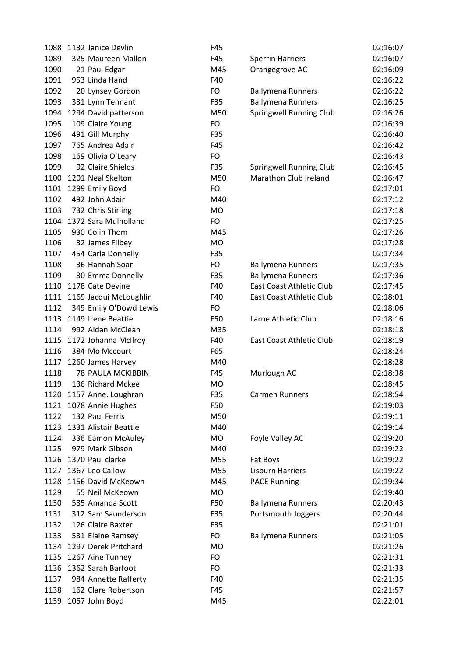|      | 1088 1132 Janice Devlin    | F45       |                                 | 02:16:07 |
|------|----------------------------|-----------|---------------------------------|----------|
| 1089 | 325 Maureen Mallon         | F45       | <b>Sperrin Harriers</b>         | 02:16:07 |
| 1090 | 21 Paul Edgar              | M45       | Orangegrove AC                  | 02:16:09 |
| 1091 | 953 Linda Hand             | F40       |                                 | 02:16:22 |
| 1092 | 20 Lynsey Gordon           | FO        | <b>Ballymena Runners</b>        | 02:16:22 |
| 1093 | 331 Lynn Tennant           | F35       | <b>Ballymena Runners</b>        | 02:16:25 |
| 1094 | 1294 David patterson       | M50       | Springwell Running Club         | 02:16:26 |
| 1095 | 109 Claire Young           | FO        |                                 | 02:16:39 |
| 1096 | 491 Gill Murphy            | F35       |                                 | 02:16:40 |
| 1097 | 765 Andrea Adair           | F45       |                                 | 02:16:42 |
| 1098 | 169 Olivia O'Leary         | <b>FO</b> |                                 | 02:16:43 |
| 1099 | 92 Claire Shields          | F35       | Springwell Running Club         | 02:16:45 |
| 1100 | 1201 Neal Skelton          | M50       | Marathon Club Ireland           | 02:16:47 |
|      | 1101 1299 Emily Boyd       | FO        |                                 | 02:17:01 |
| 1102 | 492 John Adair             | M40       |                                 | 02:17:12 |
| 1103 | 732 Chris Stirling         | <b>MO</b> |                                 | 02:17:18 |
|      | 1104 1372 Sara Mulholland  | FO        |                                 | 02:17:25 |
| 1105 | 930 Colin Thom             | M45       |                                 | 02:17:26 |
| 1106 | 32 James Filbey            | <b>MO</b> |                                 | 02:17:28 |
| 1107 | 454 Carla Donnelly         | F35       |                                 | 02:17:34 |
| 1108 | 36 Hannah Soar             | FO        | <b>Ballymena Runners</b>        | 02:17:35 |
| 1109 | 30 Emma Donnelly           | F35       | <b>Ballymena Runners</b>        | 02:17:36 |
| 1110 | 1178 Cate Devine           | F40       | <b>East Coast Athletic Club</b> | 02:17:45 |
| 1111 | 1169 Jacqui McLoughlin     | F40       | East Coast Athletic Club        | 02:18:01 |
| 1112 | 349 Emily O'Dowd Lewis     | FO        |                                 | 02:18:06 |
|      | 1113 1149 Irene Beattie    | F50       | Larne Athletic Club             | 02:18:16 |
| 1114 | 992 Aidan McClean          | M35       |                                 | 02:18:18 |
| 1115 | 1172 Johanna McIlroy       | F40       | East Coast Athletic Club        | 02:18:19 |
| 1116 | 384 Mo Mccourt             | F65       |                                 | 02:18:24 |
| 1117 | 1260 James Harvey          | M40       |                                 | 02:18:28 |
| 1118 | 78 PAULA MCKIBBIN          | F45       | Murlough AC                     | 02:18:38 |
| 1119 | 136 Richard Mckee          | <b>MO</b> |                                 | 02:18:45 |
|      | 1120 1157 Anne. Loughran   | F35       | <b>Carmen Runners</b>           | 02:18:54 |
|      | 1121 1078 Annie Hughes     | F50       |                                 | 02:19:03 |
| 1122 | 132 Paul Ferris            | M50       |                                 | 02:19:11 |
|      | 1123 1331 Alistair Beattie | M40       |                                 | 02:19:14 |
| 1124 | 336 Eamon McAuley          | <b>MO</b> | Foyle Valley AC                 | 02:19:20 |
| 1125 | 979 Mark Gibson            | M40       |                                 | 02:19:22 |
| 1126 | 1370 Paul clarke           | M55       | Fat Boys                        | 02:19:22 |
| 1127 | 1367 Leo Callow            | M55       | <b>Lisburn Harriers</b>         | 02:19:22 |
| 1128 | 1156 David McKeown         | M45       | <b>PACE Running</b>             | 02:19:34 |
| 1129 | 55 Neil McKeown            | <b>MO</b> |                                 | 02:19:40 |
| 1130 | 585 Amanda Scott           | F50       | <b>Ballymena Runners</b>        | 02:20:43 |
| 1131 | 312 Sam Saunderson         | F35       | Portsmouth Joggers              | 02:20:44 |
| 1132 | 126 Claire Baxter          | F35       |                                 | 02:21:01 |
| 1133 | 531 Elaine Ramsey          | FO        | <b>Ballymena Runners</b>        | 02:21:05 |
| 1134 | 1297 Derek Pritchard       | <b>MO</b> |                                 | 02:21:26 |
| 1135 | 1267 Aine Tunney           | FO        |                                 | 02:21:31 |
| 1136 | 1362 Sarah Barfoot         | FO        |                                 | 02:21:33 |
| 1137 | 984 Annette Rafferty       | F40       |                                 | 02:21:35 |
| 1138 | 162 Clare Robertson        | F45       |                                 | 02:21:57 |
| 1139 | 1057 John Boyd             | M45       |                                 | 02:22:01 |
|      |                            |           |                                 |          |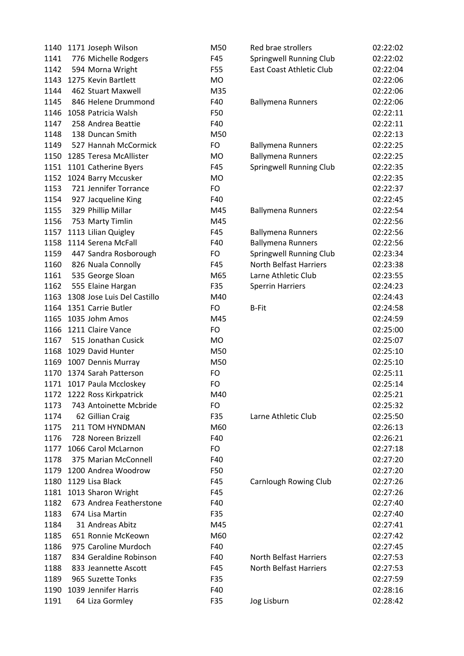|      | 1140 1171 Joseph Wilson     | M50       | Red brae strollers              | 02:22:02 |
|------|-----------------------------|-----------|---------------------------------|----------|
| 1141 | 776 Michelle Rodgers        | F45       | <b>Springwell Running Club</b>  | 02:22:02 |
| 1142 | 594 Morna Wright            | F55       | <b>East Coast Athletic Club</b> | 02:22:04 |
|      | 1143 1275 Kevin Bartlett    | <b>MO</b> |                                 | 02:22:06 |
| 1144 | 462 Stuart Maxwell          | M35       |                                 | 02:22:06 |
| 1145 | 846 Helene Drummond         | F40       | <b>Ballymena Runners</b>        | 02:22:06 |
| 1146 | 1058 Patricia Walsh         | F50       |                                 | 02:22:11 |
| 1147 | 258 Andrea Beattie          | F40       |                                 | 02:22:11 |
| 1148 | 138 Duncan Smith            | M50       |                                 | 02:22:13 |
| 1149 | 527 Hannah McCormick        | <b>FO</b> | <b>Ballymena Runners</b>        | 02:22:25 |
| 1150 | 1285 Teresa McAllister      | <b>MO</b> | <b>Ballymena Runners</b>        | 02:22:25 |
| 1151 | 1101 Catherine Byers        | F45       | Springwell Running Club         | 02:22:35 |
|      | 1152 1024 Barry Mccusker    | <b>MO</b> |                                 | 02:22:35 |
| 1153 | 721 Jennifer Torrance       | FO        |                                 | 02:22:37 |
| 1154 | 927 Jacqueline King         | F40       |                                 | 02:22:45 |
| 1155 | 329 Phillip Millar          | M45       | <b>Ballymena Runners</b>        | 02:22:54 |
| 1156 | 753 Marty Timlin            | M45       |                                 | 02:22:56 |
| 1157 | 1113 Lilian Quigley         | F45       | <b>Ballymena Runners</b>        | 02:22:56 |
|      | 1158 1114 Serena McFall     | F40       | <b>Ballymena Runners</b>        | 02:22:56 |
| 1159 | 447 Sandra Rosborough       | FO        | Springwell Running Club         | 02:23:34 |
| 1160 | 826 Nuala Connolly          | F45       | <b>North Belfast Harriers</b>   | 02:23:38 |
| 1161 | 535 George Sloan            | M65       | Larne Athletic Club             | 02:23:55 |
| 1162 | 555 Elaine Hargan           | F35       | <b>Sperrin Harriers</b>         | 02:24:23 |
| 1163 | 1308 Jose Luis Del Castillo | M40       |                                 | 02:24:43 |
|      | 1164 1351 Carrie Butler     | <b>FO</b> | <b>B-Fit</b>                    | 02:24:58 |
|      | 1165 1035 Johm Amos         | M45       |                                 | 02:24:59 |
| 1166 | 1211 Claire Vance           | FO        |                                 | 02:25:00 |
| 1167 | 515 Jonathan Cusick         | <b>MO</b> |                                 | 02:25:07 |
|      | 1168 1029 David Hunter      | M50       |                                 | 02:25:10 |
| 1169 | 1007 Dennis Murray          | M50       |                                 | 02:25:10 |
| 1170 | 1374 Sarah Patterson        | FO        |                                 | 02:25:11 |
|      | 1171 1017 Paula Mccloskey   | FO        |                                 | 02:25:14 |
|      | 1172 1222 Ross Kirkpatrick  | M40       |                                 | 02:25:21 |
| 1173 | 743 Antoinette Mcbride      | <b>FO</b> |                                 | 02:25:32 |
| 1174 | 62 Gillian Craig            | F35       | Larne Athletic Club             | 02:25:50 |
| 1175 | 211 TOM HYNDMAN             | M60       |                                 | 02:26:13 |
| 1176 | 728 Noreen Brizzell         | F40       |                                 | 02:26:21 |
| 1177 | 1066 Carol McLarnon         | <b>FO</b> |                                 | 02:27:18 |
| 1178 | 375 Marian McConnell        | F40       |                                 | 02:27:20 |
| 1179 | 1200 Andrea Woodrow         | F50       |                                 | 02:27:20 |
| 1180 | 1129 Lisa Black             | F45       | <b>Carnlough Rowing Club</b>    | 02:27:26 |
| 1181 | 1013 Sharon Wright          | F45       |                                 | 02:27:26 |
| 1182 | 673 Andrea Featherstone     | F40       |                                 | 02:27:40 |
| 1183 | 674 Lisa Martin             | F35       |                                 | 02:27:40 |
| 1184 | 31 Andreas Abitz            | M45       |                                 | 02:27:41 |
| 1185 | 651 Ronnie McKeown          | M60       |                                 | 02:27:42 |
| 1186 | 975 Caroline Murdoch        | F40       |                                 | 02:27:45 |
| 1187 | 834 Geraldine Robinson      | F40       | <b>North Belfast Harriers</b>   | 02:27:53 |
| 1188 | 833 Jeannette Ascott        | F45       | <b>North Belfast Harriers</b>   | 02:27:53 |
| 1189 | 965 Suzette Tonks           | F35       |                                 | 02:27:59 |
| 1190 | 1039 Jennifer Harris        | F40       |                                 | 02:28:16 |
|      |                             |           |                                 |          |
| 1191 | 64 Liza Gormley             | F35       | Jog Lisburn                     | 02:28:42 |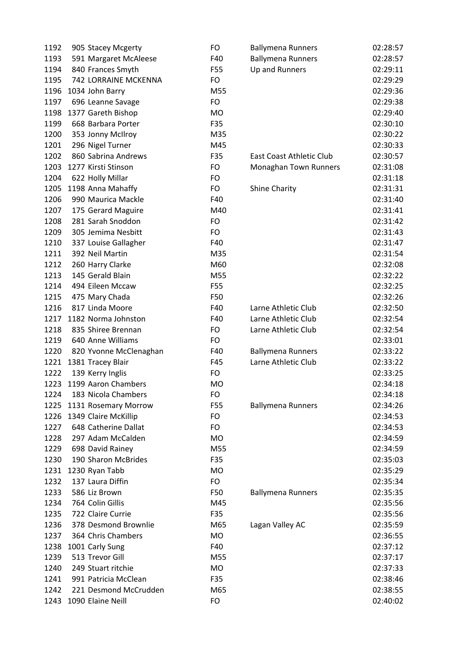| 1192 | 905 Stacey Mcgerty     | FO              | <b>Ballymena Runners</b> | 02:28:57 |
|------|------------------------|-----------------|--------------------------|----------|
| 1193 | 591 Margaret McAleese  | F40             | <b>Ballymena Runners</b> | 02:28:57 |
| 1194 | 840 Frances Smyth      | F55             | Up and Runners           | 02:29:11 |
| 1195 | 742 LORRAINE MCKENNA   | FO              |                          | 02:29:29 |
| 1196 | 1034 John Barry        | M55             |                          | 02:29:36 |
| 1197 | 696 Leanne Savage      | <b>FO</b>       |                          | 02:29:38 |
| 1198 | 1377 Gareth Bishop     | <b>MO</b>       |                          | 02:29:40 |
| 1199 | 668 Barbara Porter     | F35             |                          | 02:30:10 |
| 1200 | 353 Jonny McIlroy      | M35             |                          | 02:30:22 |
| 1201 | 296 Nigel Turner       | M45             |                          | 02:30:33 |
| 1202 | 860 Sabrina Andrews    | F35             | East Coast Athletic Club | 02:30:57 |
| 1203 | 1277 Kirsti Stinson    | <b>FO</b>       | Monaghan Town Runners    | 02:31:08 |
| 1204 | 622 Holly Millar       | <b>FO</b>       |                          | 02:31:18 |
| 1205 | 1198 Anna Mahaffy      | <b>FO</b>       | <b>Shine Charity</b>     | 02:31:31 |
| 1206 | 990 Maurica Mackle     | F40             |                          | 02:31:40 |
| 1207 | 175 Gerard Maguire     | M40             |                          | 02:31:41 |
| 1208 | 281 Sarah Snoddon      | FO              |                          | 02:31:42 |
| 1209 | 305 Jemima Nesbitt     | <b>FO</b>       |                          | 02:31:43 |
| 1210 | 337 Louise Gallagher   | F40             |                          | 02:31:47 |
| 1211 | 392 Neil Martin        | M35             |                          | 02:31:54 |
| 1212 | 260 Harry Clarke       | M60             |                          | 02:32:08 |
| 1213 | 145 Gerald Blain       | M55             |                          | 02:32:22 |
| 1214 | 494 Eileen Mccaw       | F55             |                          | 02:32:25 |
| 1215 | 475 Mary Chada         | F50             |                          | 02:32:26 |
| 1216 | 817 Linda Moore        | F40             | Larne Athletic Club      | 02:32:50 |
| 1217 | 1182 Norma Johnston    | F40             | Larne Athletic Club      | 02:32:54 |
| 1218 | 835 Shiree Brennan     | <b>FO</b>       | Larne Athletic Club      | 02:32:54 |
| 1219 | 640 Anne Williams      | <b>FO</b>       |                          | 02:33:01 |
| 1220 | 820 Yvonne McClenaghan | F40             | <b>Ballymena Runners</b> | 02:33:22 |
| 1221 | 1381 Tracey Blair      | F45             | Larne Athletic Club      | 02:33:22 |
| 1222 | 139 Kerry Inglis       | <b>FO</b>       |                          | 02:33:25 |
| 1223 | 1199 Aaron Chambers    | MO              |                          | 02:34:18 |
| 1224 | 183 Nicola Chambers    | FO              |                          | 02:34:18 |
| 1225 | 1131 Rosemary Morrow   | F <sub>55</sub> | <b>Ballymena Runners</b> | 02:34:26 |
| 1226 | 1349 Claire McKillip   | <b>FO</b>       |                          | 02:34:53 |
| 1227 | 648 Catherine Dallat   | <b>FO</b>       |                          | 02:34:53 |
| 1228 | 297 Adam McCalden      | <b>MO</b>       |                          | 02:34:59 |
| 1229 | 698 David Rainey       | M55             |                          | 02:34:59 |
| 1230 | 190 Sharon McBrides    | F35             |                          | 02:35:03 |
| 1231 | 1230 Ryan Tabb         | <b>MO</b>       |                          | 02:35:29 |
| 1232 | 137 Laura Diffin       | <b>FO</b>       |                          | 02:35:34 |
| 1233 | 586 Liz Brown          | F50             | <b>Ballymena Runners</b> | 02:35:35 |
| 1234 | 764 Colin Gillis       | M45             |                          | 02:35:56 |
| 1235 | 722 Claire Currie      | F35             |                          | 02:35:56 |
| 1236 | 378 Desmond Brownlie   | M65             | Lagan Valley AC          | 02:35:59 |
| 1237 | 364 Chris Chambers     | <b>MO</b>       |                          | 02:36:55 |
| 1238 | 1001 Carly Sung        | F40             |                          | 02:37:12 |
| 1239 | 513 Trevor Gill        | M55             |                          | 02:37:17 |
| 1240 | 249 Stuart ritchie     | MO              |                          | 02:37:33 |
| 1241 | 991 Patricia McClean   | F35             |                          | 02:38:46 |
| 1242 | 221 Desmond McCrudden  | M65             |                          | 02:38:55 |
| 1243 | 1090 Elaine Neill      | FO              |                          | 02:40:02 |
|      |                        |                 |                          |          |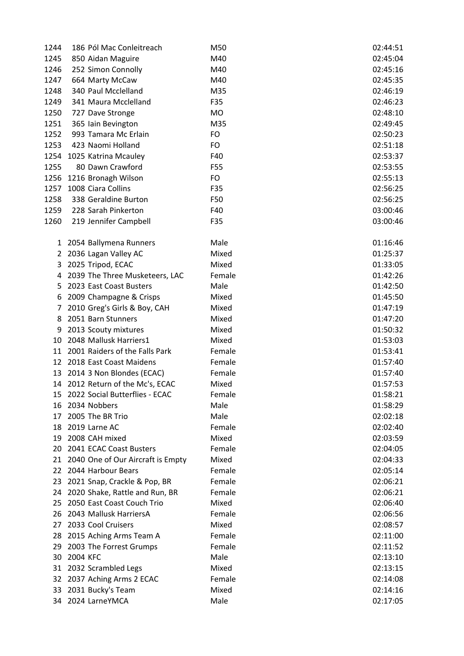| 1244         | 186 Pól Mac Conleitreach                                   | M50             | 02:44:51             |
|--------------|------------------------------------------------------------|-----------------|----------------------|
| 1245         | 850 Aidan Maguire                                          | M40             | 02:45:04             |
| 1246         | 252 Simon Connolly                                         | M40             | 02:45:16             |
| 1247         | 664 Marty McCaw                                            | M40             | 02:45:35             |
| 1248         | 340 Paul Mcclelland                                        | M35             | 02:46:19             |
| 1249         | 341 Maura Mcclelland                                       | F35             | 02:46:23             |
| 1250         | 727 Dave Stronge                                           | <b>MO</b>       | 02:48:10             |
| 1251         | 365 Iain Bevington                                         | M35             | 02:49:45             |
| 1252         | 993 Tamara Mc Erlain                                       | FO              | 02:50:23             |
| 1253         | 423 Naomi Holland                                          | <b>FO</b>       | 02:51:18             |
| 1254         | 1025 Katrina Mcauley                                       | F40             | 02:53:37             |
| 1255         | 80 Dawn Crawford                                           | F55             | 02:53:55             |
| 1256         | 1216 Bronagh Wilson                                        | FO              | 02:55:13             |
| 1257         | 1008 Ciara Collins                                         | F35             | 02:56:25             |
| 1258         | 338 Geraldine Burton                                       | F50             | 02:56:25             |
| 1259         | 228 Sarah Pinkerton                                        | F40             | 03:00:46             |
| 1260         | 219 Jennifer Campbell                                      | F35             | 03:00:46             |
|              |                                                            |                 |                      |
| $\mathbf{1}$ | 2054 Ballymena Runners                                     | Male            | 01:16:46             |
| $\mathbf{2}$ | 2036 Lagan Valley AC                                       | Mixed           | 01:25:37             |
| 3            | 2025 Tripod, ECAC                                          | Mixed           | 01:33:05             |
| 4            | 2039 The Three Musketeers, LAC                             | Female          | 01:42:26             |
| 5.           | 2023 East Coast Busters                                    | Male            | 01:42:50             |
| 6            | 2009 Champagne & Crisps                                    | Mixed           | 01:45:50             |
| 7            | 2010 Greg's Girls & Boy, CAH                               | Mixed           | 01:47:19             |
| 8            | 2051 Barn Stunners                                         | Mixed           | 01:47:20             |
| 9            | 2013 Scouty mixtures                                       | Mixed           | 01:50:32             |
|              | 10 2048 Mallusk Harriers1                                  | Mixed           | 01:53:03             |
|              | 11 2001 Raiders of the Falls Park                          | Female          | 01:53:41             |
|              | 12 2018 East Coast Maidens                                 | Female          | 01:57:40             |
|              | 13 2014 3 Non Blondes (ECAC)                               | Female          | 01:57:40             |
|              | 14 2012 Return of the Mc's, ECAC                           | Mixed           | 01:57:53             |
| 15           | 2022 Social Butterflies - ECAC                             | Female          | 01:58:21             |
| 16           | 2034 Nobbers                                               | Male            | 01:58:29             |
| 17           | 2005 The BR Trio                                           | Male            | 02:02:18             |
| 18           | 2019 Larne AC                                              | Female          | 02:02:40             |
| 19           | 2008 CAH mixed                                             | Mixed           | 02:03:59             |
|              | 20 2041 ECAC Coast Busters                                 | Female          | 02:04:05             |
|              |                                                            | Mixed           | 02:04:33             |
| 22           | 21 2040 One of Our Aircraft is Empty<br>2044 Harbour Bears | Female          |                      |
|              |                                                            | Female          | 02:05:14<br>02:06:21 |
| 23           | 2021 Snap, Crackle & Pop, BR                               |                 |                      |
| 24           | 2020 Shake, Rattle and Run, BR                             | Female<br>Mixed | 02:06:21             |
| 25           | 2050 East Coast Couch Trio                                 |                 | 02:06:40             |
| 26           | 2043 Mallusk HarriersA                                     | Female          | 02:06:56             |
| 27           | 2033 Cool Cruisers                                         | Mixed           | 02:08:57             |
| 28           | 2015 Aching Arms Team A                                    | Female          | 02:11:00             |
| 29           | 2003 The Forrest Grumps                                    | Female          | 02:11:52             |
| 30           | 2004 KFC                                                   | Male            | 02:13:10             |
|              | 31 2032 Scrambled Legs                                     | Mixed           | 02:13:15             |
|              | 32 2037 Aching Arms 2 ECAC                                 | Female          | 02:14:08             |
| 33           | 2031 Bucky's Team                                          | Mixed           | 02:14:16             |
| 34           | 2024 LarneYMCA                                             | Male            | 02:17:05             |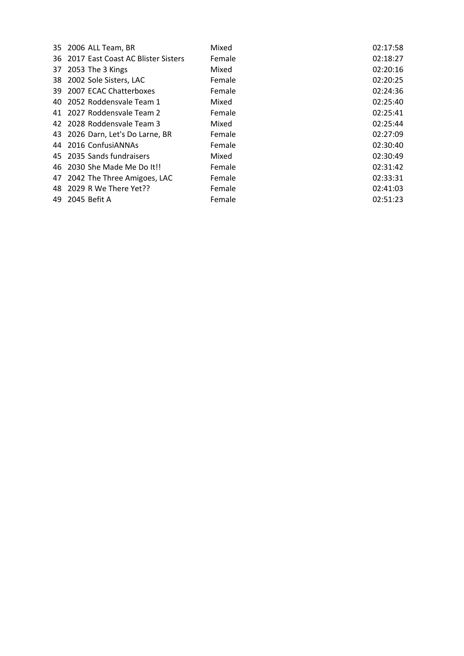| 35 2006 ALL Team, BR                  | Mixed  | 02:17:58 |
|---------------------------------------|--------|----------|
| 36 2017 East Coast AC Blister Sisters | Female | 02:18:27 |
| 37 2053 The 3 Kings                   | Mixed  | 02:20:16 |
| 38 2002 Sole Sisters, LAC             | Female | 02:20:25 |
| 39 2007 ECAC Chatterboxes             | Female | 02:24:36 |
| 40 2052 Roddensvale Team 1            | Mixed  | 02:25:40 |
| 41 2027 Roddensvale Team 2            | Female | 02:25:41 |
| 42 2028 Roddensvale Team 3            | Mixed  | 02:25:44 |
| 43 2026 Darn, Let's Do Larne, BR      | Female | 02:27:09 |
| 44 2016 ConfusiANNAs                  | Female | 02:30:40 |
| 45 2035 Sands fundraisers             | Mixed  | 02:30:49 |
| 46 2030 She Made Me Do It!!           | Female | 02:31:42 |
| 47 2042 The Three Amigoes, LAC        | Female | 02:33:31 |
| 48 2029 R We There Yet??              | Female | 02:41:03 |
| 49 2045 Befit A                       | Female | 02:51:23 |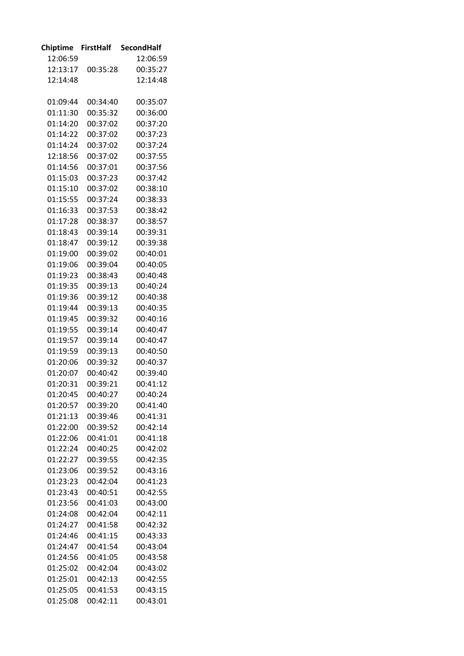| <b>Chiptime</b> | <b>FirstHalf</b> | <b>SecondHalf</b> |
|-----------------|------------------|-------------------|
| 12:06:59        |                  | 12:06:59          |
| 12:13:17        | 00:35:28         | 00:35:27          |
| 12:14:48        |                  | 12:14:48          |
|                 |                  |                   |
| 01:09:44        | 00:34:40         | 00:35:07          |
| 01:11:30        | 00:35:32         | 00:36:00          |
| 01:14:20        | 00:37:02         | 00:37:20          |
| 01:14:22        | 00:37:02         | 00:37:23          |
| 01:14:24        | 00:37:02         | 00:37:24          |
| 12:18:56        | 00:37:02         | 00:37:55          |
| 01:14:56        | 00:37:01         | 00:37:56          |
| 01:15:03        | 00:37:23         | 00:37:42          |
| 01:15:10        | 00:37:02         | 00:38:10          |
| 01:15:55        | 00:37:24         | 00:38:33          |
| 01:16:33        | 00:37:53         | 00:38:42          |
| 01:17:28        | 00:38:37         | 00:38:57          |
| 01:18:43        | 00:39:14         | 00:39:31          |
| 01:18:47        | 00:39:12         | 00:39:38          |
| 01:19:00        | 00:39:02         | 00:40:01          |
| 01:19:06        | 00:39:04         | 00:40:05          |
| 01:19:23        | 00:38:43         | 00:40:48          |
| 01:19:35        | 00:39:13         | 00:40:24          |
| 01:19:36        | 00:39:12         | 00:40:38          |
| 01:19:44        | 00:39:13         | 00:40:35          |
| 01:19:45        | 00:39:32         | 00:40:16          |
| 01:19:55        | 00:39:14         | 00:40:47          |
| 01:19:57        | 00:39:14         | 00:40:47          |
| 01:19:59        | 00:39:13         | 00:40:50          |
| 01:20:06        | 00:39:32         | 00:40:37          |
| 01:20:07        | 00:40:42         | 00:39:40          |
| 01:20:31        | 00:39:21         | 00:41:12          |
| 01:20:45        | 00:40:27         | 00:40:24          |
| 01:20:57        | 00:39:20         | 00:41:40          |
| 01:21:13        | 00:39:46         | 00:41:31          |
| 01:22:00        | 00:39:52         | 00:42:14          |
| 01:22:06        | 00:41:01         | 00:41:18          |
| 01:22:24        | 00:40:25         | 00:42:02          |
| 01:22:27        | 00:39:55         | 00:42:35          |
|                 |                  |                   |
| 01:23:06        | 00:39:52         | 00:43:16          |
| 01:23:23        | 00:42:04         | 00:41:23          |
| 01:23:43        | 00:40:51         | 00:42:55          |
| 01:23:56        | 00:41:03         | 00:43:00          |
| 01:24:08        | 00:42:04         | 00:42:11          |
| 01:24:27        | 00:41:58         | 00:42:32          |
| 01:24:46        | 00:41:15         | 00:43:33          |
| 01:24:47        | 00:41:54         | 00:43:04          |
| 01:24:56        | 00:41:05         | 00:43:58          |
| 01:25:02        | 00:42:04         | 00:43:02          |
| 01:25:01        | 00:42:13         | 00:42:55          |
| 01:25:05        | 00:41:53         | 00:43:15          |
| 01:25:08        | 00:42:11         | 00:43:01          |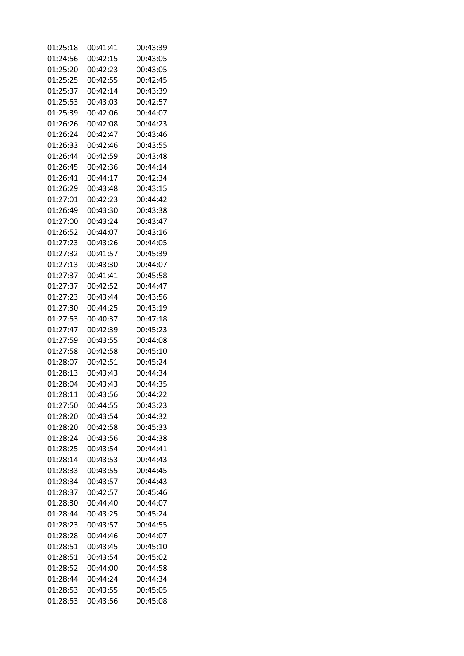| 01:25:18 | 00:41:41 | 00:43:39 |
|----------|----------|----------|
| 01:24:56 | 00:42:15 | 00:43:05 |
| 01:25:20 | 00:42:23 | 00:43:05 |
| 01:25:25 | 00:42:55 | 00:42:45 |
| 01:25:37 | 00:42:14 | 00:43:39 |
| 01:25:53 | 00:43:03 | 00:42:57 |
| 01:25:39 | 00:42:06 | 00:44:07 |
| 01:26:26 | 00:42:08 | 00:44:23 |
| 01:26:24 | 00:42:47 | 00:43:46 |
| 01:26:33 | 00:42:46 | 00:43:55 |
| 01:26:44 | 00:42:59 | 00:43:48 |
| 01:26:45 | 00:42:36 | 00:44:14 |
| 01:26:41 |          | 00:42:34 |
|          | 00:44:17 |          |
| 01:26:29 | 00:43:48 | 00:43:15 |
| 01:27:01 | 00:42:23 | 00:44:42 |
| 01:26:49 | 00:43:30 | 00:43:38 |
| 01:27:00 | 00:43:24 | 00:43:47 |
| 01:26:52 | 00:44:07 | 00:43:16 |
| 01:27:23 | 00:43:26 | 00:44:05 |
| 01:27:32 | 00:41:57 | 00:45:39 |
| 01:27:13 | 00:43:30 | 00:44:07 |
| 01:27:37 | 00:41:41 | 00:45:58 |
| 01:27:37 | 00:42:52 | 00:44:47 |
| 01:27:23 | 00:43:44 | 00:43:56 |
| 01:27:30 | 00:44:25 | 00:43:19 |
| 01:27:53 | 00:40:37 | 00:47:18 |
| 01:27:47 | 00:42:39 | 00:45:23 |
| 01:27:59 | 00:43:55 | 00:44:08 |
| 01:27:58 | 00:42:58 | 00:45:10 |
| 01:28:07 | 00:42:51 | 00:45:24 |
| 01:28:13 | 00:43:43 | 00:44:34 |
| 01:28:04 | 00:43:43 | 00:44:35 |
| 01:28:11 | 00:43:56 | 00:44:22 |
| 01:27:50 | 00:44:55 | 00:43:23 |
| 01:28:20 | 00:43:54 | 00:44:32 |
| 01:28:20 | 00:42:58 | 00:45:33 |
| 01:28:24 | 00:43:56 | 00:44:38 |
| 01:28:25 | 00:43:54 | 00:44:41 |
| 01:28:14 | 00:43:53 | 00:44:43 |
| 01:28:33 | 00:43:55 | 00:44:45 |
| 01:28:34 | 00:43:57 | 00:44:43 |
| 01:28:37 | 00:42:57 | 00:45:46 |
| 01:28:30 | 00:44:40 | 00:44:07 |
| 01:28:44 | 00:43:25 | 00:45:24 |
|          |          |          |
| 01:28:23 | 00:43:57 | 00:44:55 |
| 01:28:28 | 00:44:46 | 00:44:07 |
| 01:28:51 | 00:43:45 | 00:45:10 |
| 01:28:51 | 00:43:54 | 00:45:02 |
| 01:28:52 | 00:44:00 | 00:44:58 |
| 01:28:44 | 00:44:24 | 00:44:34 |
| 01:28:53 | 00:43:55 | 00:45:05 |
| 01:28:53 | 00:43:56 | 00:45:08 |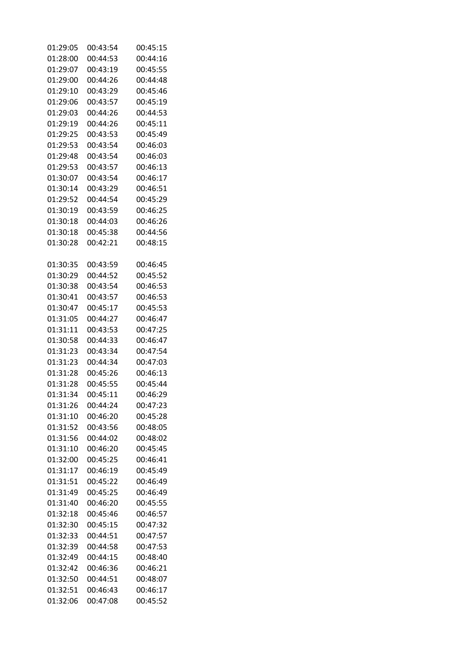| 01:29:05 | 00:43:54             | 00:45:15             |
|----------|----------------------|----------------------|
| 01:28:00 | 00:44:53             | 00:44:16             |
| 01:29:07 | 00:43:19             | 00:45:55             |
| 01:29:00 | 00:44:26             | 00:44:48             |
| 01:29:10 | 00:43:29             | 00:45:46             |
| 01:29:06 | 00:43:57             | 00:45:19             |
| 01:29:03 | 00:44:26             | 00:44:53             |
| 01:29:19 | 00:44:26             | 00:45:11             |
| 01:29:25 | 00:43:53             | 00:45:49             |
| 01:29:53 | 00:43:54             | 00:46:03             |
| 01:29:48 | 00:43:54             | 00:46:03             |
| 01:29:53 | 00:43:57             | 00:46:13             |
| 01:30:07 | 00:43:54             | 00:46:17             |
| 01:30:14 | 00:43:29             | 00:46:51             |
| 01:29:52 | 00:44:54             | 00:45:29             |
| 01:30:19 | 00:43:59             | 00:46:25             |
| 01:30:18 | 00:44:03             | 00:46:26             |
| 01:30:18 | 00:45:38             | 00:44:56             |
| 01:30:28 | 00:42:21             | 00:48:15             |
|          |                      |                      |
| 01:30:35 | 00:43:59             | 00:46:45             |
| 01:30:29 | 00:44:52             | 00:45:52             |
| 01:30:38 | 00:43:54             | 00:46:53             |
| 01:30:41 | 00:43:57             | 00:46:53             |
| 01:30:47 | 00:45:17             | 00:45:53             |
| 01:31:05 | 00:44:27             | 00:46:47             |
| 01:31:11 | 00:43:53             | 00:47:25             |
| 01:30:58 | 00:44:33             | 00:46:47             |
| 01:31:23 | 00:43:34             | 00:47:54             |
| 01:31:23 | 00:44:34             | 00:47:03             |
| 01:31:28 |                      |                      |
| 01:31:28 | 00:45:26<br>00:45:55 | 00:46:13<br>00:45:44 |
| 01:31:34 | 00:45:11             | 00:46:29             |
| 01:31:26 | 00:44:24             | 00:47:23             |
|          |                      | 00:45:28             |
| 01:31:10 | 00:46:20             |                      |
| 01:31:52 | 00:43:56             | 00:48:05             |
| 01:31:56 | 00:44:02             | 00:48:02             |
| 01:31:10 | 00:46:20             | 00:45:45             |
| 01:32:00 | 00:45:25             | 00:46:41             |
| 01:31:17 | 00:46:19             | 00:45:49             |
| 01:31:51 | 00:45:22             | 00:46:49             |
| 01:31:49 | 00:45:25             | 00:46:49             |
| 01:31:40 | 00:46:20             | 00:45:55             |
| 01:32:18 | 00:45:46             | 00:46:57             |
| 01:32:30 | 00:45:15             | 00:47:32             |
| 01:32:33 | 00:44:51             | 00:47:57             |
| 01:32:39 | 00:44:58             | 00:47:53             |
| 01:32:49 | 00:44:15             | 00:48:40             |
| 01:32:42 | 00:46:36             | 00:46:21             |
| 01:32:50 | 00:44:51             | 00:48:07             |
| 01:32:51 | 00:46:43             | 00:46:17             |
| 01:32:06 | 00:47:08             | 00:45:52             |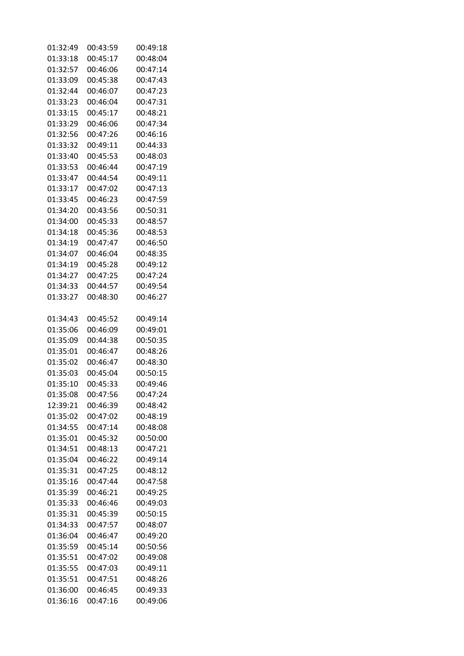| 01:32:49 | 00:43:59 | 00:49:18             |
|----------|----------|----------------------|
| 01:33:18 | 00:45:17 | 00:48:04             |
| 01:32:57 | 00:46:06 | 00:47:14             |
| 01:33:09 | 00:45:38 | 00:47:43             |
| 01:32:44 | 00:46:07 | 00:47:23             |
| 01:33:23 | 00:46:04 | 00:47:31             |
| 01:33:15 | 00:45:17 | 00:48:21             |
| 01:33:29 | 00:46:06 | 00:47:34             |
| 01:32:56 | 00:47:26 | 00:46:16             |
| 01:33:32 | 00:49:11 | 00:44:33             |
| 01:33:40 | 00:45:53 | 00:48:03             |
|          |          | 00:47:19             |
| 01:33:53 | 00:46:44 |                      |
| 01:33:47 | 00:44:54 | 00:49:11             |
| 01:33:17 | 00:47:02 | 00:47:13             |
| 01:33:45 | 00:46:23 | 00:47:59             |
| 01:34:20 | 00:43:56 | 00:50:31             |
| 01:34:00 | 00:45:33 | 00:48:57             |
| 01:34:18 | 00:45:36 | 00:48:53             |
| 01:34:19 | 00:47:47 | 00:46:50             |
| 01:34:07 | 00:46:04 | 00:48:35             |
| 01:34:19 | 00:45:28 | 00:49:12             |
| 01:34:27 | 00:47:25 | 00:47:24             |
| 01:34:33 | 00:44:57 | 00:49:54             |
| 01:33:27 | 00:48:30 | 00:46:27             |
| 01:34:43 | 00:45:52 | 00:49:14             |
| 01:35:06 | 00:46:09 | 00:49:01             |
| 01:35:09 | 00:44:38 | 00:50:35             |
| 01:35:01 | 00:46:47 | 00:48:26             |
| 01:35:02 | 00:46:47 | 00:48:30             |
| 01:35:03 | 00:45:04 | 00:50:15             |
| 01:35:10 | 00:45:33 | 00:49:46             |
| 01:35:08 | 00:47:56 | 00:47:24             |
| 12:39:21 | 00:46:39 | 00:48:42             |
| 01:35:02 | 00:47:02 | 00:48:19             |
| 01:34:55 | 00:47:14 | 00:48:08             |
| 01:35:01 | 00:45:32 | 00:50:00             |
| 01:34:51 | 00:48:13 | 00:47:21             |
| 01:35:04 | 00:46:22 | 00:49:14             |
| 01:35:31 | 00:47:25 | 00:48:12             |
| 01:35:16 | 00:47:44 |                      |
|          |          | 00:47:58<br>00:49:25 |
| 01:35:39 | 00:46:21 |                      |
| 01:35:33 | 00:46:46 | 00:49:03             |
| 01:35:31 | 00:45:39 | 00:50:15             |
| 01:34:33 | 00:47:57 | 00:48:07             |
| 01:36:04 | 00:46:47 | 00:49:20             |
| 01:35:59 | 00:45:14 | 00:50:56             |
| 01:35:51 | 00:47:02 | 00:49:08             |
| 01:35:55 | 00:47:03 | 00:49:11             |
| 01:35:51 | 00:47:51 | 00:48:26             |
| 01:36:00 | 00:46:45 | 00:49:33             |
| 01:36:16 | 00:47:16 | 00:49:06             |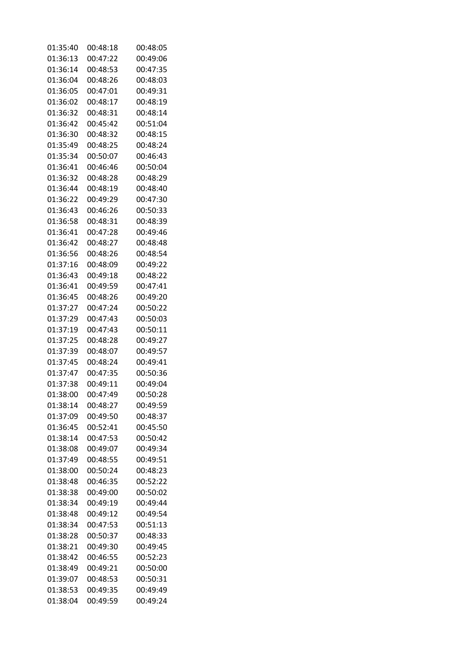| 01:35:40 | 00:48:18 | 00:48:05 |
|----------|----------|----------|
| 01:36:13 | 00:47:22 | 00:49:06 |
| 01:36:14 | 00:48:53 | 00:47:35 |
| 01:36:04 | 00:48:26 | 00:48:03 |
| 01:36:05 | 00:47:01 | 00:49:31 |
| 01:36:02 | 00:48:17 | 00:48:19 |
| 01:36:32 | 00:48:31 | 00:48:14 |
| 01:36:42 | 00:45:42 | 00:51:04 |
| 01:36:30 | 00:48:32 | 00:48:15 |
| 01:35:49 | 00:48:25 | 00:48:24 |
| 01:35:34 | 00:50:07 | 00:46:43 |
| 01:36:41 | 00:46:46 | 00:50:04 |
| 01:36:32 |          | 00:48:29 |
|          | 00:48:28 |          |
| 01:36:44 | 00:48:19 | 00:48:40 |
| 01:36:22 | 00:49:29 | 00:47:30 |
| 01:36:43 | 00:46:26 | 00:50:33 |
| 01:36:58 | 00:48:31 | 00:48:39 |
| 01:36:41 | 00:47:28 | 00:49:46 |
| 01:36:42 | 00:48:27 | 00:48:48 |
| 01:36:56 | 00:48:26 | 00:48:54 |
| 01:37:16 | 00:48:09 | 00:49:22 |
| 01:36:43 | 00:49:18 | 00:48:22 |
| 01:36:41 | 00:49:59 | 00:47:41 |
| 01:36:45 | 00:48:26 | 00:49:20 |
| 01:37:27 | 00:47:24 | 00:50:22 |
| 01:37:29 | 00:47:43 | 00:50:03 |
| 01:37:19 | 00:47:43 | 00:50:11 |
| 01:37:25 | 00:48:28 | 00:49:27 |
| 01:37:39 | 00:48:07 | 00:49:57 |
| 01:37:45 | 00:48:24 | 00:49:41 |
| 01:37:47 | 00:47:35 | 00:50:36 |
| 01:37:38 | 00:49:11 | 00:49:04 |
| 01:38:00 | 00:47:49 | 00:50:28 |
| 01:38:14 | 00:48:27 | 00:49:59 |
| 01:37:09 | 00:49:50 | 00:48:37 |
| 01:36:45 | 00:52:41 | 00:45:50 |
| 01:38:14 | 00:47:53 | 00:50:42 |
| 01:38:08 | 00:49:07 | 00:49:34 |
| 01:37:49 | 00:48:55 | 00:49:51 |
| 01:38:00 | 00:50:24 | 00:48:23 |
| 01:38:48 | 00:46:35 | 00:52:22 |
| 01:38:38 | 00:49:00 | 00:50:02 |
| 01:38:34 | 00:49:19 | 00:49:44 |
| 01:38:48 | 00:49:12 | 00:49:54 |
| 01:38:34 | 00:47:53 | 00:51:13 |
| 01:38:28 | 00:50:37 | 00:48:33 |
| 01:38:21 | 00:49:30 | 00:49:45 |
| 01:38:42 | 00:46:55 | 00:52:23 |
| 01:38:49 | 00:49:21 | 00:50:00 |
| 01:39:07 | 00:48:53 | 00:50:31 |
| 01:38:53 | 00:49:35 | 00:49:49 |
| 01:38:04 | 00:49:59 | 00:49:24 |
|          |          |          |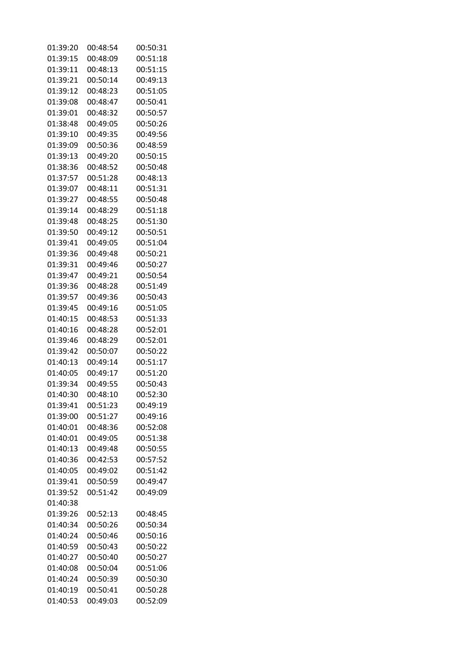| 01:39:20 | 00:48:54             | 00:50:31             |
|----------|----------------------|----------------------|
| 01:39:15 | 00:48:09             | 00:51:18             |
| 01:39:11 | 00:48:13             | 00:51:15             |
| 01:39:21 | 00:50:14             | 00:49:13             |
| 01:39:12 | 00:48:23             | 00:51:05             |
| 01:39:08 | 00:48:47             | 00:50:41             |
| 01:39:01 | 00:48:32             | 00:50:57             |
| 01:38:48 | 00:49:05             | 00:50:26             |
| 01:39:10 | 00:49:35             | 00:49:56             |
| 01:39:09 | 00:50:36             | 00:48:59             |
| 01:39:13 | 00:49:20             | 00:50:15             |
| 01:38:36 | 00:48:52             | 00:50:48             |
| 01:37:57 | 00:51:28             | 00:48:13             |
| 01:39:07 | 00:48:11             | 00:51:31             |
| 01:39:27 | 00:48:55             | 00:50:48             |
| 01:39:14 | 00:48:29             | 00:51:18             |
| 01:39:48 | 00:48:25             | 00:51:30             |
| 01:39:50 | 00:49:12             | 00:50:51             |
| 01:39:41 | 00:49:05             | 00:51:04             |
| 01:39:36 | 00:49:48             | 00:50:21             |
| 01:39:31 | 00:49:46             | 00:50:27             |
| 01:39:47 | 00:49:21             | 00:50:54             |
| 01:39:36 | 00:48:28             | 00:51:49             |
| 01:39:57 | 00:49:36             | 00:50:43             |
| 01:39:45 | 00:49:16             | 00:51:05             |
| 01:40:15 | 00:48:53             | 00:51:33             |
| 01:40:16 | 00:48:28             | 00:52:01             |
| 01:39:46 | 00:48:29             | 00:52:01             |
| 01:39:42 | 00:50:07             | 00:50:22             |
| 01:40:13 | 00:49:14             | 00:51:17             |
| 01:40:05 | 00:49:17             | 00:51:20             |
| 01:39:34 | 00:49:55             | 00:50:43             |
| 01:40:30 | 00:48:10             | 00:52:30             |
| 01:39:41 | 00:51:23             | 00:49:19             |
| 01:39:00 | 00:51:27             | 00:49:16             |
| 01:40:01 | 00:48:36             | 00:52:08             |
| 01:40:01 | 00:49:05             | 00:51:38             |
| 01:40:13 | 00:49:48             | 00:50:55             |
| 01:40:36 | 00:42:53             | 00:57:52             |
| 01:40:05 | 00:49:02             | 00:51:42             |
| 01:39:41 | 00:50:59             | 00:49:47             |
| 01:39:52 | 00:51:42             | 00:49:09             |
| 01:40:38 |                      |                      |
| 01:39:26 | 00:52:13             | 00:48:45             |
| 01:40:34 | 00:50:26             | 00:50:34             |
| 01:40:24 | 00:50:46             | 00:50:16             |
|          |                      |                      |
| 01:40:59 | 00:50:43             | 00:50:22<br>00:50:27 |
| 01:40:27 | 00:50:40             |                      |
| 01:40:08 | 00:50:04             | 00:51:06             |
| 01:40:24 | 00:50:39<br>00:50:41 | 00:50:30             |
| 01:40:19 |                      | 00:50:28             |
| 01:40:53 | 00:49:03             | 00:52:09             |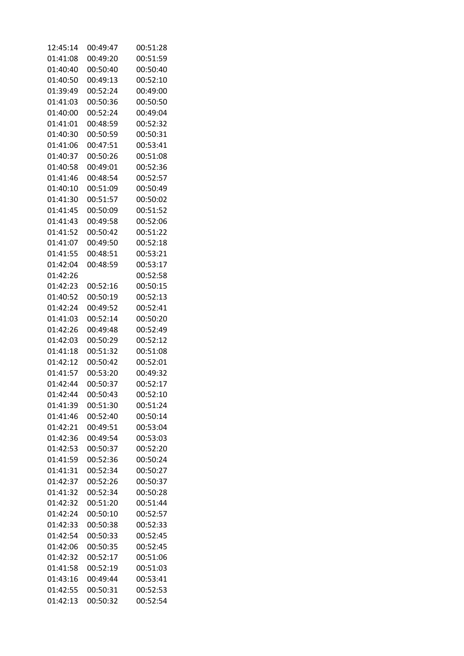| 12:45:14 | 00:49:47 | 00:51:28 |
|----------|----------|----------|
| 01:41:08 | 00:49:20 | 00:51:59 |
| 01:40:40 | 00:50:40 | 00:50:40 |
| 01:40:50 | 00:49:13 | 00:52:10 |
| 01:39:49 | 00:52:24 | 00:49:00 |
| 01:41:03 | 00:50:36 | 00:50:50 |
| 01:40:00 | 00:52:24 | 00:49:04 |
| 01:41:01 | 00:48:59 | 00:52:32 |
| 01:40:30 | 00:50:59 | 00:50:31 |
| 01:41:06 | 00:47:51 | 00:53:41 |
| 01:40:37 | 00:50:26 | 00:51:08 |
| 01:40:58 | 00:49:01 | 00:52:36 |
| 01:41:46 |          |          |
|          | 00:48:54 | 00:52:57 |
| 01:40:10 | 00:51:09 | 00:50:49 |
| 01:41:30 | 00:51:57 | 00:50:02 |
| 01:41:45 | 00:50:09 | 00:51:52 |
| 01:41:43 | 00:49:58 | 00:52:06 |
| 01:41:52 | 00:50:42 | 00:51:22 |
| 01:41:07 | 00:49:50 | 00:52:18 |
| 01:41:55 | 00:48:51 | 00:53:21 |
| 01:42:04 | 00:48:59 | 00:53:17 |
| 01:42:26 |          | 00:52:58 |
| 01:42:23 | 00:52:16 | 00:50:15 |
| 01:40:52 | 00:50:19 | 00:52:13 |
| 01:42:24 | 00:49:52 | 00:52:41 |
| 01:41:03 | 00:52:14 | 00:50:20 |
| 01:42:26 | 00:49:48 | 00:52:49 |
| 01:42:03 | 00:50:29 | 00:52:12 |
| 01:41:18 | 00:51:32 | 00:51:08 |
| 01:42:12 | 00:50:42 | 00:52:01 |
| 01:41:57 | 00:53:20 | 00:49:32 |
| 01:42:44 | 00:50:37 | 00:52:17 |
| 01:42:44 | 00:50:43 | 00:52:10 |
| 01:41:39 | 00:51:30 | 00:51:24 |
| 01:41:46 | 00:52:40 | 00:50:14 |
| 01:42:21 | 00:49:51 | 00:53:04 |
| 01:42:36 | 00:49:54 | 00:53:03 |
| 01:42:53 | 00:50:37 | 00:52:20 |
| 01:41:59 | 00:52:36 | 00:50:24 |
| 01:41:31 | 00:52:34 | 00:50:27 |
| 01:42:37 | 00:52:26 | 00:50:37 |
| 01:41:32 | 00:52:34 | 00:50:28 |
| 01:42:32 | 00:51:20 | 00:51:44 |
| 01:42:24 | 00:50:10 | 00:52:57 |
| 01:42:33 | 00:50:38 | 00:52:33 |
| 01:42:54 | 00:50:33 | 00:52:45 |
| 01:42:06 | 00:50:35 | 00:52:45 |
| 01:42:32 | 00:52:17 | 00:51:06 |
| 01:41:58 | 00:52:19 | 00:51:03 |
| 01:43:16 | 00:49:44 | 00:53:41 |
| 01:42:55 | 00:50:31 | 00:52:53 |
| 01:42:13 | 00:50:32 | 00:52:54 |
|          |          |          |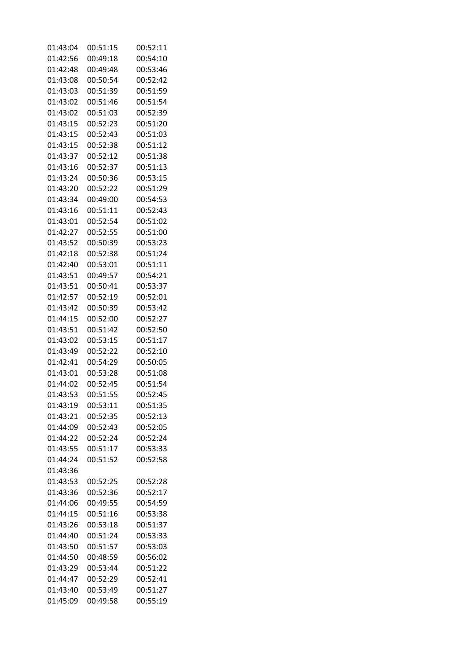| 01:43:04             | 00:51:15             | 00:52:11             |
|----------------------|----------------------|----------------------|
| 01:42:56             | 00:49:18             | 00:54:10             |
| 01:42:48             | 00:49:48             | 00:53:46             |
| 01:43:08             | 00:50:54             | 00:52:42             |
| 01:43:03             | 00:51:39             | 00:51:59             |
| 01:43:02             | 00:51:46             | 00:51:54             |
| 01:43:02             | 00:51:03             | 00:52:39             |
| 01:43:15             | 00:52:23             | 00:51:20             |
| 01:43:15             | 00:52:43             | 00:51:03             |
| 01:43:15             | 00:52:38             | 00:51:12             |
| 01:43:37             | 00:52:12             | 00:51:38             |
| 01:43:16             | 00:52:37             | 00:51:13             |
| 01:43:24             | 00:50:36             | 00:53:15             |
| 01:43:20             | 00:52:22             | 00:51:29             |
| 01:43:34             | 00:49:00             | 00:54:53             |
| 01:43:16             | 00:51:11             | 00:52:43             |
| 01:43:01             | 00:52:54             | 00:51:02             |
| 01:42:27             | 00:52:55             | 00:51:00             |
| 01:43:52             | 00:50:39             | 00:53:23             |
| 01:42:18             | 00:52:38             | 00:51:24             |
| 01:42:40             | 00:53:01             | 00:51:11             |
| 01:43:51             | 00:49:57             | 00:54:21             |
| 01:43:51             | 00:50:41             | 00:53:37             |
| 01:42:57             | 00:52:19             | 00:52:01             |
| 01:43:42             | 00:50:39             | 00:53:42             |
| 01:44:15             | 00:52:00             | 00:52:27             |
| 01:43:51             | 00:51:42             | 00:52:50             |
| 01:43:02             | 00:53:15             | 00:51:17             |
| 01:43:49             | 00:52:22             | 00:52:10             |
| 01:42:41             | 00:54:29             | 00:50:05             |
| 01:43:01             | 00:53:28             | 00:51:08             |
| 01:44:02             | 00:52:45             | 00:51:54             |
| 01:43:53             | 00:51:55             | 00:52:45             |
| 01:43:19             | 00:53:11             | 00:51:35             |
| 01:43:21             | 00:52:35             | 00:52:13             |
| 01:44:09             | 00:52:43             | 00:52:05             |
| 01:44:22             | 00:52:24             | 00:52:24             |
| 01:43:55             | 00:51:17             | 00:53:33             |
| 01:44:24             | 00:51:52             | 00:52:58             |
| 01:43:36             |                      |                      |
| 01:43:53             | 00:52:25             | 00:52:28             |
| 01:43:36             | 00:52:36             | 00:52:17             |
| 01:44:06             | 00:49:55             | 00:54:59             |
| 01:44:15             | 00:51:16             | 00:53:38             |
| 01:43:26             | 00:53:18             | 00:51:37             |
|                      |                      |                      |
| 01:44:40             | 00:51:24             | 00:53:33<br>00:53:03 |
| 01:43:50<br>01:44:50 | 00:51:57             | 00:56:02             |
|                      | 00:48:59             |                      |
| 01:43:29             | 00:53:44             | 00:51:22             |
| 01:44:47             | 00:52:29<br>00:53:49 | 00:52:41<br>00:51:27 |
| 01:43:40             |                      |                      |
| 01:45:09             | 00:49:58             | 00:55:19             |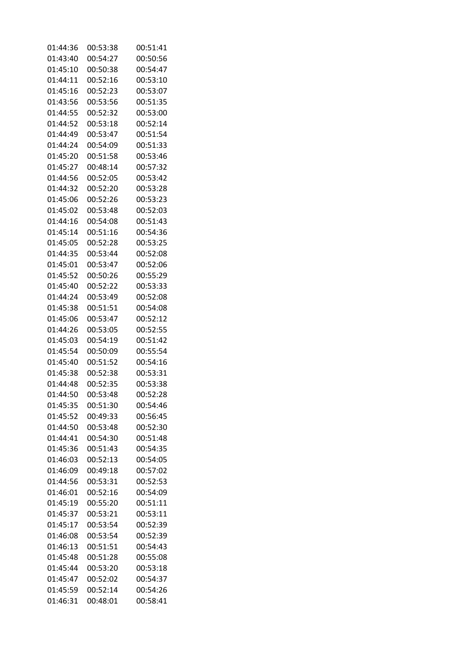| 01:44:36 | 00:53:38 | 00:51:41 |
|----------|----------|----------|
| 01:43:40 | 00:54:27 | 00:50:56 |
| 01:45:10 | 00:50:38 | 00:54:47 |
| 01:44:11 | 00:52:16 | 00:53:10 |
| 01:45:16 | 00:52:23 | 00:53:07 |
| 01:43:56 | 00:53:56 | 00:51:35 |
| 01:44:55 | 00:52:32 | 00:53:00 |
| 01:44:52 | 00:53:18 | 00:52:14 |
| 01:44:49 | 00:53:47 | 00:51:54 |
| 01:44:24 | 00:54:09 | 00:51:33 |
| 01:45:20 | 00:51:58 | 00:53:46 |
| 01:45:27 | 00:48:14 | 00:57:32 |
|          | 00:52:05 |          |
| 01:44:56 |          | 00:53:42 |
| 01:44:32 | 00:52:20 | 00:53:28 |
| 01:45:06 | 00:52:26 | 00:53:23 |
| 01:45:02 | 00:53:48 | 00:52:03 |
| 01:44:16 | 00:54:08 | 00:51:43 |
| 01:45:14 | 00:51:16 | 00:54:36 |
| 01:45:05 | 00:52:28 | 00:53:25 |
| 01:44:35 | 00:53:44 | 00:52:08 |
| 01:45:01 | 00:53:47 | 00:52:06 |
| 01:45:52 | 00:50:26 | 00:55:29 |
| 01:45:40 | 00:52:22 | 00:53:33 |
| 01:44:24 | 00:53:49 | 00:52:08 |
| 01:45:38 | 00:51:51 | 00:54:08 |
| 01:45:06 | 00:53:47 | 00:52:12 |
| 01:44:26 | 00:53:05 | 00:52:55 |
| 01:45:03 | 00:54:19 | 00:51:42 |
| 01:45:54 | 00:50:09 | 00:55:54 |
| 01:45:40 | 00:51:52 | 00:54:16 |
| 01:45:38 | 00:52:38 | 00:53:31 |
| 01:44:48 | 00:52:35 | 00:53:38 |
| 01:44:50 | 00:53:48 | 00:52:28 |
| 01:45:35 | 00:51:30 | 00:54:46 |
| 01:45:52 | 00:49:33 | 00:56:45 |
| 01:44:50 | 00:53:48 | 00:52:30 |
| 01:44:41 | 00:54:30 | 00:51:48 |
| 01:45:36 | 00:51:43 | 00:54:35 |
| 01:46:03 | 00:52:13 | 00:54:05 |
| 01:46:09 | 00:49:18 | 00:57:02 |
| 01:44:56 | 00:53:31 | 00:52:53 |
| 01:46:01 | 00:52:16 | 00:54:09 |
| 01:45:19 | 00:55:20 | 00:51:11 |
| 01:45:37 | 00:53:21 | 00:53:11 |
| 01:45:17 | 00:53:54 | 00:52:39 |
| 01:46:08 | 00:53:54 | 00:52:39 |
| 01:46:13 | 00:51:51 | 00:54:43 |
| 01:45:48 | 00:51:28 | 00:55:08 |
| 01:45:44 | 00:53:20 | 00:53:18 |
| 01:45:47 | 00:52:02 | 00:54:37 |
| 01:45:59 | 00:52:14 | 00:54:26 |
|          |          |          |
| 01:46:31 | 00:48:01 | 00:58:41 |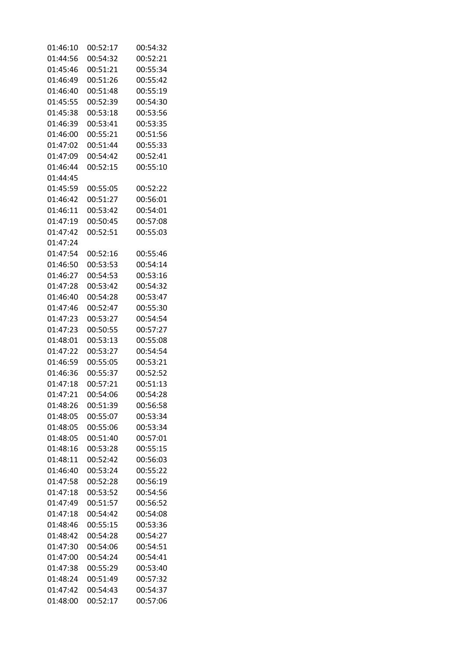| 01:46:10 | 00:52:17 | 00:54:32 |
|----------|----------|----------|
| 01:44:56 | 00:54:32 | 00:52:21 |
| 01:45:46 | 00:51:21 | 00:55:34 |
| 01:46:49 | 00:51:26 | 00:55:42 |
| 01:46:40 | 00:51:48 | 00:55:19 |
| 01:45:55 | 00:52:39 | 00:54:30 |
| 01:45:38 | 00:53:18 | 00:53:56 |
| 01:46:39 | 00:53:41 | 00:53:35 |
| 01:46:00 | 00:55:21 | 00:51:56 |
|          |          |          |
| 01:47:02 | 00:51:44 | 00:55:33 |
| 01:47:09 | 00:54:42 | 00:52:41 |
| 01:46:44 | 00:52:15 | 00:55:10 |
| 01:44:45 |          |          |
| 01:45:59 | 00:55:05 | 00:52:22 |
| 01:46:42 | 00:51:27 | 00:56:01 |
| 01:46:11 | 00:53:42 | 00:54:01 |
| 01:47:19 | 00:50:45 | 00:57:08 |
| 01:47:42 | 00:52:51 | 00:55:03 |
| 01:47:24 |          |          |
| 01:47:54 | 00:52:16 | 00:55:46 |
| 01:46:50 | 00:53:53 | 00:54:14 |
| 01:46:27 | 00:54:53 | 00:53:16 |
| 01:47:28 | 00:53:42 | 00:54:32 |
|          |          |          |
| 01:46:40 | 00:54:28 | 00:53:47 |
| 01:47:46 | 00:52:47 | 00:55:30 |
| 01:47:23 | 00:53:27 | 00:54:54 |
| 01:47:23 | 00:50:55 | 00:57:27 |
| 01:48:01 | 00:53:13 | 00:55:08 |
| 01:47:22 | 00:53:27 | 00:54:54 |
| 01:46:59 | 00:55:05 | 00:53:21 |
| 01:46:36 | 00:55:37 | 00:52:52 |
| 01:47:18 | 00:57:21 | 00:51:13 |
| 01:47:21 | 00:54:06 | 00:54:28 |
| 01:48:26 | 00:51:39 | 00:56:58 |
| 01:48:05 | 00:55:07 | 00:53:34 |
| 01:48:05 | 00:55:06 | 00:53:34 |
| 01:48:05 | 00:51:40 | 00:57:01 |
| 01:48:16 | 00:53:28 | 00:55:15 |
| 01:48:11 | 00:52:42 | 00:56:03 |
|          | 00:53:24 | 00:55:22 |
| 01:46:40 |          |          |
| 01:47:58 | 00:52:28 | 00:56:19 |
| 01:47:18 | 00:53:52 | 00:54:56 |
| 01:47:49 | 00:51:57 | 00:56:52 |
| 01:47:18 | 00:54:42 | 00:54:08 |
| 01:48:46 | 00:55:15 | 00:53:36 |
| 01:48:42 | 00:54:28 | 00:54:27 |
| 01:47:30 | 00:54:06 | 00:54:51 |
| 01:47:00 | 00:54:24 | 00:54:41 |
| 01:47:38 | 00:55:29 | 00:53:40 |
| 01:48:24 | 00:51:49 | 00:57:32 |
| 01:47:42 | 00:54:43 | 00:54:37 |
| 01:48:00 | 00:52:17 | 00:57:06 |
|          |          |          |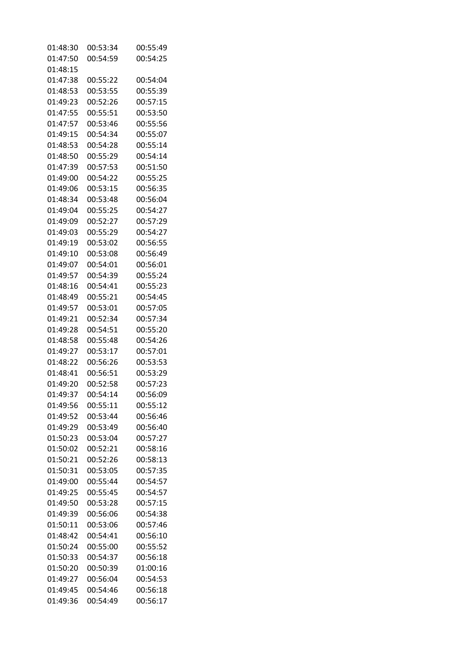| 01:48:30 | 00:53:34 | 00:55:49 |
|----------|----------|----------|
| 01:47:50 | 00:54:59 | 00:54:25 |
| 01:48:15 |          |          |
| 01:47:38 | 00:55:22 | 00:54:04 |
| 01:48:53 | 00:53:55 | 00:55:39 |
| 01:49:23 | 00:52:26 | 00:57:15 |
| 01:47:55 | 00:55:51 | 00:53:50 |
| 01:47:57 | 00:53:46 | 00:55:56 |
| 01:49:15 | 00:54:34 | 00:55:07 |
| 01:48:53 | 00:54:28 | 00:55:14 |
|          |          |          |
| 01:48:50 | 00:55:29 | 00:54:14 |
| 01:47:39 | 00:57:53 | 00:51:50 |
| 01:49:00 | 00:54:22 | 00:55:25 |
| 01:49:06 | 00:53:15 | 00:56:35 |
| 01:48:34 | 00:53:48 | 00:56:04 |
| 01:49:04 | 00:55:25 | 00:54:27 |
| 01:49:09 | 00:52:27 | 00:57:29 |
| 01:49:03 | 00:55:29 | 00:54:27 |
| 01:49:19 | 00:53:02 | 00:56:55 |
| 01:49:10 | 00:53:08 | 00:56:49 |
| 01:49:07 | 00:54:01 | 00:56:01 |
| 01:49:57 | 00:54:39 | 00:55:24 |
| 01:48:16 | 00:54:41 | 00:55:23 |
| 01:48:49 | 00:55:21 | 00:54:45 |
| 01:49:57 | 00:53:01 | 00:57:05 |
| 01:49:21 | 00:52:34 | 00:57:34 |
| 01:49:28 | 00:54:51 | 00:55:20 |
| 01:48:58 | 00:55:48 | 00:54:26 |
| 01:49:27 | 00:53:17 | 00:57:01 |
| 01:48:22 | 00:56:26 | 00:53:53 |
| 01:48:41 | 00:56:51 | 00:53:29 |
| 01:49:20 | 00:52:58 | 00:57:23 |
| 01:49:37 | 00:54:14 | 00:56:09 |
| 01:49:56 | 00:55:11 | 00:55:12 |
| 01:49:52 | 00:53:44 | 00:56:46 |
|          |          |          |
| 01:49:29 | 00:53:49 | 00:56:40 |
| 01:50:23 | 00:53:04 | 00:57:27 |
| 01:50:02 | 00:52:21 | 00:58:16 |
| 01:50:21 | 00:52:26 | 00:58:13 |
| 01:50:31 | 00:53:05 | 00:57:35 |
| 01:49:00 | 00:55:44 | 00:54:57 |
| 01:49:25 | 00:55:45 | 00:54:57 |
| 01:49:50 | 00:53:28 | 00:57:15 |
| 01:49:39 | 00:56:06 | 00:54:38 |
| 01:50:11 | 00:53:06 | 00:57:46 |
| 01:48:42 | 00:54:41 | 00:56:10 |
| 01:50:24 | 00:55:00 | 00:55:52 |
| 01:50:33 | 00:54:37 | 00:56:18 |
| 01:50:20 | 00:50:39 | 01:00:16 |
| 01:49:27 | 00:56:04 | 00:54:53 |
| 01:49:45 | 00:54:46 | 00:56:18 |
| 01:49:36 | 00:54:49 | 00:56:17 |
|          |          |          |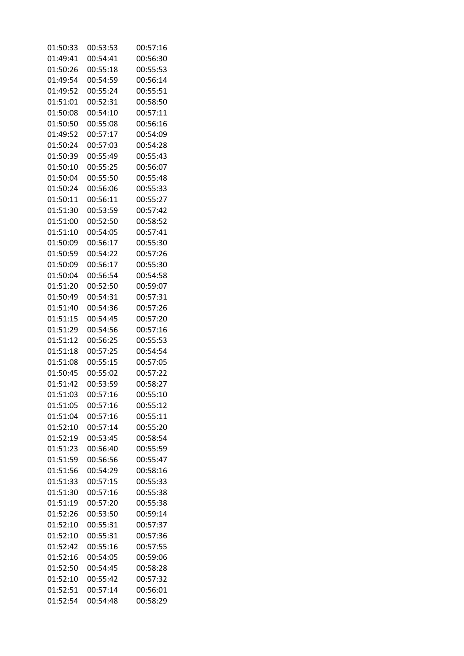| 01:50:33 | 00:53:53 | 00:57:16 |
|----------|----------|----------|
| 01:49:41 | 00:54:41 | 00:56:30 |
| 01:50:26 | 00:55:18 | 00:55:53 |
| 01:49:54 | 00:54:59 | 00:56:14 |
| 01:49:52 | 00:55:24 | 00:55:51 |
| 01:51:01 | 00:52:31 | 00:58:50 |
| 01:50:08 | 00:54:10 | 00:57:11 |
| 01:50:50 | 00:55:08 | 00:56:16 |
| 01:49:52 | 00:57:17 | 00:54:09 |
| 01:50:24 | 00:57:03 | 00:54:28 |
| 01:50:39 | 00:55:49 | 00:55:43 |
| 01:50:10 | 00:55:25 | 00:56:07 |
| 01:50:04 |          |          |
|          | 00:55:50 | 00:55:48 |
| 01:50:24 | 00:56:06 | 00:55:33 |
| 01:50:11 | 00:56:11 | 00:55:27 |
| 01:51:30 | 00:53:59 | 00:57:42 |
| 01:51:00 | 00:52:50 | 00:58:52 |
| 01:51:10 | 00:54:05 | 00:57:41 |
| 01:50:09 | 00:56:17 | 00:55:30 |
| 01:50:59 | 00:54:22 | 00:57:26 |
| 01:50:09 | 00:56:17 | 00:55:30 |
| 01:50:04 | 00:56:54 | 00:54:58 |
| 01:51:20 | 00:52:50 | 00:59:07 |
| 01:50:49 | 00:54:31 | 00:57:31 |
| 01:51:40 | 00:54:36 | 00:57:26 |
| 01:51:15 | 00:54:45 | 00:57:20 |
| 01:51:29 | 00:54:56 | 00:57:16 |
| 01:51:12 | 00:56:25 | 00:55:53 |
| 01:51:18 | 00:57:25 | 00:54:54 |
| 01:51:08 | 00:55:15 | 00:57:05 |
| 01:50:45 | 00:55:02 | 00:57:22 |
| 01:51:42 | 00:53:59 | 00:58:27 |
| 01:51:03 | 00:57:16 | 00:55:10 |
| 01:51:05 | 00:57:16 | 00:55:12 |
| 01:51:04 | 00:57:16 | 00:55:11 |
| 01:52:10 | 00:57:14 | 00:55:20 |
| 01:52:19 | 00:53:45 | 00:58:54 |
| 01:51:23 | 00:56:40 | 00:55:59 |
| 01:51:59 | 00:56:56 | 00:55:47 |
| 01:51:56 | 00:54:29 | 00:58:16 |
| 01:51:33 | 00:57:15 | 00:55:33 |
| 01:51:30 | 00:57:16 | 00:55:38 |
| 01:51:19 | 00:57:20 | 00:55:38 |
| 01:52:26 | 00:53:50 | 00:59:14 |
|          |          |          |
| 01:52:10 | 00:55:31 | 00:57:37 |
| 01:52:10 | 00:55:31 | 00:57:36 |
| 01:52:42 | 00:55:16 | 00:57:55 |
| 01:52:16 | 00:54:05 | 00:59:06 |
| 01:52:50 | 00:54:45 | 00:58:28 |
| 01:52:10 | 00:55:42 | 00:57:32 |
| 01:52:51 | 00:57:14 | 00:56:01 |
| 01:52:54 | 00:54:48 | 00:58:29 |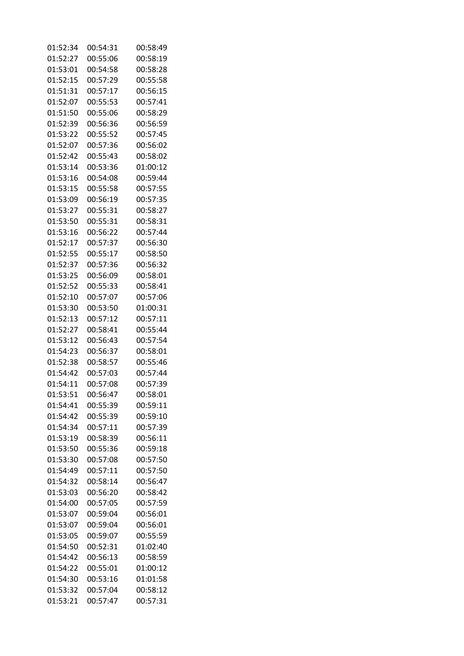| 01:52:34 | 00:54:31 | 00:58:49 |
|----------|----------|----------|
| 01:52:27 | 00:55:06 | 00:58:19 |
| 01:53:01 | 00:54:58 | 00:58:28 |
| 01:52:15 | 00:57:29 | 00:55:58 |
| 01:51:31 | 00:57:17 | 00:56:15 |
| 01:52:07 | 00:55:53 | 00:57:41 |
| 01:51:50 | 00:55:06 | 00:58:29 |
| 01:52:39 | 00:56:36 | 00:56:59 |
| 01:53:22 | 00:55:52 | 00:57:45 |
| 01:52:07 | 00:57:36 | 00:56:02 |
| 01:52:42 | 00:55:43 | 00:58:02 |
| 01:53:14 | 00:53:36 | 01:00:12 |
| 01:53:16 | 00:54:08 | 00:59:44 |
|          |          |          |
| 01:53:15 | 00:55:58 | 00:57:55 |
| 01:53:09 | 00:56:19 | 00:57:35 |
| 01:53:27 | 00:55:31 | 00:58:27 |
| 01:53:50 | 00:55:31 | 00:58:31 |
| 01:53:16 | 00:56:22 | 00:57:44 |
| 01:52:17 | 00:57:37 | 00:56:30 |
| 01:52:55 | 00:55:17 | 00:58:50 |
| 01:52:37 | 00:57:36 | 00:56:32 |
| 01:53:25 | 00:56:09 | 00:58:01 |
| 01:52:52 | 00:55:33 | 00:58:41 |
| 01:52:10 | 00:57:07 | 00:57:06 |
| 01:53:30 | 00:53:50 | 01:00:31 |
| 01:52:13 | 00:57:12 | 00:57:11 |
| 01:52:27 | 00:58:41 | 00:55:44 |
| 01:53:12 | 00:56:43 | 00:57:54 |
| 01:54:23 | 00:56:37 | 00:58:01 |
| 01:52:38 | 00:58:57 | 00:55:46 |
| 01:54:42 | 00:57:03 | 00:57:44 |
| 01:54:11 | 00:57:08 | 00:57:39 |
| 01:53:51 | 00:56:47 | 00:58:01 |
| 01:54:41 | 00:55:39 | 00:59:11 |
| 01:54:42 | 00:55:39 | 00:59:10 |
| 01:54:34 | 00:57:11 | 00:57:39 |
| 01:53:19 | 00:58:39 | 00:56:11 |
| 01:53:50 | 00:55:36 | 00:59:18 |
| 01:53:30 | 00:57:08 | 00:57:50 |
| 01:54:49 | 00:57:11 | 00:57:50 |
| 01:54:32 | 00:58:14 | 00:56:47 |
| 01:53:03 | 00:56:20 | 00:58:42 |
| 01:54:00 | 00:57:05 | 00:57:59 |
| 01:53:07 | 00:59:04 | 00:56:01 |
| 01:53:07 | 00:59:04 | 00:56:01 |
| 01:53:05 | 00:59:07 | 00:55:59 |
| 01:54:50 | 00:52:31 | 01:02:40 |
| 01:54:42 | 00:56:13 | 00:58:59 |
| 01:54:22 | 00:55:01 | 01:00:12 |
| 01:54:30 | 00:53:16 | 01:01:58 |
| 01:53:32 | 00:57:04 | 00:58:12 |
| 01:53:21 | 00:57:47 | 00:57:31 |
|          |          |          |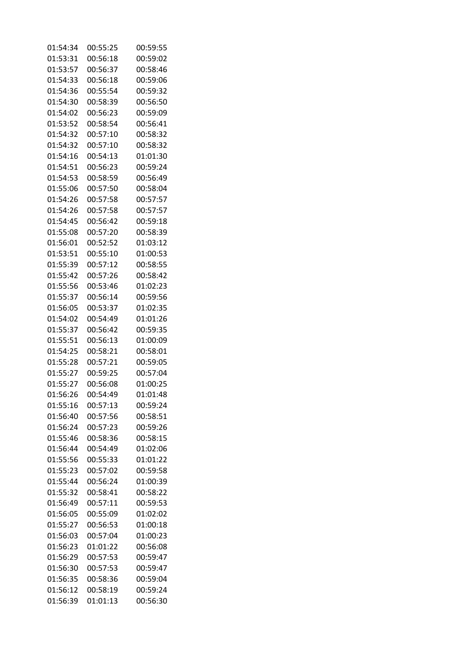| 01:54:34 | 00:55:25 | 00:59:55 |
|----------|----------|----------|
| 01:53:31 | 00:56:18 | 00:59:02 |
| 01:53:57 | 00:56:37 | 00:58:46 |
| 01:54:33 | 00:56:18 | 00:59:06 |
| 01:54:36 | 00:55:54 | 00:59:32 |
| 01:54:30 | 00:58:39 | 00:56:50 |
| 01:54:02 | 00:56:23 | 00:59:09 |
| 01:53:52 | 00:58:54 | 00:56:41 |
| 01:54:32 | 00:57:10 | 00:58:32 |
| 01:54:32 | 00:57:10 | 00:58:32 |
| 01:54:16 | 00:54:13 | 01:01:30 |
| 01:54:51 | 00:56:23 | 00:59:24 |
| 01:54:53 | 00:58:59 |          |
|          |          | 00:56:49 |
| 01:55:06 | 00:57:50 | 00:58:04 |
| 01:54:26 | 00:57:58 | 00:57:57 |
| 01:54:26 | 00:57:58 | 00:57:57 |
| 01:54:45 | 00:56:42 | 00:59:18 |
| 01:55:08 | 00:57:20 | 00:58:39 |
| 01:56:01 | 00:52:52 | 01:03:12 |
| 01:53:51 | 00:55:10 | 01:00:53 |
| 01:55:39 | 00:57:12 | 00:58:55 |
| 01:55:42 | 00:57:26 | 00:58:42 |
| 01:55:56 | 00:53:46 | 01:02:23 |
| 01:55:37 | 00:56:14 | 00:59:56 |
| 01:56:05 | 00:53:37 | 01:02:35 |
| 01:54:02 | 00:54:49 | 01:01:26 |
| 01:55:37 | 00:56:42 | 00:59:35 |
| 01:55:51 | 00:56:13 | 01:00:09 |
| 01:54:25 | 00:58:21 | 00:58:01 |
| 01:55:28 | 00:57:21 | 00:59:05 |
| 01:55:27 | 00:59:25 | 00:57:04 |
| 01:55:27 | 00:56:08 | 01:00:25 |
| 01:56:26 | 00:54:49 | 01:01:48 |
| 01:55:16 | 00:57:13 | 00:59:24 |
| 01:56:40 | 00:57:56 | 00:58:51 |
| 01:56:24 | 00:57:23 | 00:59:26 |
| 01:55:46 | 00:58:36 | 00:58:15 |
| 01:56:44 | 00:54:49 | 01:02:06 |
| 01:55:56 | 00:55:33 | 01:01:22 |
| 01:55:23 | 00:57:02 | 00:59:58 |
| 01:55:44 | 00:56:24 | 01:00:39 |
| 01:55:32 | 00:58:41 | 00:58:22 |
| 01:56:49 | 00:57:11 | 00:59:53 |
| 01:56:05 | 00:55:09 | 01:02:02 |
| 01:55:27 | 00:56:53 | 01:00:18 |
| 01:56:03 | 00:57:04 | 01:00:23 |
| 01:56:23 | 01:01:22 | 00:56:08 |
| 01:56:29 | 00:57:53 | 00:59:47 |
| 01:56:30 | 00:57:53 | 00:59:47 |
| 01:56:35 | 00:58:36 | 00:59:04 |
| 01:56:12 | 00:58:19 | 00:59:24 |
|          |          |          |
| 01:56:39 | 01:01:13 | 00:56:30 |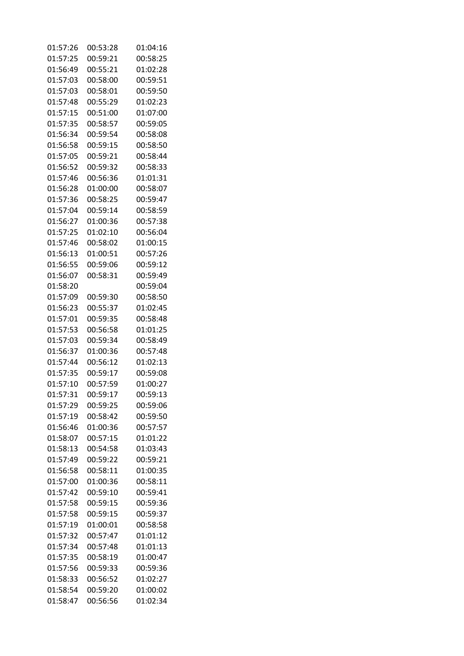| 01:57:26 | 00:53:28 | 01:04:16 |
|----------|----------|----------|
| 01:57:25 | 00:59:21 | 00:58:25 |
| 01:56:49 | 00:55:21 | 01:02:28 |
| 01:57:03 | 00:58:00 | 00:59:51 |
| 01:57:03 | 00:58:01 | 00:59:50 |
| 01:57:48 | 00:55:29 | 01:02:23 |
| 01:57:15 | 00:51:00 | 01:07:00 |
| 01:57:35 | 00:58:57 | 00:59:05 |
| 01:56:34 | 00:59:54 | 00:58:08 |
| 01:56:58 | 00:59:15 | 00:58:50 |
| 01:57:05 | 00:59:21 | 00:58:44 |
| 01:56:52 | 00:59:32 | 00:58:33 |
| 01:57:46 | 00:56:36 | 01:01:31 |
|          |          |          |
| 01:56:28 | 01:00:00 | 00:58:07 |
| 01:57:36 | 00:58:25 | 00:59:47 |
| 01:57:04 | 00:59:14 | 00:58:59 |
| 01:56:27 | 01:00:36 | 00:57:38 |
| 01:57:25 | 01:02:10 | 00:56:04 |
| 01:57:46 | 00:58:02 | 01:00:15 |
| 01:56:13 | 01:00:51 | 00:57:26 |
| 01:56:55 | 00:59:06 | 00:59:12 |
| 01:56:07 | 00:58:31 | 00:59:49 |
| 01:58:20 |          | 00:59:04 |
| 01:57:09 | 00:59:30 | 00:58:50 |
| 01:56:23 | 00:55:37 | 01:02:45 |
| 01:57:01 | 00:59:35 | 00:58:48 |
| 01:57:53 | 00:56:58 | 01:01:25 |
| 01:57:03 | 00:59:34 | 00:58:49 |
| 01:56:37 | 01:00:36 | 00:57:48 |
| 01:57:44 | 00:56:12 | 01:02:13 |
| 01:57:35 | 00:59:17 | 00:59:08 |
| 01:57:10 | 00:57:59 | 01:00:27 |
| 01:57:31 | 00:59:17 | 00:59:13 |
| 01:57:29 | 00:59:25 | 00:59:06 |
| 01:57:19 | 00:58:42 | 00:59:50 |
| 01:56:46 | 01:00:36 | 00:57:57 |
| 01:58:07 | 00:57:15 | 01:01:22 |
| 01:58:13 | 00:54:58 | 01:03:43 |
| 01:57:49 | 00:59:22 | 00:59:21 |
| 01:56:58 | 00:58:11 | 01:00:35 |
| 01:57:00 | 01:00:36 | 00:58:11 |
| 01:57:42 | 00:59:10 | 00:59:41 |
| 01:57:58 | 00:59:15 | 00:59:36 |
| 01:57:58 | 00:59:15 | 00:59:37 |
| 01:57:19 | 01:00:01 | 00:58:58 |
| 01:57:32 | 00:57:47 | 01:01:12 |
|          |          |          |
| 01:57:34 | 00:57:48 | 01:01:13 |
| 01:57:35 | 00:58:19 | 01:00:47 |
| 01:57:56 | 00:59:33 | 00:59:36 |
| 01:58:33 | 00:56:52 | 01:02:27 |
| 01:58:54 | 00:59:20 | 01:00:02 |
| 01:58:47 | 00:56:56 | 01:02:34 |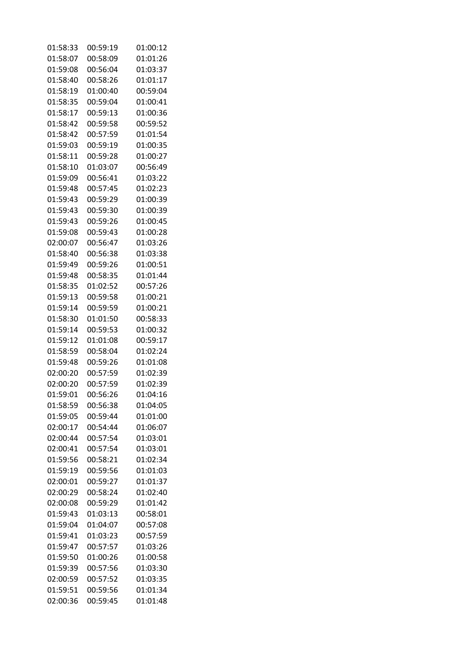| 01:58:33             | 00:59:19 | 01:00:12             |
|----------------------|----------|----------------------|
| 01:58:07             | 00:58:09 | 01:01:26             |
| 01:59:08             | 00:56:04 | 01:03:37             |
| 01:58:40             | 00:58:26 | 01:01:17             |
| 01:58:19             | 01:00:40 | 00:59:04             |
| 01:58:35             | 00:59:04 | 01:00:41             |
| 01:58:17             | 00:59:13 | 01:00:36             |
| 01:58:42             | 00:59:58 | 00:59:52             |
| 01:58:42             | 00:57:59 | 01:01:54             |
| 01:59:03             | 00:59:19 | 01:00:35             |
| 01:58:11             | 00:59:28 | 01:00:27             |
| 01:58:10             | 01:03:07 | 00:56:49             |
| 01:59:09             | 00:56:41 | 01:03:22             |
| 01:59:48             | 00:57:45 | 01:02:23             |
| 01:59:43             | 00:59:29 | 01:00:39             |
| 01:59:43             | 00:59:30 | 01:00:39             |
| 01:59:43             | 00:59:26 | 01:00:45             |
| 01:59:08             | 00:59:43 | 01:00:28             |
| 02:00:07             | 00:56:47 | 01:03:26             |
|                      |          |                      |
| 01:58:40<br>01:59:49 | 00:56:38 | 01:03:38<br>01:00:51 |
|                      | 00:59:26 |                      |
| 01:59:48             | 00:58:35 | 01:01:44             |
| 01:58:35             | 01:02:52 | 00:57:26             |
| 01:59:13             | 00:59:58 | 01:00:21             |
| 01:59:14             | 00:59:59 | 01:00:21             |
| 01:58:30             | 01:01:50 | 00:58:33             |
| 01:59:14             | 00:59:53 | 01:00:32             |
| 01:59:12             | 01:01:08 | 00:59:17             |
| 01:58:59             | 00:58:04 | 01:02:24             |
| 01:59:48             | 00:59:26 | 01:01:08             |
| 02:00:20             | 00:57:59 | 01:02:39             |
| 02:00:20             | 00:57:59 | 01:02:39             |
| 01:59:01             | 00:56:26 | 01:04:16             |
| 01:58:59             | 00:56:38 | 01:04:05             |
| 01:59:05             | 00:59:44 | 01:01:00             |
| 02:00:17             | 00:54:44 | 01:06:07             |
| 02:00:44             | 00:57:54 | 01:03:01             |
| 02:00:41             | 00:57:54 | 01:03:01             |
| 01:59:56             | 00:58:21 | 01:02:34             |
| 01:59:19             | 00:59:56 | 01:01:03             |
| 02:00:01             | 00:59:27 | 01:01:37             |
| 02:00:29             | 00:58:24 | 01:02:40             |
| 02:00:08             | 00:59:29 | 01:01:42             |
| 01:59:43             | 01:03:13 | 00:58:01             |
| 01:59:04             | 01:04:07 | 00:57:08             |
| 01:59:41             | 01:03:23 | 00:57:59             |
| 01:59:47             | 00:57:57 | 01:03:26             |
| 01:59:50             | 01:00:26 | 01:00:58             |
| 01:59:39             | 00:57:56 | 01:03:30             |
| 02:00:59             | 00:57:52 | 01:03:35             |
| 01:59:51             | 00:59:56 | 01:01:34             |
| 02:00:36             | 00:59:45 | 01:01:48             |
|                      |          |                      |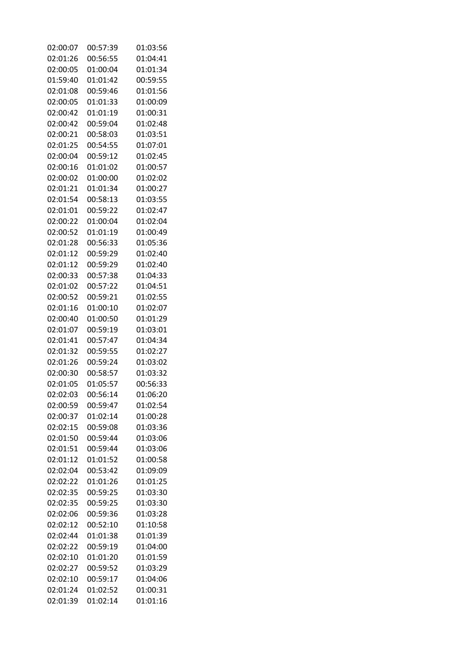| 02:00:07 | 00:57:39 | 01:03:56 |
|----------|----------|----------|
| 02:01:26 | 00:56:55 | 01:04:41 |
| 02:00:05 | 01:00:04 | 01:01:34 |
| 01:59:40 | 01:01:42 | 00:59:55 |
| 02:01:08 | 00:59:46 | 01:01:56 |
| 02:00:05 | 01:01:33 | 01:00:09 |
| 02:00:42 | 01:01:19 | 01:00:31 |
| 02:00:42 | 00:59:04 | 01:02:48 |
| 02:00:21 | 00:58:03 | 01:03:51 |
| 02:01:25 | 00:54:55 | 01:07:01 |
| 02:00:04 | 00:59:12 | 01:02:45 |
| 02:00:16 | 01:01:02 | 01:00:57 |
| 02:00:02 | 01:00:00 | 01:02:02 |
|          |          |          |
| 02:01:21 | 01:01:34 | 01:00:27 |
| 02:01:54 | 00:58:13 | 01:03:55 |
| 02:01:01 | 00:59:22 | 01:02:47 |
| 02:00:22 | 01:00:04 | 01:02:04 |
| 02:00:52 | 01:01:19 | 01:00:49 |
| 02:01:28 | 00:56:33 | 01:05:36 |
| 02:01:12 | 00:59:29 | 01:02:40 |
| 02:01:12 | 00:59:29 | 01:02:40 |
| 02:00:33 | 00:57:38 | 01:04:33 |
| 02:01:02 | 00:57:22 | 01:04:51 |
| 02:00:52 | 00:59:21 | 01:02:55 |
| 02:01:16 | 01:00:10 | 01:02:07 |
| 02:00:40 | 01:00:50 | 01:01:29 |
| 02:01:07 | 00:59:19 | 01:03:01 |
| 02:01:41 | 00:57:47 | 01:04:34 |
| 02:01:32 | 00:59:55 | 01:02:27 |
| 02:01:26 | 00:59:24 | 01:03:02 |
| 02:00:30 | 00:58:57 | 01:03:32 |
| 02:01:05 | 01:05:57 | 00:56:33 |
| 02:02:03 | 00:56:14 | 01:06:20 |
| 02:00:59 | 00:59:47 | 01:02:54 |
| 02:00:37 | 01:02:14 | 01:00:28 |
| 02:02:15 | 00:59:08 | 01:03:36 |
| 02:01:50 | 00:59:44 | 01:03:06 |
| 02:01:51 | 00:59:44 | 01:03:06 |
| 02:01:12 | 01:01:52 | 01:00:58 |
| 02:02:04 | 00:53:42 | 01:09:09 |
| 02:02:22 | 01:01:26 | 01:01:25 |
| 02:02:35 | 00:59:25 | 01:03:30 |
| 02:02:35 | 00:59:25 | 01:03:30 |
| 02:02:06 | 00:59:36 | 01:03:28 |
| 02:02:12 | 00:52:10 | 01:10:58 |
| 02:02:44 | 01:01:38 | 01:01:39 |
| 02:02:22 | 00:59:19 | 01:04:00 |
| 02:02:10 | 01:01:20 | 01:01:59 |
| 02:02:27 | 00:59:52 | 01:03:29 |
| 02:02:10 | 00:59:17 | 01:04:06 |
| 02:01:24 | 01:02:52 | 01:00:31 |
|          |          |          |
| 02:01:39 | 01:02:14 | 01:01:16 |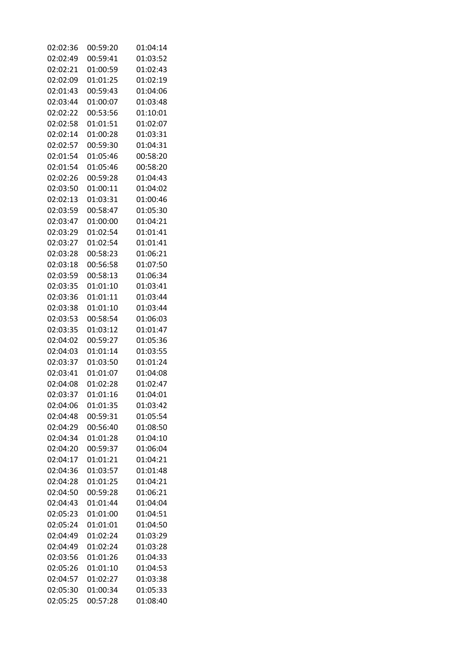| 02:02:36 | 00:59:20 | 01:04:14 |
|----------|----------|----------|
| 02:02:49 | 00:59:41 | 01:03:52 |
| 02:02:21 | 01:00:59 | 01:02:43 |
| 02:02:09 | 01:01:25 | 01:02:19 |
| 02:01:43 | 00:59:43 | 01:04:06 |
| 02:03:44 | 01:00:07 | 01:03:48 |
| 02:02:22 | 00:53:56 | 01:10:01 |
| 02:02:58 | 01:01:51 | 01:02:07 |
| 02:02:14 | 01:00:28 | 01:03:31 |
| 02:02:57 | 00:59:30 | 01:04:31 |
| 02:01:54 | 01:05:46 | 00:58:20 |
| 02:01:54 | 01:05:46 | 00:58:20 |
|          |          |          |
| 02:02:26 | 00:59:28 | 01:04:43 |
| 02:03:50 | 01:00:11 | 01:04:02 |
| 02:02:13 | 01:03:31 | 01:00:46 |
| 02:03:59 | 00:58:47 | 01:05:30 |
| 02:03:47 | 01:00:00 | 01:04:21 |
| 02:03:29 | 01:02:54 | 01:01:41 |
| 02:03:27 | 01:02:54 | 01:01:41 |
| 02:03:28 | 00:58:23 | 01:06:21 |
| 02:03:18 | 00:56:58 | 01:07:50 |
| 02:03:59 | 00:58:13 | 01:06:34 |
| 02:03:35 | 01:01:10 | 01:03:41 |
| 02:03:36 | 01:01:11 | 01:03:44 |
| 02:03:38 | 01:01:10 | 01:03:44 |
| 02:03:53 | 00:58:54 | 01:06:03 |
| 02:03:35 | 01:03:12 | 01:01:47 |
| 02:04:02 | 00:59:27 | 01:05:36 |
| 02:04:03 | 01:01:14 | 01:03:55 |
| 02:03:37 | 01:03:50 | 01:01:24 |
| 02:03:41 | 01:01:07 | 01:04:08 |
| 02:04:08 | 01:02:28 | 01:02:47 |
| 02:03:37 | 01:01:16 | 01:04:01 |
| 02:04:06 | 01:01:35 | 01:03:42 |
| 02:04:48 | 00:59:31 | 01:05:54 |
| 02:04:29 | 00:56:40 | 01:08:50 |
| 02:04:34 | 01:01:28 | 01:04:10 |
| 02:04:20 | 00:59:37 | 01:06:04 |
| 02:04:17 | 01:01:21 | 01:04:21 |
| 02:04:36 | 01:03:57 | 01:01:48 |
| 02:04:28 | 01:01:25 | 01:04:21 |
|          |          |          |
| 02:04:50 | 00:59:28 | 01:06:21 |
| 02:04:43 | 01:01:44 | 01:04:04 |
| 02:05:23 | 01:01:00 | 01:04:51 |
| 02:05:24 | 01:01:01 | 01:04:50 |
| 02:04:49 | 01:02:24 | 01:03:29 |
| 02:04:49 | 01:02:24 | 01:03:28 |
| 02:03:56 | 01:01:26 | 01:04:33 |
| 02:05:26 | 01:01:10 | 01:04:53 |
| 02:04:57 | 01:02:27 | 01:03:38 |
| 02:05:30 | 01:00:34 | 01:05:33 |
| 02:05:25 | 00:57:28 | 01:08:40 |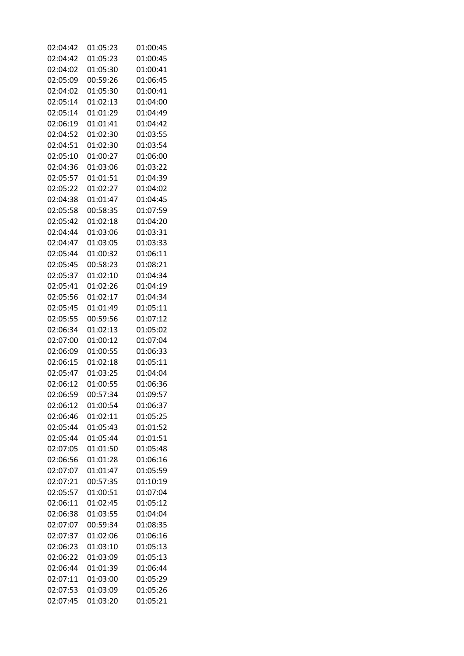| 02:04:42 | 01:05:23 | 01:00:45 |
|----------|----------|----------|
| 02:04:42 | 01:05:23 | 01:00:45 |
| 02:04:02 | 01:05:30 | 01:00:41 |
| 02:05:09 | 00:59:26 | 01:06:45 |
| 02:04:02 | 01:05:30 | 01:00:41 |
| 02:05:14 | 01:02:13 | 01:04:00 |
| 02:05:14 | 01:01:29 | 01:04:49 |
| 02:06:19 | 01:01:41 | 01:04:42 |
| 02:04:52 | 01:02:30 | 01:03:55 |
| 02:04:51 | 01:02:30 | 01:03:54 |
| 02:05:10 | 01:00:27 | 01:06:00 |
| 02:04:36 | 01:03:06 | 01:03:22 |
| 02:05:57 | 01:01:51 | 01:04:39 |
|          |          |          |
| 02:05:22 | 01:02:27 | 01:04:02 |
| 02:04:38 | 01:01:47 | 01:04:45 |
| 02:05:58 | 00:58:35 | 01:07:59 |
| 02:05:42 | 01:02:18 | 01:04:20 |
| 02:04:44 | 01:03:06 | 01:03:31 |
| 02:04:47 | 01:03:05 | 01:03:33 |
| 02:05:44 | 01:00:32 | 01:06:11 |
| 02:05:45 | 00:58:23 | 01:08:21 |
| 02:05:37 | 01:02:10 | 01:04:34 |
| 02:05:41 | 01:02:26 | 01:04:19 |
| 02:05:56 | 01:02:17 | 01:04:34 |
| 02:05:45 | 01:01:49 | 01:05:11 |
| 02:05:55 | 00:59:56 | 01:07:12 |
| 02:06:34 | 01:02:13 | 01:05:02 |
| 02:07:00 | 01:00:12 | 01:07:04 |
| 02:06:09 | 01:00:55 | 01:06:33 |
| 02:06:15 | 01:02:18 | 01:05:11 |
| 02:05:47 | 01:03:25 | 01:04:04 |
| 02:06:12 | 01:00:55 | 01:06:36 |
| 02:06:59 | 00:57:34 | 01:09:57 |
| 02:06:12 | 01:00:54 | 01:06:37 |
| 02:06:46 | 01:02:11 | 01:05:25 |
| 02:05:44 | 01:05:43 | 01:01:52 |
| 02:05:44 | 01:05:44 | 01:01:51 |
| 02:07:05 | 01:01:50 | 01:05:48 |
| 02:06:56 | 01:01:28 | 01:06:16 |
| 02:07:07 | 01:01:47 | 01:05:59 |
| 02:07:21 | 00:57:35 | 01:10:19 |
| 02:05:57 | 01:00:51 | 01:07:04 |
| 02:06:11 | 01:02:45 | 01:05:12 |
| 02:06:38 | 01:03:55 | 01:04:04 |
| 02:07:07 | 00:59:34 | 01:08:35 |
|          |          |          |
| 02:07:37 | 01:02:06 | 01:06:16 |
| 02:06:23 | 01:03:10 | 01:05:13 |
| 02:06:22 | 01:03:09 | 01:05:13 |
| 02:06:44 | 01:01:39 | 01:06:44 |
| 02:07:11 | 01:03:00 | 01:05:29 |
| 02:07:53 | 01:03:09 | 01:05:26 |
| 02:07:45 | 01:03:20 | 01:05:21 |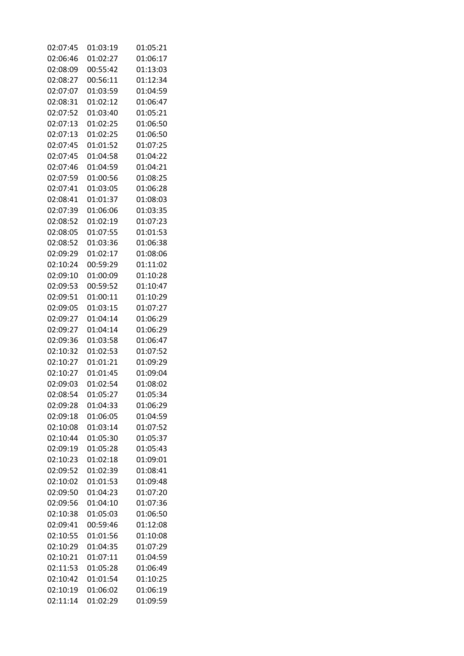| 02:07:45 | 01:03:19 | 01:05:21 |
|----------|----------|----------|
| 02:06:46 | 01:02:27 | 01:06:17 |
| 02:08:09 | 00:55:42 | 01:13:03 |
| 02:08:27 | 00:56:11 | 01:12:34 |
| 02:07:07 | 01:03:59 | 01:04:59 |
| 02:08:31 | 01:02:12 | 01:06:47 |
| 02:07:52 | 01:03:40 | 01:05:21 |
| 02:07:13 | 01:02:25 | 01:06:50 |
| 02:07:13 | 01:02:25 | 01:06:50 |
| 02:07:45 | 01:01:52 | 01:07:25 |
| 02:07:45 | 01:04:58 | 01:04:22 |
| 02:07:46 | 01:04:59 | 01:04:21 |
| 02:07:59 | 01:00:56 | 01:08:25 |
|          |          |          |
| 02:07:41 | 01:03:05 | 01:06:28 |
| 02:08:41 | 01:01:37 | 01:08:03 |
| 02:07:39 | 01:06:06 | 01:03:35 |
| 02:08:52 | 01:02:19 | 01:07:23 |
| 02:08:05 | 01:07:55 | 01:01:53 |
| 02:08:52 | 01:03:36 | 01:06:38 |
| 02:09:29 | 01:02:17 | 01:08:06 |
| 02:10:24 | 00:59:29 | 01:11:02 |
| 02:09:10 | 01:00:09 | 01:10:28 |
| 02:09:53 | 00:59:52 | 01:10:47 |
| 02:09:51 | 01:00:11 | 01:10:29 |
| 02:09:05 | 01:03:15 | 01:07:27 |
| 02:09:27 | 01:04:14 | 01:06:29 |
| 02:09:27 | 01:04:14 | 01:06:29 |
| 02:09:36 | 01:03:58 | 01:06:47 |
| 02:10:32 | 01:02:53 | 01:07:52 |
| 02:10:27 | 01:01:21 | 01:09:29 |
| 02:10:27 | 01:01:45 | 01:09:04 |
| 02:09:03 | 01:02:54 | 01:08:02 |
| 02:08:54 | 01:05:27 | 01:05:34 |
| 02:09:28 | 01:04:33 | 01:06:29 |
| 02:09:18 | 01:06:05 | 01:04:59 |
| 02:10:08 | 01:03:14 | 01:07:52 |
| 02:10:44 | 01:05:30 | 01:05:37 |
| 02:09:19 | 01:05:28 | 01:05:43 |
| 02:10:23 | 01:02:18 | 01:09:01 |
| 02:09:52 | 01:02:39 | 01:08:41 |
| 02:10:02 | 01:01:53 | 01:09:48 |
| 02:09:50 | 01:04:23 | 01:07:20 |
| 02:09:56 | 01:04:10 | 01:07:36 |
| 02:10:38 | 01:05:03 | 01:06:50 |
|          |          |          |
| 02:09:41 | 00:59:46 | 01:12:08 |
| 02:10:55 | 01:01:56 | 01:10:08 |
| 02:10:29 | 01:04:35 | 01:07:29 |
| 02:10:21 | 01:07:11 | 01:04:59 |
| 02:11:53 | 01:05:28 | 01:06:49 |
| 02:10:42 | 01:01:54 | 01:10:25 |
| 02:10:19 | 01:06:02 | 01:06:19 |
| 02:11:14 | 01:02:29 | 01:09:59 |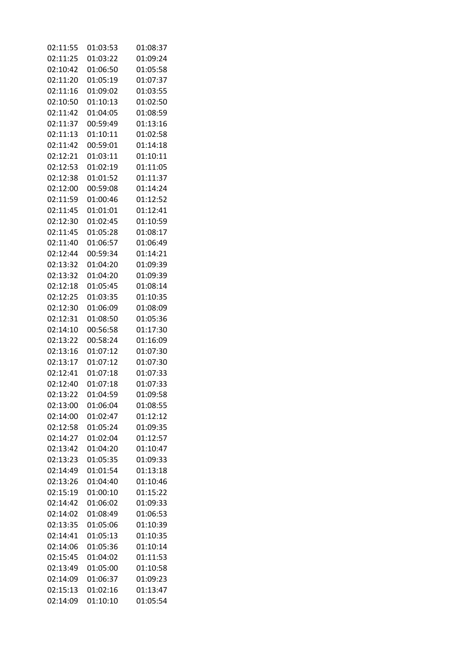| 02:11:55 | 01:03:53 | 01:08:37 |
|----------|----------|----------|
| 02:11:25 | 01:03:22 | 01:09:24 |
| 02:10:42 | 01:06:50 | 01:05:58 |
| 02:11:20 | 01:05:19 | 01:07:37 |
| 02:11:16 | 01:09:02 | 01:03:55 |
| 02:10:50 | 01:10:13 | 01:02:50 |
| 02:11:42 | 01:04:05 | 01:08:59 |
| 02:11:37 | 00:59:49 | 01:13:16 |
| 02:11:13 | 01:10:11 | 01:02:58 |
| 02:11:42 | 00:59:01 | 01:14:18 |
| 02:12:21 | 01:03:11 | 01:10:11 |
| 02:12:53 | 01:02:19 | 01:11:05 |
| 02:12:38 | 01:01:52 | 01:11:37 |
| 02:12:00 | 00:59:08 | 01:14:24 |
| 02:11:59 | 01:00:46 | 01:12:52 |
| 02:11:45 | 01:01:01 | 01:12:41 |
| 02:12:30 | 01:02:45 | 01:10:59 |
| 02:11:45 | 01:05:28 | 01:08:17 |
| 02:11:40 | 01:06:57 | 01:06:49 |
| 02:12:44 | 00:59:34 | 01:14:21 |
| 02:13:32 | 01:04:20 | 01:09:39 |
| 02:13:32 | 01:04:20 | 01:09:39 |
| 02:12:18 | 01:05:45 | 01:08:14 |
| 02:12:25 | 01:03:35 | 01:10:35 |
| 02:12:30 | 01:06:09 | 01:08:09 |
| 02:12:31 | 01:08:50 | 01:05:36 |
| 02:14:10 | 00:56:58 | 01:17:30 |
| 02:13:22 | 00:58:24 | 01:16:09 |
| 02:13:16 | 01:07:12 | 01:07:30 |
| 02:13:17 | 01:07:12 | 01:07:30 |
| 02:12:41 | 01:07:18 | 01:07:33 |
| 02:12:40 | 01:07:18 | 01:07:33 |
| 02:13:22 | 01:04:59 | 01:09:58 |
| 02:13:00 | 01:06:04 | 01:08:55 |
| 02:14:00 | 01:02:47 | 01:12:12 |
| 02:12:58 | 01:05:24 | 01:09:35 |
| 02:14:27 | 01:02:04 | 01:12:57 |
| 02:13:42 | 01:04:20 | 01:10:47 |
| 02:13:23 | 01:05:35 | 01:09:33 |
| 02:14:49 | 01:01:54 | 01:13:18 |
| 02:13:26 | 01:04:40 | 01:10:46 |
| 02:15:19 | 01:00:10 | 01:15:22 |
| 02:14:42 | 01:06:02 | 01:09:33 |
| 02:14:02 | 01:08:49 | 01:06:53 |
| 02:13:35 | 01:05:06 | 01:10:39 |
| 02:14:41 | 01:05:13 | 01:10:35 |
| 02:14:06 | 01:05:36 | 01:10:14 |
| 02:15:45 | 01:04:02 | 01:11:53 |
| 02:13:49 | 01:05:00 | 01:10:58 |
| 02:14:09 | 01:06:37 | 01:09:23 |
| 02:15:13 | 01:02:16 | 01:13:47 |
| 02:14:09 | 01:10:10 | 01:05:54 |
|          |          |          |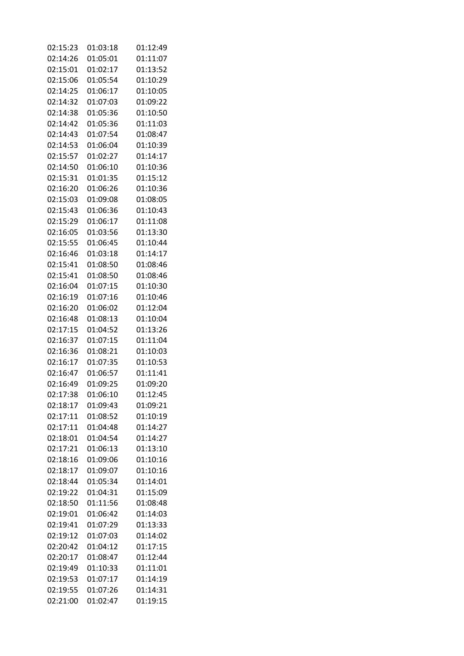| 02:15:23 | 01:03:18 | 01:12:49             |
|----------|----------|----------------------|
| 02:14:26 | 01:05:01 | 01:11:07             |
| 02:15:01 | 01:02:17 | 01:13:52             |
| 02:15:06 | 01:05:54 | 01:10:29             |
| 02:14:25 | 01:06:17 | 01:10:05             |
| 02:14:32 | 01:07:03 | 01:09:22             |
| 02:14:38 | 01:05:36 | 01:10:50             |
| 02:14:42 | 01:05:36 | 01:11:03             |
| 02:14:43 | 01:07:54 | 01:08:47             |
| 02:14:53 | 01:06:04 | 01:10:39             |
| 02:15:57 | 01:02:27 | 01:14:17             |
| 02:14:50 | 01:06:10 | 01:10:36             |
| 02:15:31 | 01:01:35 | 01:15:12             |
|          |          |                      |
| 02:16:20 | 01:06:26 | 01:10:36             |
| 02:15:03 | 01:09:08 | 01:08:05             |
| 02:15:43 | 01:06:36 | 01:10:43             |
| 02:15:29 | 01:06:17 | 01:11:08             |
| 02:16:05 | 01:03:56 | 01:13:30             |
| 02:15:55 | 01:06:45 | 01:10:44             |
| 02:16:46 | 01:03:18 | 01:14:17             |
| 02:15:41 | 01:08:50 | 01:08:46             |
| 02:15:41 | 01:08:50 | 01:08:46             |
| 02:16:04 | 01:07:15 | 01:10:30             |
| 02:16:19 | 01:07:16 | 01:10:46             |
| 02:16:20 | 01:06:02 | 01:12:04             |
| 02:16:48 | 01:08:13 | 01:10:04             |
| 02:17:15 | 01:04:52 | 01:13:26             |
| 02:16:37 | 01:07:15 | 01:11:04             |
| 02:16:36 | 01:08:21 | 01:10:03             |
| 02:16:17 | 01:07:35 | 01:10:53             |
| 02:16:47 | 01:06:57 | 01:11:41             |
| 02:16:49 | 01:09:25 | 01:09:20             |
| 02:17:38 | 01:06:10 | 01:12:45             |
| 02:18:17 | 01:09:43 | 01:09:21             |
| 02:17:11 | 01:08:52 | 01:10:19             |
| 02:17:11 | 01:04:48 | 01:14:27             |
| 02:18:01 | 01:04:54 | 01:14:27             |
| 02:17:21 | 01:06:13 | 01:13:10             |
| 02:18:16 | 01:09:06 | 01:10:16             |
| 02:18:17 | 01:09:07 | 01:10:16             |
| 02:18:44 | 01:05:34 | 01:14:01             |
| 02:19:22 | 01:04:31 | 01:15:09             |
| 02:18:50 | 01:11:56 | 01:08:48             |
| 02:19:01 | 01:06:42 | 01:14:03             |
| 02:19:41 | 01:07:29 | 01:13:33             |
|          |          |                      |
| 02:19:12 | 01:07:03 | 01:14:02             |
| 02:20:42 | 01:04:12 | 01:17:15<br>01:12:44 |
| 02:20:17 | 01:08:47 |                      |
| 02:19:49 | 01:10:33 | 01:11:01             |
| 02:19:53 | 01:07:17 | 01:14:19             |
| 02:19:55 | 01:07:26 | 01:14:31             |
| 02:21:00 | 01:02:47 | 01:19:15             |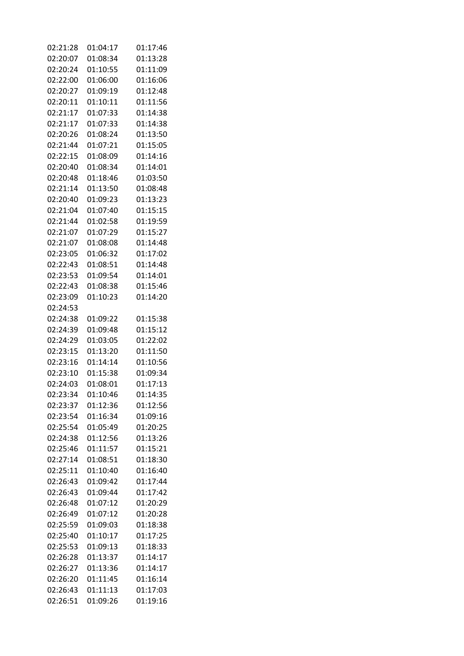| 02:21:28 | 01:04:17 | 01:17:46 |
|----------|----------|----------|
| 02:20:07 | 01:08:34 | 01:13:28 |
| 02:20:24 | 01:10:55 | 01:11:09 |
| 02:22:00 | 01:06:00 | 01:16:06 |
| 02:20:27 | 01:09:19 | 01:12:48 |
| 02:20:11 | 01:10:11 | 01:11:56 |
| 02:21:17 | 01:07:33 | 01:14:38 |
| 02:21:17 | 01:07:33 | 01:14:38 |
| 02:20:26 | 01:08:24 | 01:13:50 |
| 02:21:44 | 01:07:21 | 01:15:05 |
| 02:22:15 | 01:08:09 | 01:14:16 |
| 02:20:40 | 01:08:34 | 01:14:01 |
| 02:20:48 | 01:18:46 | 01:03:50 |
| 02:21:14 | 01:13:50 | 01:08:48 |
|          |          | 01:13:23 |
| 02:20:40 | 01:09:23 |          |
| 02:21:04 | 01:07:40 | 01:15:15 |
| 02:21:44 | 01:02:58 | 01:19:59 |
| 02:21:07 | 01:07:29 | 01:15:27 |
| 02:21:07 | 01:08:08 | 01:14:48 |
| 02:23:05 | 01:06:32 | 01:17:02 |
| 02:22:43 | 01:08:51 | 01:14:48 |
| 02:23:53 | 01:09:54 | 01:14:01 |
| 02:22:43 | 01:08:38 | 01:15:46 |
| 02:23:09 | 01:10:23 | 01:14:20 |
| 02:24:53 |          |          |
| 02:24:38 | 01:09:22 | 01:15:38 |
| 02:24:39 | 01:09:48 | 01:15:12 |
| 02:24:29 | 01:03:05 | 01:22:02 |
| 02:23:15 | 01:13:20 | 01:11:50 |
| 02:23:16 | 01:14:14 | 01:10:56 |
| 02:23:10 | 01:15:38 | 01:09:34 |
| 02:24:03 | 01:08:01 | 01:17:13 |
| 02:23:34 | 01:10:46 | 01:14:35 |
| 02:23:37 | 01:12:36 | 01:12:56 |
| 02:23:54 | 01:16:34 | 01:09:16 |
| 02:25:54 | 01:05:49 | 01:20:25 |
| 02:24:38 | 01:12:56 | 01:13:26 |
| 02:25:46 | 01:11:57 | 01:15:21 |
| 02:27:14 | 01:08:51 | 01:18:30 |
| 02:25:11 | 01:10:40 | 01:16:40 |
| 02:26:43 | 01:09:42 | 01:17:44 |
| 02:26:43 | 01:09:44 | 01:17:42 |
| 02:26:48 | 01:07:12 | 01:20:29 |
| 02:26:49 | 01:07:12 | 01:20:28 |
| 02:25:59 | 01:09:03 | 01:18:38 |
| 02:25:40 | 01:10:17 | 01:17:25 |
| 02:25:53 | 01:09:13 | 01:18:33 |
| 02:26:28 | 01:13:37 | 01:14:17 |
| 02:26:27 | 01:13:36 | 01:14:17 |
| 02:26:20 | 01:11:45 | 01:16:14 |
| 02:26:43 | 01:11:13 | 01:17:03 |
| 02:26:51 | 01:09:26 | 01:19:16 |
|          |          |          |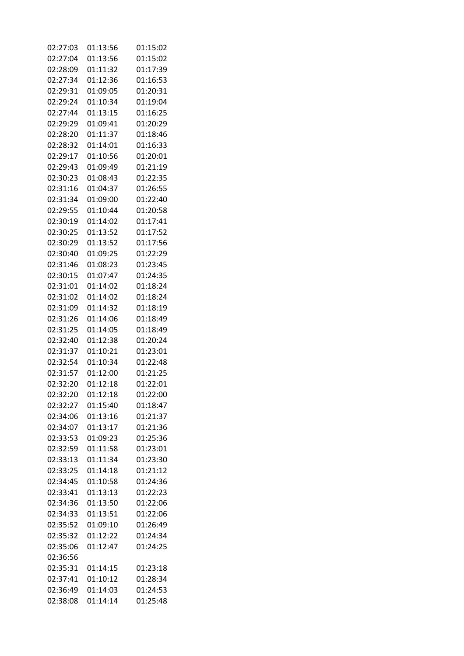| 02:27:03 | 01:13:56 | 01:15:02 |
|----------|----------|----------|
| 02:27:04 | 01:13:56 | 01:15:02 |
| 02:28:09 | 01:11:32 | 01:17:39 |
| 02:27:34 | 01:12:36 | 01:16:53 |
| 02:29:31 | 01:09:05 | 01:20:31 |
| 02:29:24 | 01:10:34 | 01:19:04 |
| 02:27:44 | 01:13:15 | 01:16:25 |
| 02:29:29 | 01:09:41 | 01:20:29 |
| 02:28:20 | 01:11:37 | 01:18:46 |
| 02:28:32 | 01:14:01 | 01:16:33 |
| 02:29:17 | 01:10:56 | 01:20:01 |
| 02:29:43 | 01:09:49 | 01:21:19 |
| 02:30:23 | 01:08:43 | 01:22:35 |
| 02:31:16 | 01:04:37 | 01:26:55 |
| 02:31:34 | 01:09:00 | 01:22:40 |
| 02:29:55 | 01:10:44 | 01:20:58 |
| 02:30:19 | 01:14:02 | 01:17:41 |
| 02:30:25 | 01:13:52 | 01:17:52 |
| 02:30:29 | 01:13:52 | 01:17:56 |
| 02:30:40 | 01:09:25 | 01:22:29 |
| 02:31:46 | 01:08:23 | 01:23:45 |
| 02:30:15 | 01:07:47 | 01:24:35 |
| 02:31:01 | 01:14:02 | 01:18:24 |
| 02:31:02 | 01:14:02 | 01:18:24 |
| 02:31:09 | 01:14:32 | 01:18:19 |
| 02:31:26 | 01:14:06 | 01:18:49 |
| 02:31:25 | 01:14:05 | 01:18:49 |
| 02:32:40 | 01:12:38 | 01:20:24 |
| 02:31:37 | 01:10:21 | 01:23:01 |
| 02:32:54 | 01:10:34 | 01:22:48 |
| 02:31:57 | 01:12:00 | 01:21:25 |
| 02:32:20 | 01:12:18 | 01:22:01 |
| 02:32:20 | 01:12:18 | 01:22:00 |
| 02:32:27 | 01:15:40 | 01:18:47 |
| 02:34:06 | 01:13:16 | 01:21:37 |
| 02:34:07 | 01:13:17 | 01:21:36 |
| 02:33:53 | 01:09:23 | 01:25:36 |
| 02:32:59 | 01:11:58 | 01:23:01 |
| 02:33:13 | 01:11:34 | 01:23:30 |
| 02:33:25 | 01:14:18 | 01:21:12 |
| 02:34:45 | 01:10:58 | 01:24:36 |
| 02:33:41 | 01:13:13 | 01:22:23 |
| 02:34:36 | 01:13:50 | 01:22:06 |
| 02:34:33 | 01:13:51 | 01:22:06 |
| 02:35:52 | 01:09:10 | 01:26:49 |
| 02:35:32 | 01:12:22 | 01:24:34 |
| 02:35:06 | 01:12:47 | 01:24:25 |
| 02:36:56 |          |          |
| 02:35:31 | 01:14:15 | 01:23:18 |
| 02:37:41 | 01:10:12 | 01:28:34 |
| 02:36:49 | 01:14:03 | 01:24:53 |
| 02:38:08 | 01:14:14 | 01:25:48 |
|          |          |          |